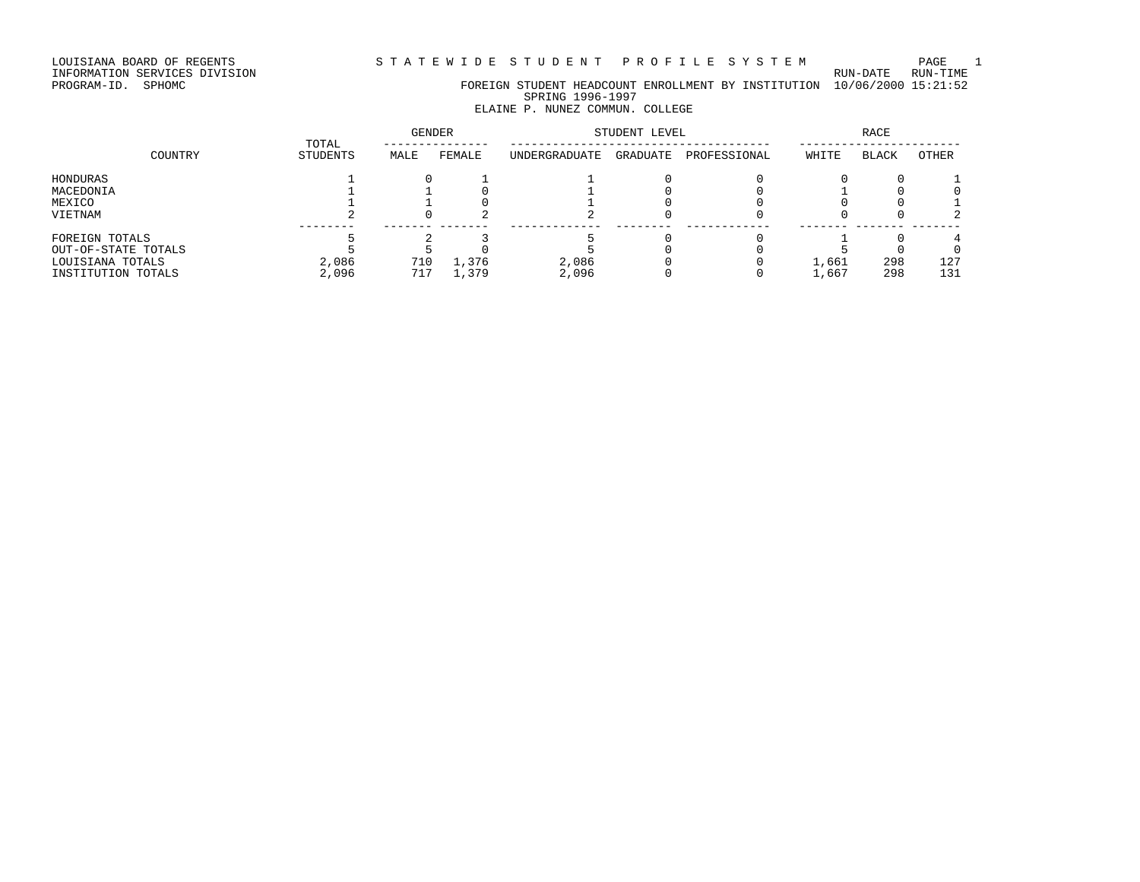LOUISIANA BOARD OF REGENTS STATEWIDE STUDENT PROFILE SYSTEM PAGE 1

INFORMATION SERVICES DIVISION RUN-DATE RUN-TIME

PROGRAM-ID. SPHOMC FOREIGN STUDENT HEADCOUNT ENROLLMENT BY INSTITUTION 10/06/2000 15:21:52 SPRING 1996-1997

# ELAINE P. NUNEZ COMMUN. COLLEGE

|                                                                                 |                   | <b>GENDER</b> |                | STUDENT LEVEL  |          | RACE         |                |              |            |
|---------------------------------------------------------------------------------|-------------------|---------------|----------------|----------------|----------|--------------|----------------|--------------|------------|
| COUNTRY                                                                         | TOTAL<br>STUDENTS | MALE          | FEMALE         | UNDERGRADUATE  | GRADUATE | PROFESSIONAL | WHITE          | <b>BLACK</b> | OTHER      |
| HONDURAS<br>MACEDONIA<br>MEXICO<br>VIETNAM                                      |                   |               |                |                |          |              |                |              |            |
| FOREIGN TOTALS<br>OUT-OF-STATE TOTALS<br>LOUISIANA TOTALS<br>INSTITUTION TOTALS | 2,086<br>2,096    | 710<br>717    | 1,376<br>1,379 | 2,086<br>2,096 |          |              | 1,661<br>1,667 | 298<br>298   | 127<br>131 |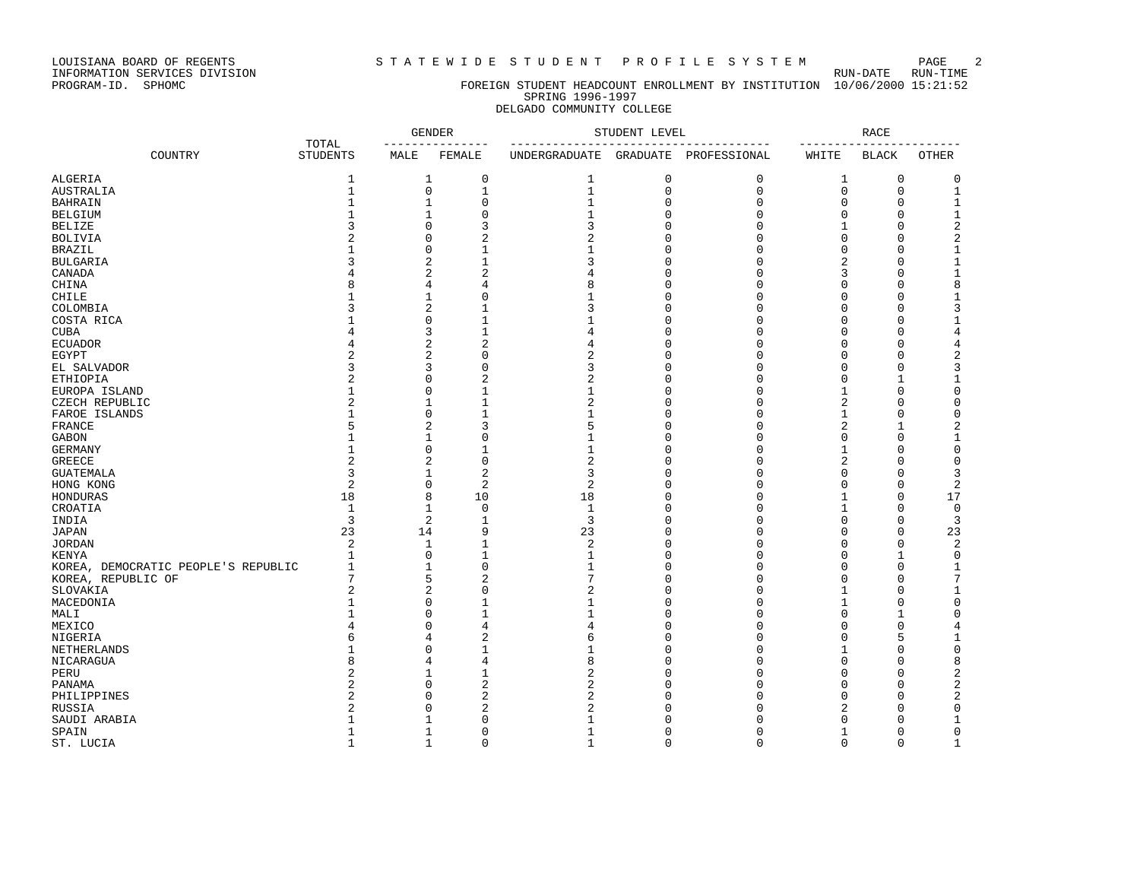LOUISIANA BOARD OF REGENTS STRITE WIDE STUDENT PROFILE SYSTEM PAGE 2<br>INFORMATION SERVICES DIVISION

INFORMATION SERVICES DIVISION<br>PROGRAM-ID. SPHOMC

#### FOREIGN STUDENT HEADCOUNT ENROLLMENT BY INSTITUTION 10/06/2000 15:21:52 SPRING 1996-1997 DELGADO COMMUNITY COLLEGE

|                                     |                          | <b>GENDER</b>  |                  | STUDENT LEVEL  |              | <b>RACE</b>  |                |              |                |
|-------------------------------------|--------------------------|----------------|------------------|----------------|--------------|--------------|----------------|--------------|----------------|
| COUNTRY                             | TOTAL<br><b>STUDENTS</b> | MALE           | FEMALE           | UNDERGRADUATE  | GRADUATE     | PROFESSIONAL | WHITE          | <b>BLACK</b> | OTHER          |
| ALGERIA                             | $\mathbf{1}$             | $\mathbf{1}$   | 0                | 1              | $\mathbf 0$  | 0            | 1              | 0            | 0              |
| <b>AUSTRALIA</b>                    | $\mathbf{1}$             | $\mathsf 0$    | 1                | $\mathbf{1}$   | $\mathbf 0$  | 0            | $\mathbf 0$    | $\mathbf 0$  | $1\,$          |
| <b>BAHRAIN</b>                      | 1                        | $\mathbf{1}$   | $\Omega$         | $\mathbf{1}$   | $\Omega$     | $\mathbf 0$  | 0              | $\Omega$     | $\mathbf 1$    |
| <b>BELGIUM</b>                      | 1                        | 1              | $\Omega$         |                | $\Omega$     | $\Omega$     | $\Omega$       | $\Omega$     | 1              |
| <b>BELIZE</b>                       | ζ                        | $\Omega$       | 3                | 3              | $\Omega$     | $\Omega$     | $\mathbf{1}$   | $\Omega$     | $\overline{c}$ |
| <b>BOLIVIA</b>                      |                          | $\Omega$       | $\overline{2}$   | $\overline{a}$ | $\Omega$     | $\mathbf 0$  | $\mathbf 0$    | $\Omega$     | 2              |
| <b>BRAZIL</b>                       |                          | $\Omega$       | $\mathbf{1}$     | 1              | $\Omega$     | $\mathbf 0$  | 0              | $\Omega$     | $\mathbf{1}$   |
| <b>BULGARIA</b>                     | ζ                        | 2              | 1                | ζ              | $\Omega$     | $\Omega$     | 2              | $\Omega$     | $\overline{1}$ |
| CANADA                              |                          | $\overline{2}$ | $\overline{2}$   | 4              | $\Omega$     | $\Omega$     | 3              | $\Omega$     | 1              |
| CHINA                               | 8                        | 4              | 4                | 8              | $\Omega$     | $\mathbf 0$  | 0              | $\Omega$     | 8              |
| <b>CHILE</b>                        |                          | $\mathbf{1}$   | $\Omega$         | 1              | $\Omega$     | $\Omega$     | $\Omega$       | $\Omega$     | 1              |
| COLOMBIA                            | 3                        | 2              |                  | 3              | $\Omega$     | $\Omega$     | $\Omega$       | $\Omega$     | 3              |
| COSTA RICA                          |                          | $\Omega$       | 1                | -1             | $\Omega$     | $\Omega$     | $\Omega$       | <sup>0</sup> | 1              |
| <b>CUBA</b>                         |                          | 3              |                  | 4              | $\Omega$     | $\Omega$     | $\Omega$       | $\Omega$     | 4              |
| <b>ECUADOR</b>                      |                          | $\overline{2}$ | $\overline{2}$   | 4              | $\Omega$     | $\mathbf 0$  | 0              | O            | 4              |
| EGYPT                               | $\overline{a}$           | $\overline{2}$ | $\Omega$         | $\overline{2}$ | $\Omega$     | $\Omega$     | $\Omega$       | $\Omega$     | 2              |
| EL SALVADOR                         | 3                        | 3              | $\Omega$         | 3              | $\Omega$     | 0            | $\Omega$       | $\Omega$     | 3              |
| ETHIOPIA                            | $\overline{a}$           | $\Omega$       | $\overline{c}$   | $\overline{c}$ | $\Omega$     | $\mathbf 0$  | $\Omega$       | -1           | 1              |
| EUROPA ISLAND                       |                          | $\Omega$       |                  | 1              | $\Omega$     | $\Omega$     | 1              | $\Omega$     | $\Omega$       |
| CZECH REPUBLIC                      | $\overline{2}$           | $\mathbf{1}$   |                  | $\overline{2}$ | $\Omega$     | $\mathbf 0$  | 2              | $\Omega$     | 0              |
| FAROE ISLANDS                       | 1                        | $\mathbf 0$    |                  |                | $\Omega$     | $\Omega$     | 1              | $\Omega$     | $\Omega$       |
| FRANCE                              | 5                        | 2              | 3                | 5              | $\Omega$     | $\Omega$     | 2              | $\mathbf{1}$ | 2              |
| GABON                               | 1                        | $\mathbf{1}$   | $\Omega$         | 1              | $\Omega$     | $\Omega$     | $\Omega$       | $\Omega$     | $\mathbf{1}$   |
| <b>GERMANY</b>                      | 1                        | $\mathbf 0$    |                  | 1              | $\Omega$     | $\mathbf 0$  | $\mathbf{1}$   | $\Omega$     | 0              |
| <b>GREECE</b>                       | $\overline{2}$           | $\overline{2}$ | $\Omega$         | $\overline{2}$ | $\Omega$     | $\mathbf 0$  | $\overline{2}$ | $\Omega$     | 0              |
| <b>GUATEMALA</b>                    | 3                        | $\mathbf{1}$   | $\overline{2}$   | 3              | $\Omega$     | $\Omega$     | $\Omega$       | $\Omega$     | 3              |
| HONG KONG                           | $\overline{2}$           | $\mathbf 0$    | 2                | $\overline{2}$ | $\Omega$     | $\mathbf 0$  | $\Omega$       | $\Omega$     | 2              |
| HONDURAS                            | 18                       | 8              | 10               | 18             | $\Omega$     | $\Omega$     | 1              | $\Omega$     | 17             |
| CROATIA                             | $\mathbf{1}$             | $\mathbf{1}$   | $\mathbf 0$      | 1              | $\Omega$     | 0            | $\mathbf{1}$   | $\Omega$     | $\mathbf 0$    |
| INDIA                               | 3                        | $\overline{2}$ | $\mathbf{1}$     | $\overline{3}$ | $\Omega$     | 0            | $\mathbf 0$    | $\Omega$     | 3              |
|                                     |                          | 14             | 9                |                | $\Omega$     | $\Omega$     |                | $\Omega$     |                |
| <b>JAPAN</b>                        | 23                       |                |                  | 23             | $\Omega$     |              | 0              |              | 23             |
| <b>JORDAN</b>                       | $\overline{2}$           | -1             |                  | $\overline{c}$ |              | O            | $\Omega$       | $\Omega$     | 2              |
| KENYA                               | 1                        | $\Omega$       | 1                | $\mathbf{1}$   | $\Omega$     | $\Omega$     | $\Omega$       | -1           | 0              |
| KOREA, DEMOCRATIC PEOPLE'S REPUBLIC | $\mathbf{1}$             | $\mathbf{1}$   | $\Omega$         | $\mathbf{1}$   | $\mathbf{0}$ | $\mathbf 0$  | $\Omega$       | $\Omega$     | 1              |
| KOREA, REPUBLIC OF                  | 7                        | 5              | $\overline{c}$   | 7              | $\Omega$     | $\mathbf 0$  | $\Omega$       | $\Omega$     | 7              |
| SLOVAKIA                            | 2                        | $\overline{2}$ | $\Omega$         | $\overline{2}$ | $\Omega$     | $\Omega$     |                | $\Omega$     | 1              |
| MACEDONIA                           | 1                        | $\Omega$       |                  |                | $\Omega$     | $\Omega$     |                | $\Omega$     | 0              |
| MALI                                | 1                        | $\Omega$       | 1                |                | $\Omega$     | $\Omega$     | $\Omega$       | -1           | $\Omega$       |
| MEXICO                              | 4                        | $\Omega$       | 4                | $\overline{4}$ | $\Omega$     | $\Omega$     | $\Omega$       | $\Omega$     | 4              |
| NIGERIA                             | 6                        | 4              | 2                | 6              | $\Omega$     | $\mathbf 0$  | 0              | 5            | 1              |
| NETHERLANDS                         | 1                        | $\Omega$       | $\mathbf{1}$     | -1             | $\Omega$     | $\Omega$     | 1              | $\Omega$     | 0              |
| NICARAGUA                           | R                        | 4              | 4                | 8              | $\Omega$     | $\Omega$     | $\Omega$       | O            | 8              |
| PERU                                | $\overline{2}$           | 1              | $\mathbf{1}$     | $\overline{2}$ | $\Omega$     | $\mathbf 0$  | $\Omega$       | $\Omega$     | 2              |
| PANAMA                              | $\overline{2}$           | $\Omega$       | $\boldsymbol{2}$ | $\overline{a}$ | $\Omega$     | $\Omega$     | $\Omega$       | $\Omega$     | $\overline{c}$ |
| PHILIPPINES                         | $\overline{a}$           | $\Omega$       | $\overline{2}$   | $\overline{a}$ | $\Omega$     | $\Omega$     | $\Omega$       | $\Omega$     | 2              |
| RUSSIA                              | 2                        | $\Omega$       | 2                | $\overline{2}$ | $\Omega$     | $\Omega$     | 2              | $\Omega$     | 0              |
| SAUDI ARABIA                        |                          | -1             | $\Omega$         |                | $\cap$       | $\Omega$     | $\Omega$       | $\Omega$     | 1              |
| SPAIN                               | 1                        | 1              | $\Omega$         | 1              | $\cap$       | $\mathbf 0$  |                | $\Omega$     | 0              |
| ST. LUCIA                           | $\mathbf{1}$             | $\mathbf{1}$   | $\Omega$         | $\mathbf{1}$   | $\Omega$     | 0            | $\mathbf 0$    | $\Omega$     | $\mathbf 1$    |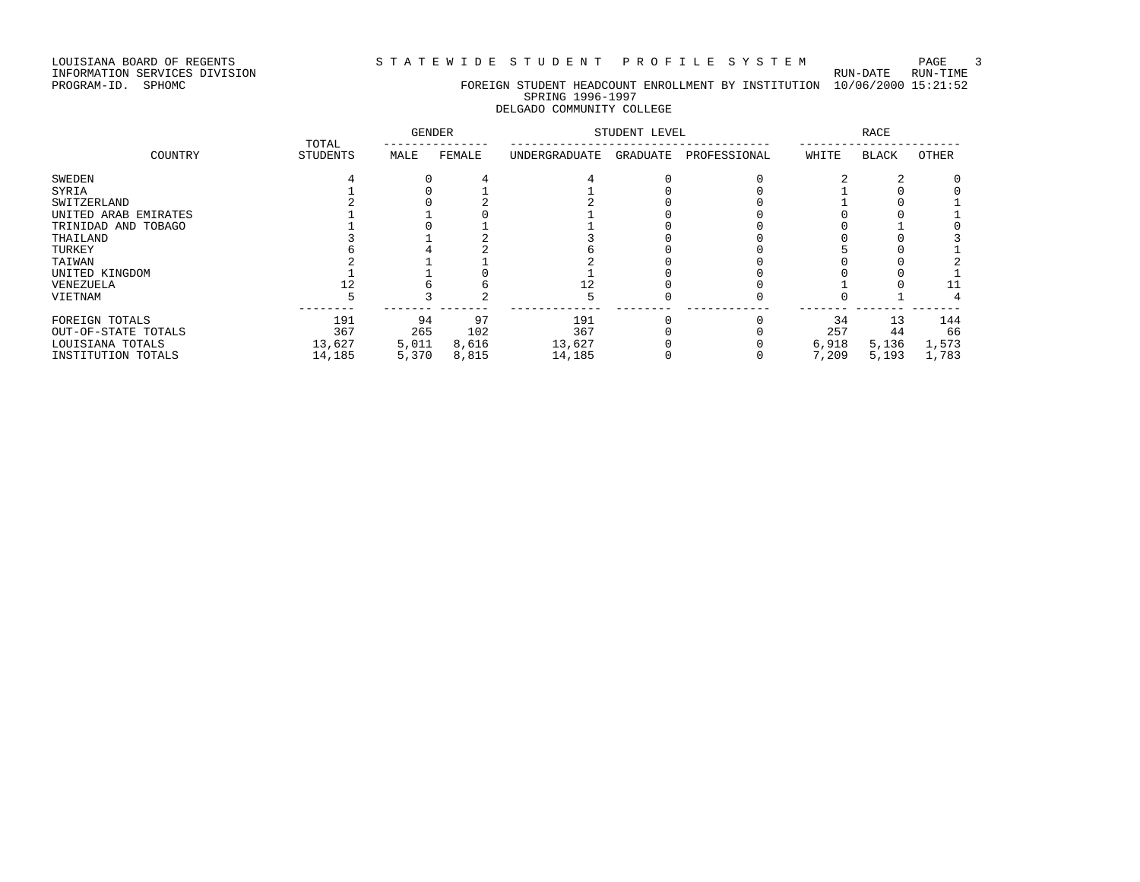LOUISIANA BOARD OF REGENTS STATEWIDE STUDENT PROFILE SYSTEM PAGE 3

INFORMATION SERVICES DIVISION RUN-DATE RUN-TIME

#### PROGRAM-ID. SPHOMC FOREIGN STUDENT HEADCOUNT ENROLLMENT BY INSTITUTION 10/06/2000 15:21:52 SPRING 1996-1997 DELGADO COMMUNITY COLLEGE

|                      | TOTAL           | <b>GENDER</b> |        |               | STUDENT LEVEL |              |       | RACE  |       |
|----------------------|-----------------|---------------|--------|---------------|---------------|--------------|-------|-------|-------|
| COUNTRY              | <b>STUDENTS</b> | MALE          | FEMALE | UNDERGRADUATE | GRADUATE      | PROFESSIONAL | WHITE | BLACK | OTHER |
| SWEDEN               |                 |               |        |               |               |              |       |       |       |
| SYRIA                |                 |               |        |               |               |              |       |       |       |
| SWITZERLAND          |                 |               |        |               |               |              |       |       |       |
| UNITED ARAB EMIRATES |                 |               |        |               |               |              |       |       |       |
| TRINIDAD AND TOBAGO  |                 |               |        |               |               |              |       |       |       |
| THAILAND             |                 |               |        |               |               |              |       |       |       |
| TURKEY               |                 |               |        |               |               |              |       |       |       |
| TAIWAN               |                 |               |        |               |               |              |       |       |       |
| UNITED KINGDOM       |                 |               |        |               |               |              |       |       |       |
| VENEZUELA            |                 |               |        |               |               |              |       |       |       |
| VIETNAM              |                 |               |        |               |               |              |       |       |       |
| FOREIGN TOTALS       | 191             | 94            | 97     | 191           |               |              | 34    | 13    | 144   |
| OUT-OF-STATE TOTALS  | 367             | 265           | 102    | 367           |               |              | 257   | 44    | 66    |
| LOUISIANA TOTALS     | 13,627          | 5,011         | 8,616  | 13,627        |               |              | 6,918 | 5,136 | 1,573 |
| INSTITUTION TOTALS   | 14,185          | 5,370         | 8,815  | 14,185        |               |              | 7,209 | 5,193 | 1,783 |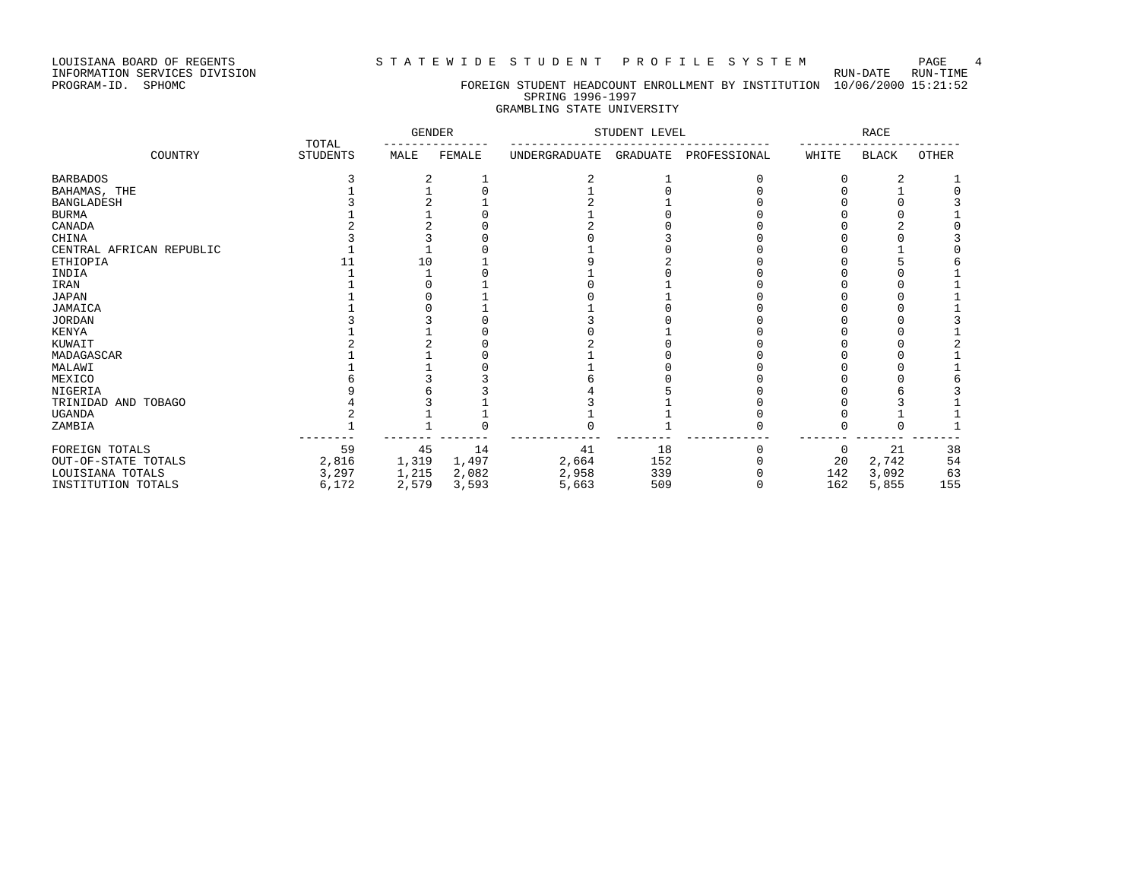### LOUISIANA BOARD OF REGENTS STATEWIDE STUDENT PROFILE SYSTEM PAGE 4

#### PROGRAM-ID. SPHOMC FOREIGN STUDENT HEADCOUNT ENROLLMENT BY INSTITUTION 10/06/2000 15:21:52 SPRING 1996-1997 GRAMBLING STATE UNIVERSITY

|                          |                          | <b>GENDER</b> |        |               | STUDENT LEVEL |              |       | RACE  |       |
|--------------------------|--------------------------|---------------|--------|---------------|---------------|--------------|-------|-------|-------|
| COUNTRY                  | TOTAL<br><b>STUDENTS</b> | MALE          | FEMALE | UNDERGRADUATE | GRADUATE      | PROFESSIONAL | WHITE | BLACK | OTHER |
| <b>BARBADOS</b>          |                          |               |        |               |               |              |       |       |       |
| BAHAMAS, THE             |                          |               |        |               |               |              |       |       |       |
| <b>BANGLADESH</b>        |                          |               |        |               |               |              |       |       |       |
| BURMA                    |                          |               |        |               |               |              |       |       |       |
| CANADA                   |                          |               |        |               |               |              |       |       |       |
| CHINA                    |                          |               |        |               |               |              |       |       |       |
| CENTRAL AFRICAN REPUBLIC |                          |               |        |               |               |              |       |       |       |
| ETHIOPIA                 |                          |               |        |               |               |              |       |       |       |
| INDIA                    |                          |               |        |               |               |              |       |       |       |
| IRAN                     |                          |               |        |               |               |              |       |       |       |
| JAPAN                    |                          |               |        |               |               |              |       |       |       |
| JAMAICA                  |                          |               |        |               |               |              |       |       |       |
| <b>JORDAN</b>            |                          |               |        |               |               |              |       |       |       |
| KENYA                    |                          |               |        |               |               |              |       |       |       |
| KUWAIT                   |                          |               |        |               |               |              |       |       |       |
| MADAGASCAR               |                          |               |        |               |               |              |       |       |       |
| MALAWI                   |                          |               |        |               |               |              |       |       |       |
| MEXICO                   |                          |               |        |               |               |              |       |       |       |
| NIGERIA                  |                          |               |        |               |               |              |       |       |       |
| TRINIDAD AND TOBAGO      |                          |               |        |               |               |              |       |       |       |
| UGANDA                   |                          |               |        |               |               |              |       |       |       |
| ZAMBIA                   |                          |               |        |               |               |              |       |       |       |
| FOREIGN TOTALS           | 59                       | 45            | 14     | 41            | 18            |              | 0     | 21    | 38    |
| OUT-OF-STATE TOTALS      | 2,816                    | 1,319         | 1,497  | 2,664         | 152           |              | 20    | 2,742 | 54    |
| LOUISIANA TOTALS         | 3,297                    | 1,215         | 2,082  | 2,958         | 339           |              | 142   | 3,092 | 63    |
| INSTITUTION TOTALS       | 6,172                    | 2,579         | 3,593  | 5,663         | 509           |              | 162   | 5,855 | 155   |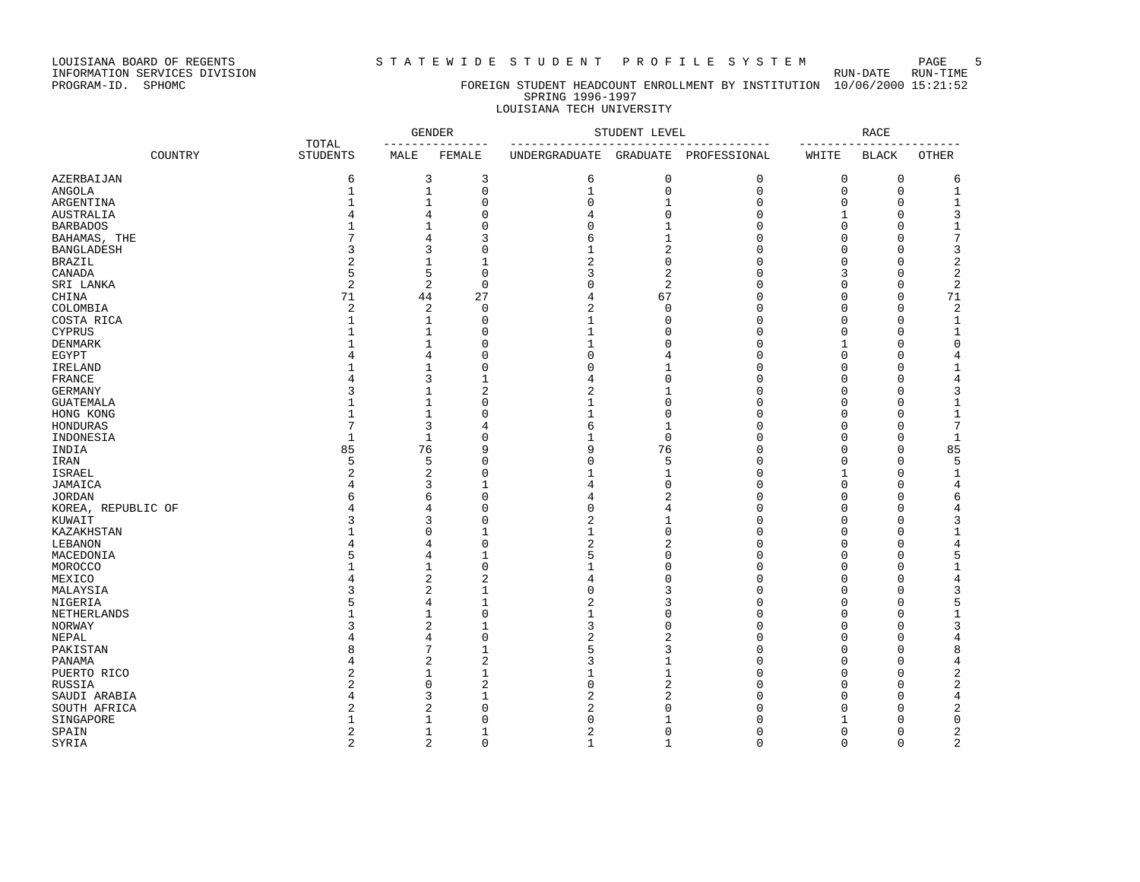### LOUISIANA BOARD OF REGENTS STRTEWIDE STUDENT PROFILE SYSTEM PAGE 5

#### PROGRAM-ID. SPHOMC FOREIGN STUDENT HEADCOUNT ENROLLMENT BY INSTITUTION 10/06/2000 15:21:52 SPRING 1996-1997 LOUISIANA TECH UNIVERSITY

|                    |                          | <b>GENDER</b><br>____________ |                                | STUDENT LEVEL                    |                         | <b>RACE</b>           |             |              |                         |
|--------------------|--------------------------|-------------------------------|--------------------------------|----------------------------------|-------------------------|-----------------------|-------------|--------------|-------------------------|
| COUNTRY            | TOTAL<br><b>STUDENTS</b> | MALE                          | FEMALE                         | ---------------<br>UNDERGRADUATE |                         | GRADUATE PROFESSIONAL | WHITE       | <b>BLACK</b> | <b>OTHER</b>            |
| AZERBAIJAN         | 6                        |                               | 3<br>3                         | 6                                | $\mathbf 0$             | 0                     | 0           | $\mathbf 0$  | 6                       |
| <b>ANGOLA</b>      | $\mathbf{1}$             | $\mathbf{1}$                  | $\mathbf{0}$                   | $\mathbf{1}$                     | $\mathbf{0}$            | 0                     | $\mathbf 0$ | $\mathbf{0}$ | $\mathbf{1}$            |
| ARGENTINA          | 1                        | $\mathbf{1}$                  | $\mathbf 0$                    | $\mathbf 0$                      | $\mathbf{1}$            | 0                     | $\mathbf 0$ | $\Omega$     | $1\,$                   |
| <b>AUSTRALIA</b>   | 4                        | 4                             | $\Omega$                       | 4                                | $\Omega$                | $\Omega$              | 1           | $\mathbf 0$  | 3                       |
| <b>BARBADOS</b>    |                          | $\mathbf{1}$                  | $\mathbf{0}$                   | $\Omega$                         | $\mathbf{1}$            | $\mathbf 0$           | $\Omega$    | $\Omega$     | $\mathbf 1$             |
| BAHAMAS, THE       | 7                        | 4                             | 3                              | 6                                | $\mathbf{1}$            | $\mathbf 0$           | $\Omega$    | $\Omega$     | 7                       |
| <b>BANGLADESH</b>  | 3                        | 3                             | $\Omega$                       | 1                                | $\overline{2}$          | 0                     | $\Omega$    | $\Omega$     | 3                       |
| <b>BRAZIL</b>      | 2                        | $\mathbf{1}$                  | $\mathbf{1}$                   | $\overline{2}$                   | $\Omega$                | $\Omega$              | $\Omega$    | $\Omega$     | $\overline{\mathbf{c}}$ |
| CANADA             | 5                        | 5                             | $\Omega$                       | 3                                | $\overline{2}$          | $\mathbf 0$           | 3           | $\Omega$     | 2                       |
| SRI LANKA          | 2                        |                               | $\overline{c}$<br>$\mathbf{0}$ | $\Omega$                         | $\overline{\mathbf{c}}$ | 0                     | $\Omega$    | $\Omega$     | $\overline{\mathbf{c}}$ |
| CHINA              | 71                       | 44                            | 27                             | $\overline{4}$                   | 67                      | 0                     | $\mathbf 0$ | $\Omega$     | 71                      |
| COLOMBIA           | $\overline{a}$           |                               | $\overline{c}$<br>$\mathbf{0}$ | $\overline{2}$                   | $\mathbf{0}$            | 0                     | 0           | $\Omega$     | $\sqrt{2}$              |
| COSTA RICA         | $\mathbf{1}$             | 1                             | $\mathbf 0$                    | 1                                | $\Omega$                | $\mathbf 0$           | $\Omega$    | $\Omega$     | $\mathbf 1$             |
| <b>CYPRUS</b>      | 1                        | $\mathbf{1}$                  | $\Omega$                       |                                  | $\Omega$                | $\mathbf 0$           | 0           | $\Omega$     | 1                       |
| DENMARK            | 1                        | $\mathbf{1}$                  | $\Omega$                       | 1                                | $\Omega$                | $\mathbf 0$           | 1           | $\Omega$     | 0                       |
| EGYPT              | 4                        | $\overline{4}$                | $\Omega$                       | $\Omega$                         | $\overline{4}$          | $\Omega$              | $\Omega$    | $\Omega$     | 4                       |
| IRELAND            | $\mathbf{1}$             | $\mathbf{1}$                  | $\mathbf 0$                    | 0                                | $\mathbf{1}$            | $\mathbf 0$           | 0           | $\Omega$     | 1                       |
|                    | 4                        | 3                             | $\mathbf{1}$                   | 4                                | $\mathbf 0$             | 0                     | $\Omega$    | $\Omega$     | $\overline{4}$          |
| FRANCE             | 3                        | $\mathbf{1}$                  |                                |                                  | $\mathbf{1}$            | 0                     | $\Omega$    | $\Omega$     |                         |
| <b>GERMANY</b>     |                          |                               | $\overline{2}$                 | 2                                |                         |                       |             |              | 3                       |
| <b>GUATEMALA</b>   | $\mathbf{1}$             | $\mathbf{1}$                  | $\mathbf{0}$                   | $\mathbf{1}$                     | $\Omega$                | 0                     | $\mathbf 0$ | $\Omega$     | $\mathbf{1}$            |
| HONG KONG          | $\mathbf{1}$             | $\mathbf{1}$                  | $\Omega$                       | $\mathbf{1}$                     | $\Omega$                | 0                     | $\Omega$    | $\Omega$     | 1                       |
| HONDURAS           | 7                        |                               | 3<br>4                         | 6                                | $\mathbf{1}$            | $\Omega$              | $\Omega$    | $\Omega$     | 7                       |
| INDONESIA          | $\mathbf{1}$             | $\mathbf{1}$                  | $\mathbf 0$                    | 1                                | $\Omega$                | $\mathbf 0$           | $\Omega$    | $\Omega$     | $\mathbf{1}$            |
| INDIA              | 85                       | 76                            | 9                              | 9                                | 76                      | 0                     | $\Omega$    | $\mathbf 0$  | 85                      |
| IRAN               | 5                        | 5                             | $\Omega$                       | $\mathbf 0$                      | 5                       | $\mathbf 0$           | $\mathbf 0$ | $\Omega$     | 5                       |
| <b>ISRAEL</b>      | 2                        | $\overline{2}$                | $\mathbf{0}$                   | 1                                | 1                       | $\mathbf 0$           | 1           | $\Omega$     | $\mathbf{1}$            |
| JAMAICA            | 4                        | 3                             | $\mathbf 1$                    | $\overline{4}$                   | $\Omega$                | 0                     | $\Omega$    | $\Omega$     | 4                       |
| <b>JORDAN</b>      | 6                        | 6                             | $\Omega$                       | 4                                | 2                       | $\Omega$              | $\Omega$    | $\Omega$     | 6                       |
| KOREA, REPUBLIC OF | 4                        | 4                             | $\mathbf 0$                    | 0                                | 4                       | 0                     | $\Omega$    | $\Omega$     | 4                       |
| KUWAIT             | 3                        | 3                             | $\mathbf{0}$                   | $\overline{2}$                   | $\mathbf{1}$            | 0                     | $\Omega$    | $\Omega$     | 3                       |
| KAZAKHSTAN         | 1                        | $\Omega$                      | $\mathbf{1}$                   | $\mathbf{1}$                     | $\Omega$                | $\Omega$              | $\Omega$    | $\Omega$     | 1                       |
| LEBANON            | 4                        | 4                             | $\Omega$                       | $\overline{2}$                   | $\overline{2}$          | $\mathbf 0$           | $\Omega$    | $\Omega$     | 4                       |
| MACEDONIA          | 5                        | 4                             | $\mathbf{1}$                   | 5                                | $\Omega$                | 0                     | $\Omega$    | $\Omega$     | 5                       |
| MOROCCO            | 1                        | $\mathbf{1}$                  | $\mathbf{0}$                   | $\mathbf{1}$                     | $\Omega$                | 0                     | 0           | $\Omega$     | $\mathbf 1$             |
| MEXICO             | 4                        | $\overline{2}$                | $\overline{2}$                 | $\overline{4}$                   | $\mathbf 0$             | 0                     | $\Omega$    | $\Omega$     | 4                       |
| MALAYSIA           | 3                        | $\overline{2}$                | $\mathbf 1$                    | $\Omega$                         | 3                       | $\mathbf 0$           | $\Omega$    | $\Omega$     | 3                       |
|                    | 5                        | $\overline{4}$                | 1                              | 2                                | 3                       | $\mathbf 0$           | $\Omega$    | $\Omega$     | 5                       |
| NIGERIA            | 1                        | $\mathbf{1}$                  | $\Omega$                       | $\mathbf{1}$                     | $\Omega$                | $\mathbf 0$           | $\Omega$    | $\Omega$     | 1                       |
| NETHERLANDS        |                          |                               |                                | 3                                | $\Omega$                | $\Omega$              | $\Omega$    | $\Omega$     |                         |
| NORWAY             | 3                        |                               | 2<br>$\mathbf{1}$              |                                  |                         |                       |             |              | 3                       |
| NEPAL              | 4                        | 4                             | $\mathbf{0}$                   | $\overline{2}$                   | $\overline{2}$          | 0                     | $\mathbf 0$ | $\Omega$     | 4                       |
| PAKISTAN           | 8                        | 7                             | $\mathbf 1$                    | 5                                | 3                       | 0                     | 0           | $\Omega$     | 8                       |
| PANAMA             | 4                        | $\overline{a}$                | 2                              | 3                                | $\mathbf{1}$            | 0                     | $\Omega$    | $\Omega$     | $\overline{4}$          |
| PUERTO RICO        | 2                        | $\mathbf{1}$                  | 1                              |                                  | 1                       | $\mathbf 0$           | $\Omega$    | $\Omega$     | 2                       |
| RUSSIA             | 2                        | $\mathbf 0$                   | 2                              | $\Omega$                         | $\overline{2}$          | $\mathbf 0$           | $\Omega$    | $\Omega$     | $\overline{\mathbf{c}}$ |
| SAUDI ARABIA       | 4                        |                               | 3<br>$\mathbf{1}$              | $\overline{2}$                   | $\overline{2}$          | $\Omega$              | $\cap$      | $\Omega$     | 4                       |
| SOUTH AFRICA       | 2                        | $\overline{a}$                | $\Omega$                       | $\overline{2}$                   | $\Omega$                | $\mathbf 0$           | $\Omega$    | $\Omega$     | 2                       |
| SINGAPORE          | 1                        | $\mathbf{1}$                  | $\mathbf 0$                    | $\Omega$                         | 1                       | $\mathbf 0$           | -1          | $\Omega$     | 0                       |
| SPAIN              | 2                        | $\mathbf{1}$                  | 1                              | $\sqrt{2}$                       | $\mathbf 0$             | 0                     | $\Omega$    | $\mathbf{0}$ | $\overline{\mathbf{c}}$ |
| SYRIA              | 2                        |                               | $\overline{2}$<br>$\Omega$     | $\mathbf{1}$                     | $\mathbf{1}$            | 0                     | $\mathbf 0$ | $\Omega$     | $\overline{2}$          |
|                    |                          |                               |                                |                                  |                         |                       |             |              |                         |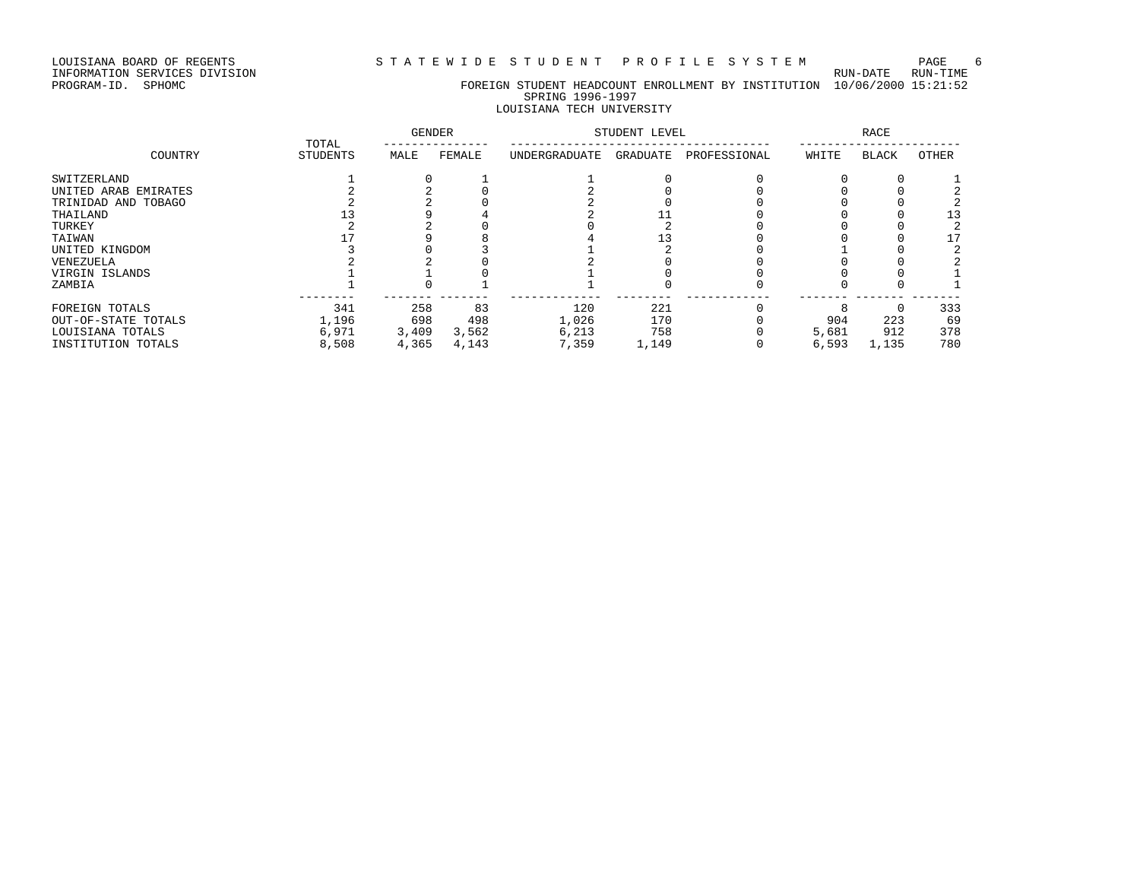LOUISIANA BOARD OF REGENTS STATEWIDE STUDENT PROFILE SYSTEM PAGE 6

INFORMATION SERVICES DIVISION RUN-DATE RUN-TIME

# PROGRAM-ID. SPHOMC FOREIGN STUDENT HEADCOUNT ENROLLMENT BY INSTITUTION 10/06/2000 15:21:52 SPRING 1996-1997

### LOUISIANA TECH UNIVERSITY

|                      | TOTAL           | <b>GENDER</b> |        |               | STUDENT LEVEL |              |       | RACE         |              |
|----------------------|-----------------|---------------|--------|---------------|---------------|--------------|-------|--------------|--------------|
| COUNTRY              | <b>STUDENTS</b> | MALE          | FEMALE | UNDERGRADUATE | GRADUATE      | PROFESSIONAL | WHITE | <b>BLACK</b> | <b>OTHER</b> |
| SWITZERLAND          |                 |               |        |               |               |              |       |              |              |
| UNITED ARAB EMIRATES |                 |               |        |               |               |              |       |              |              |
| TRINIDAD AND TOBAGO  |                 |               |        |               |               |              |       |              |              |
| THAILAND             |                 |               |        |               |               |              |       |              | 13           |
| TURKEY               |                 |               |        |               |               |              |       |              |              |
| TAIWAN               |                 |               |        |               |               |              |       |              |              |
| UNITED KINGDOM       |                 |               |        |               |               |              |       |              |              |
| VENEZUELA            |                 |               |        |               |               |              |       |              |              |
| VIRGIN ISLANDS       |                 |               |        |               |               |              |       |              |              |
| ZAMBIA               |                 |               |        |               |               |              |       |              |              |
| FOREIGN TOTALS       | 341             | 258           | 83     | 120           | 221           |              |       |              | 333          |
| OUT-OF-STATE TOTALS  | 1,196           | 698           | 498    | 1,026         | 170           |              | 904   | 223          | 69           |
| LOUISIANA TOTALS     | 6,971           | 3,409         | 3,562  | 6,213         | 758           |              | 5,681 | 912          | 378          |
| INSTITUTION TOTALS   | 8,508           | 4,365         | 4,143  | 7,359         | 1,149         |              | 6,593 | 1,135        | 780          |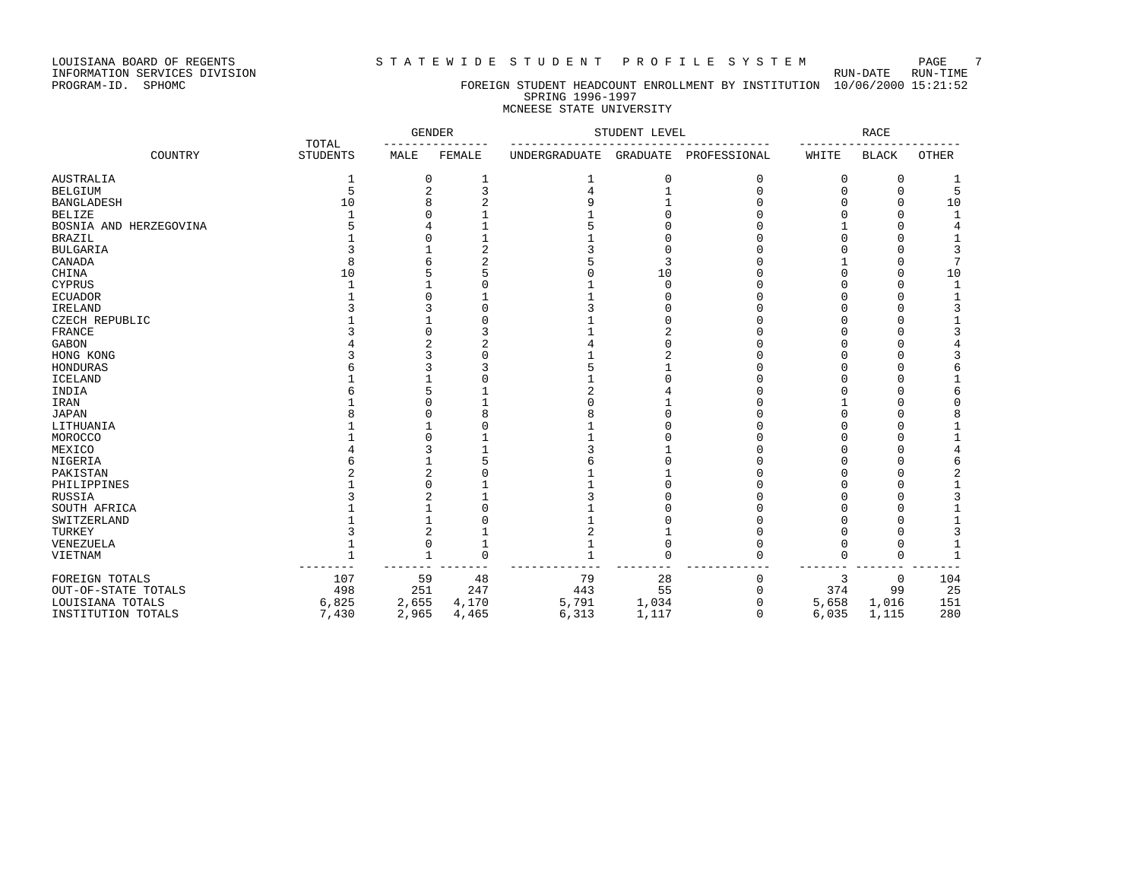LOUISIANA BOARD OF REGENTS STATEWIDE STUDENT PROFILE SYSTEM PAGE 7<br>INFORMATION SERVICES DIVISION

INFORMATION SERVICES DIVISION<br>PROGRAM-ID. SPHOMC

#### FOREIGN STUDENT HEADCOUNT ENROLLMENT BY INSTITUTION 10/06/2000 15:21:52 SPRING 1996-1997 MCNEESE STATE UNIVERSITY

|                        |                          | <b>GENDER</b> |          |               | STUDENT LEVEL |              |       | <b>RACE</b>  |              |
|------------------------|--------------------------|---------------|----------|---------------|---------------|--------------|-------|--------------|--------------|
| COUNTRY                | TOTAL<br><b>STUDENTS</b> | MALE          | FEMALE   | UNDERGRADUATE | GRADUATE      | PROFESSIONAL | WHITE | <b>BLACK</b> | <b>OTHER</b> |
| AUSTRALIA              |                          | $\Omega$      |          |               | 0             | 0            | 0     | 0            |              |
| <b>BELGIUM</b>         |                          |               |          |               |               |              |       |              | 5            |
| BANGLADESH             | 10                       |               |          |               |               |              |       |              | 10           |
| BELIZE                 |                          |               |          |               |               |              |       |              |              |
| BOSNIA AND HERZEGOVINA |                          |               |          |               |               |              |       |              |              |
| BRAZIL                 |                          |               |          |               |               |              |       |              |              |
| <b>BULGARIA</b>        |                          |               |          |               |               |              |       |              |              |
| CANADA                 |                          |               |          |               |               |              |       |              |              |
| CHINA                  | 10                       |               |          |               | 10            |              |       |              | 10           |
| CYPRUS                 |                          |               |          |               |               |              |       |              |              |
| ECUADOR                |                          |               |          |               |               |              |       |              |              |
| IRELAND                |                          |               |          |               |               |              |       |              |              |
| CZECH REPUBLIC         |                          |               |          |               |               |              |       |              |              |
| FRANCE                 |                          |               |          |               |               |              |       |              |              |
| GABON                  |                          |               |          |               |               |              |       |              |              |
| HONG KONG              |                          |               |          |               |               |              |       |              |              |
| HONDURAS               |                          |               |          |               |               |              |       |              |              |
| ICELAND                |                          |               |          |               |               |              |       |              |              |
| INDIA                  |                          |               |          |               |               |              |       |              |              |
| IRAN                   |                          |               |          |               |               |              |       |              |              |
| JAPAN                  |                          |               |          |               |               |              |       |              |              |
| LITHUANIA              |                          |               |          |               |               |              |       |              |              |
| MOROCCO                |                          |               |          |               |               |              |       |              |              |
| MEXICO                 |                          |               |          |               |               |              |       |              |              |
| NIGERIA                |                          |               |          |               |               |              |       |              |              |
| PAKISTAN               |                          |               |          |               |               |              |       |              |              |
| PHILIPPINES            |                          |               |          |               |               |              |       |              |              |
| RUSSIA                 |                          |               |          |               |               |              |       |              |              |
| SOUTH AFRICA           |                          |               |          |               |               |              |       |              |              |
| SWITZERLAND            |                          |               |          |               |               |              |       |              |              |
| TURKEY                 |                          |               |          |               |               |              |       |              |              |
| VENEZUELA              |                          | O             |          |               |               |              |       |              |              |
| VIETNAM                |                          |               | $\Omega$ |               |               |              | 0     | ∩            |              |
| FOREIGN TOTALS         | 107                      | 59            | 48       | 79            | 28            |              | 3     | 0            | 104          |
| OUT-OF-STATE TOTALS    | 498                      | 251           | 247      | 443           | 55            |              | 374   | 99           | 25           |
| LOUISIANA TOTALS       | 6,825                    | 2,655         | 4,170    | 5,791         | 1,034         |              | 5,658 | 1,016        | 151          |
| INSTITUTION TOTALS     | 7,430                    | 2,965         | 4,465    | 6,313         | 1,117         | $\Omega$     | 6,035 | 1,115        | 280          |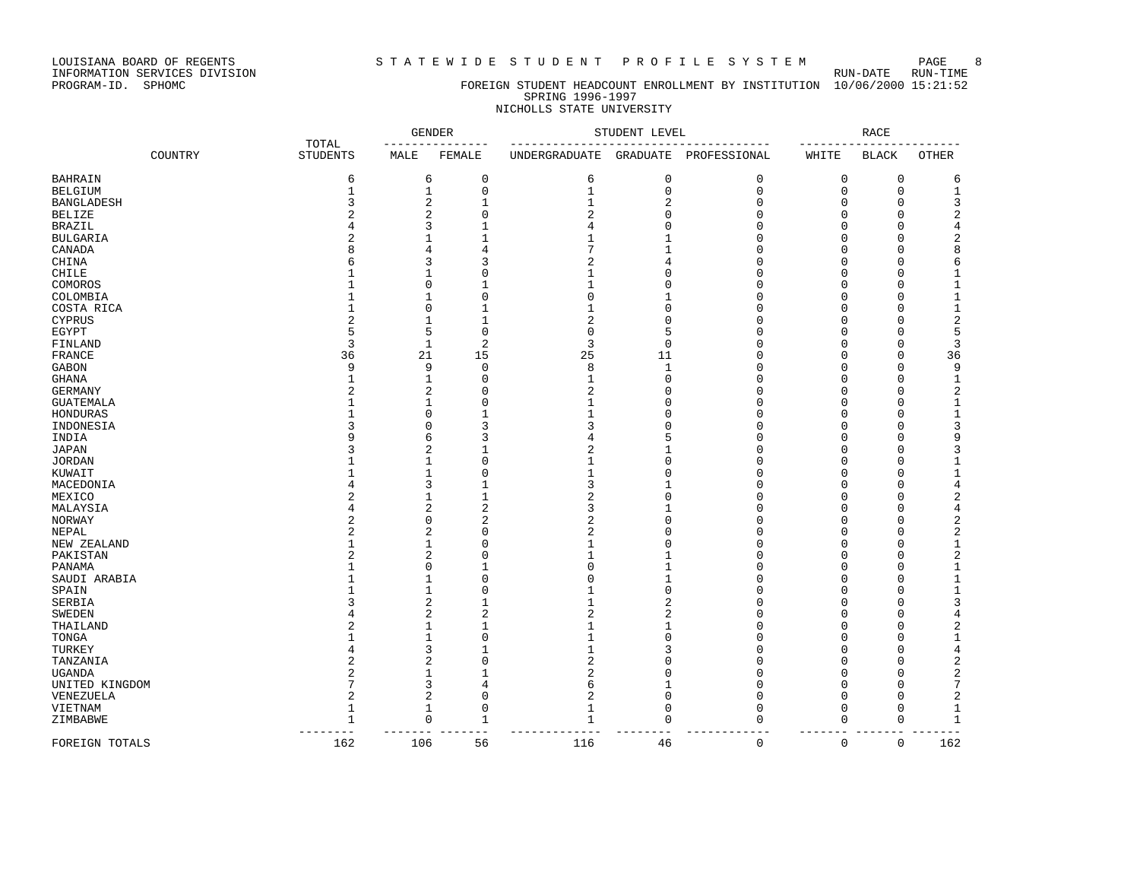LOUISIANA BOARD OF REGENTS STATEWIDE STUDENT PROFILE SYSTEM PAGE 8<br>INFORMATION SERVICES DIVISION

INFORMATION SERVICES DIVISION<br>PROGRAM-ID. SPHOMC

#### FOREIGN STUDENT HEADCOUNT ENROLLMENT BY INSTITUTION 10/06/2000 15:21:52 SPRING 1996-1997 NICHOLLS STATE UNIVERSITY

|                         |         |                          |                          | <b>GENDER</b>  |                | STUDENT LEVEL                |                            |                      | <b>RACE</b>          |                       |
|-------------------------|---------|--------------------------|--------------------------|----------------|----------------|------------------------------|----------------------------|----------------------|----------------------|-----------------------|
|                         | COUNTRY | TOTAL<br><b>STUDENTS</b> | MALE                     | FEMALE         | UNDERGRADUATE  | GRADUATE                     | PROFESSIONAL               | WHITE                | <b>BLACK</b>         | OTHER                 |
| <b>BAHRAIN</b>          |         | 6                        | 6                        | $\mathbf 0$    | 6              | $\mathbb O$                  | $\mathsf{O}\xspace$        | $\mathbf 0$          | $\mathbf 0$          | 6                     |
| <b>BELGIUM</b>          |         | $\mathbf{1}$             | $\mathbf{1}$             | $\mathbf{0}$   | $\mathbf{1}$   | $\mathbf 0$                  | $\mathbf 0$                | $\mathbf 0$          | $\mathbf 0$          | $\mathbf 1$           |
| <b>BANGLADESH</b>       |         | 3                        | 2                        | $\mathbf{1}$   | $\mathbf{1}$   | $\overline{2}$               | 0                          | 0                    | $\Omega$             | 3                     |
| <b>BELIZE</b>           |         | $\mathfrak{D}$           | 2                        | $\Omega$       | $\overline{2}$ | $\Omega$                     | $\Omega$                   | $\Omega$             | $\Omega$             | 2                     |
| <b>BRAZIL</b>           |         |                          | 3                        |                | 4              | $\Omega$                     | 0                          | $\Omega$             | $\Omega$             | 4                     |
| <b>BULGARIA</b>         |         | $\overline{c}$           |                          |                | 1              | $\mathbf{1}$                 | $\mathbf 0$                | $\Omega$             | $\Omega$             | 2                     |
| CANADA                  |         | $\mathsf{R}$             | $\overline{4}$           | 4              | 7              | $\mathbf{1}$                 | $\mathbf 0$                | $\Omega$             | $\Omega$             | 8                     |
| CHINA                   |         | 6                        | 3                        | 3              | $\overline{2}$ | $\overline{4}$               | 0                          | $\Omega$             | $\Omega$             | 6                     |
| CHILE                   |         |                          | 1                        | $\Omega$       | $\mathbf{1}$   | $\Omega$                     | $\mathbf 0$                | $\Omega$             | $\Omega$             | 1                     |
| COMOROS                 |         |                          | $\Omega$                 | $\mathbf{1}$   | $\mathbf{1}$   | $\mathbf{0}$                 | $\mathbf 0$                | $\mathbf 0$          | $\Omega$             | $\mathbf{1}$          |
| COLOMBIA                |         |                          |                          | $\Omega$       | $\Omega$       | 1                            | 0                          | 0                    | $\Omega$             | 1                     |
| COSTA RICA              |         | 1                        | $\Omega$                 | $\mathbf{1}$   | $\mathbf{1}$   | $\Omega$                     | $\mathbf 0$                | $\Omega$             | $\Omega$             | $1\,$                 |
| <b>CYPRUS</b>           |         | $\overline{c}$           | 1                        | $\mathbf{1}$   | 2              | $\Omega$                     | 0                          | $\Omega$             | $\Omega$             | 2                     |
| EGYPT                   |         | 5                        | 5                        | $\mathbf{0}$   | $\mathbf 0$    | 5                            | 0                          | $\Omega$             | $\Omega$             | 5                     |
| FINLAND                 |         | 3                        | $\mathbf{1}$             | $\overline{2}$ | 3              | $\mathbf{0}$                 | $\mathbf 0$                | $\mathbf 0$          | $\Omega$             | 3                     |
| <b>FRANCE</b>           |         | 36                       | 21                       | 15             | 25             | 11                           | $\mathbf 0$                | $\mathbf 0$          | $\Omega$             | 36                    |
| <b>GABON</b>            |         | 9                        | 9                        | $\Omega$       | 8              | $\mathbf{1}$                 | 0                          | $\Omega$             | $\Omega$             | 9                     |
| <b>GHANA</b>            |         | $\mathbf{1}$             | $\mathbf{1}$             | $\Omega$       | $\mathbf{1}$   | $\Omega$                     | $\Omega$                   | $\Omega$             | $\Omega$             | $\mathbf{1}$          |
| <b>GERMANY</b>          |         | $\mathfrak{D}$           | 2                        | $\Omega$       | $\overline{2}$ | $\Omega$                     | 0                          | $\Omega$             | $\Omega$             | 2                     |
| <b>GUATEMALA</b>        |         | 1                        | $\mathbf{1}$             | $\Omega$       | $\mathbf{1}$   | $\mathbf 0$                  | $\mathsf 0$                | 0                    | $\Omega$             | $\mathbf{1}$          |
| HONDURAS                |         |                          | $\Omega$                 | $\mathbf{1}$   | $\mathbf{1}$   | $\Omega$                     | $\mathbf 0$                | $\mathbf 0$          | $\Omega$             | $\mathbf{1}$          |
| INDONESIA               |         | 3                        | $\Omega$                 | 3              | 3              | $\Omega$                     | 0                          | $\Omega$             | $\Omega$             | 3                     |
| INDIA                   |         | Q                        | 6                        | 3              | 4              | 5                            | $\Omega$                   | $\Omega$             | $\Omega$             | 9                     |
| <b>JAPAN</b>            |         | ζ                        | $\overline{c}$           | $\mathbf{1}$   | $\overline{a}$ | $\mathbf{1}$                 | $\Omega$                   | $\Omega$             | $\Omega$             | 3                     |
| <b>JORDAN</b>           |         |                          | 1                        | $\Omega$       | $\mathbf{1}$   | $\mathbf 0$                  | $\mathsf 0$                | 0                    | $\Omega$             | $\overline{1}$        |
| KUWAIT                  |         |                          |                          | $\Omega$       | $\mathbf{1}$   | $\mathbf 0$                  | $\mathbf 0$                | $\Omega$             | $\Omega$             | $\mathbf{1}$          |
| MACEDONIA               |         |                          | 3                        | 1              | 3              | $\mathbf{1}$                 | 0                          | 0                    | $\Omega$             | 4                     |
| MEXICO                  |         | $\overline{c}$           |                          | $\mathbf{1}$   | $\overline{2}$ | $\Omega$                     | $\Omega$                   | $\Omega$             | $\Omega$             | 2                     |
| MALAYSIA                |         | $\overline{4}$           | 2                        | $\overline{2}$ | 3              | $\mathbf{1}$                 | 0                          | $\Omega$             | $\Omega$             | 4                     |
| NORWAY                  |         | $\overline{a}$           | $\mathbf 0$              | $\overline{c}$ | $\overline{2}$ | $\mathbf{0}$                 | 0                          | 0                    | $\Omega$             | 2                     |
| NEPAL                   |         | $\overline{a}$           | $\overline{c}$           | $\Omega$       | 2              | $\mathbf{0}$                 | $\mathbf 0$                | $\mathbf 0$          | $\Omega$             | 2                     |
| NEW ZEALAND             |         |                          | $\mathbf{1}$             | $\Omega$       | $\mathbf{1}$   | $\Omega$                     | $\Omega$                   | $\Omega$             | $\Omega$             | $\mathbf{1}$          |
| PAKISTAN                |         | 1                        | $\overline{c}$           | $\Omega$       | 1<br>$\Omega$  | $\mathbf{1}$                 | $\Omega$                   | $\Omega$             | $\Omega$<br>$\Omega$ | 2                     |
| PANAMA                  |         | $\mathbf{1}$             | $\Omega$<br>$\mathbf{1}$ | 1<br>$\Omega$  | $\Omega$       | $\mathbf{1}$<br>$\mathbf{1}$ | $\mathbf 0$<br>$\mathbf 0$ | $\Omega$<br>$\Omega$ | $\Omega$             | $1\,$<br>$\mathbf{1}$ |
| SAUDI ARABIA            |         |                          | $\mathbf{1}$             | $\Omega$       |                | $\mathbf{0}$                 |                            |                      | $\Omega$             |                       |
| SPAIN                   |         | २                        |                          | -1             | $\mathbf{1}$   | $\overline{c}$               | 0<br>$\mathbf 0$           | $\Omega$<br>$\Omega$ | $\Omega$             | 1<br>3                |
| SERBIA<br><b>SWEDEN</b> |         |                          | 2<br>$\overline{c}$      | $\overline{a}$ | 2              | $\overline{2}$               | $\Omega$                   | $\Omega$             | $\Omega$             | 4                     |
| THAILAND                |         | $\overline{2}$           | $\mathbf{1}$             | 1              | $\mathbf{1}$   | 1                            | $\mathbf 0$                | 0                    | $\Omega$             | 2                     |
| TONGA                   |         | $\mathbf{1}$             | $\mathbf{1}$             | $\Omega$       | $\mathbf{1}$   | $\Omega$                     | $\Omega$                   | $\Omega$             | $\Omega$             | 1                     |
| TURKEY                  |         | $\overline{4}$           | 3                        | 1              | 1              | 3                            | 0                          | $\Omega$             | $\Omega$             | 4                     |
| TANZANIA                |         | $\overline{c}$           | 2                        | $\Omega$       | $\overline{2}$ | $\Omega$                     | 0                          | $\Omega$             | $\Omega$             | 2                     |
| <b>UGANDA</b>           |         | $\overline{c}$           |                          |                | $\overline{2}$ | $\Omega$                     | $\Omega$                   | $\Omega$             | $\Omega$             | 2                     |
| UNITED KINGDOM          |         | 7                        | 3                        | $\overline{4}$ | 6              | $\mathbf{1}$                 | $\mathsf 0$                | $\mathbf 0$          | $\Omega$             | 7                     |
| VENEZUELA               |         | $\overline{2}$           | $\overline{2}$           | $\Omega$       | $\overline{2}$ | $\Omega$                     | $\mathbf 0$                | $\Omega$             | $\Omega$             | 2                     |
| VIETNAM                 |         | $\mathbf{1}$             | $\mathbf{1}$             | $\mathbf 0$    | 1              | $\Omega$                     | 0                          | 0                    | 0                    | $\mathbf 1$           |
| ZIMBABWE                |         | $\mathbf{1}$             | $\Omega$                 | 1              | $\mathbf{1}$   | $\Omega$                     | $\mathbf 0$                | $\mathbf 0$          | $\mathbf 0$          | $\mathbf{1}$          |
|                         |         |                          |                          |                |                |                              |                            |                      |                      |                       |
| FOREIGN TOTALS          |         | 162                      | 106                      | 56             | 116            | 46                           | 0                          | $\mathbf 0$          | $\mathbf 0$          | 162                   |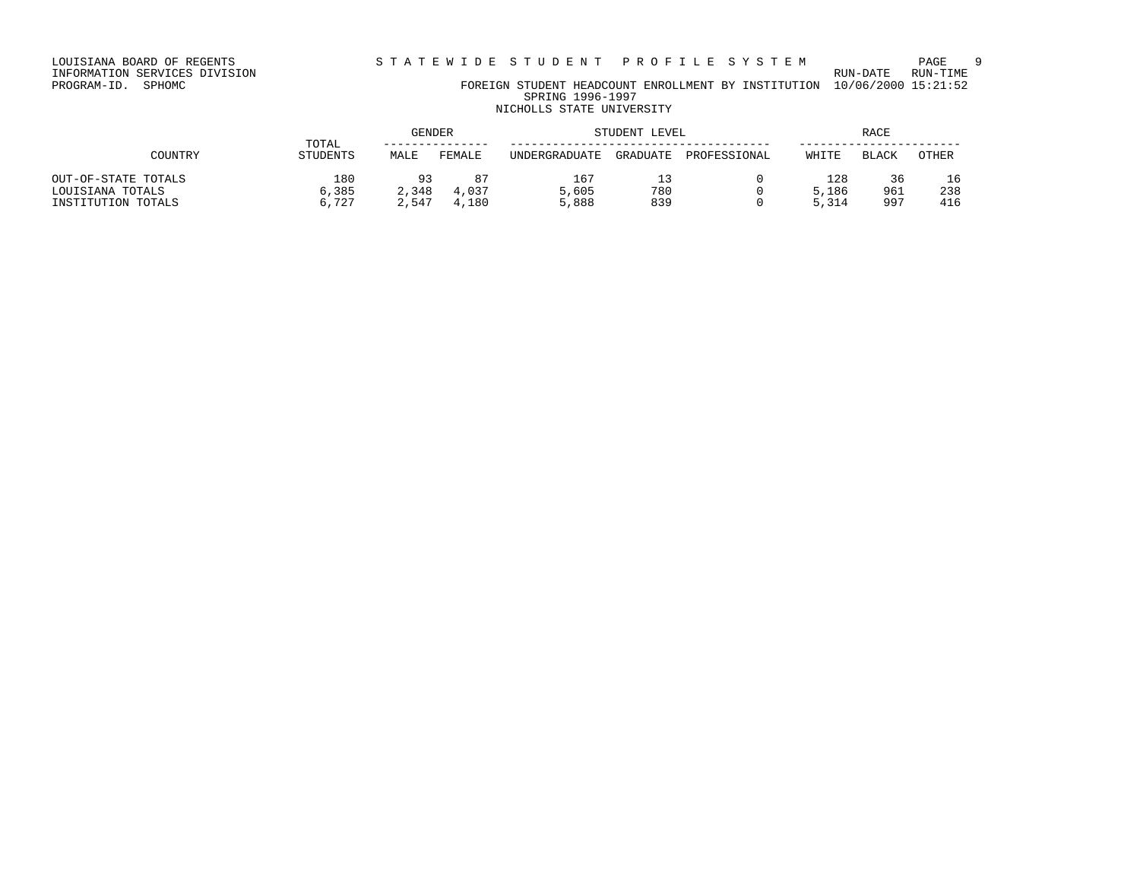# INFORMATION SERVICES DIVISION RUN-DATE RUN-TIME

PROGRAM-ID. SPHOMC FOREIGN STUDENT HEADCOUNT ENROLLMENT BY INSTITUTION 10/06/2000 15:21:52 SPRING 1996-1997 NICHOLLS STATE UNIVERSITY

# GENDER STUDENT LEVEL RACE TOTAL --------------- ------------------------------------- ----------------------- COUNTRY STUDENTS MALE FEMALE UNDERGRADUATE GRADUATE PROFESSIONAL WHITE BLACK OTHER OUT-OF-STATE TOTALS 180 93 87 167 13 0 128 36 16 LOUISIANA TOTALS 6,385 2,348 4,037 5,605 780 0 5,186 961 238 INSTITUTION TOTALS 6,727 2,547 4,180 5,888 839 0 5,314 997 416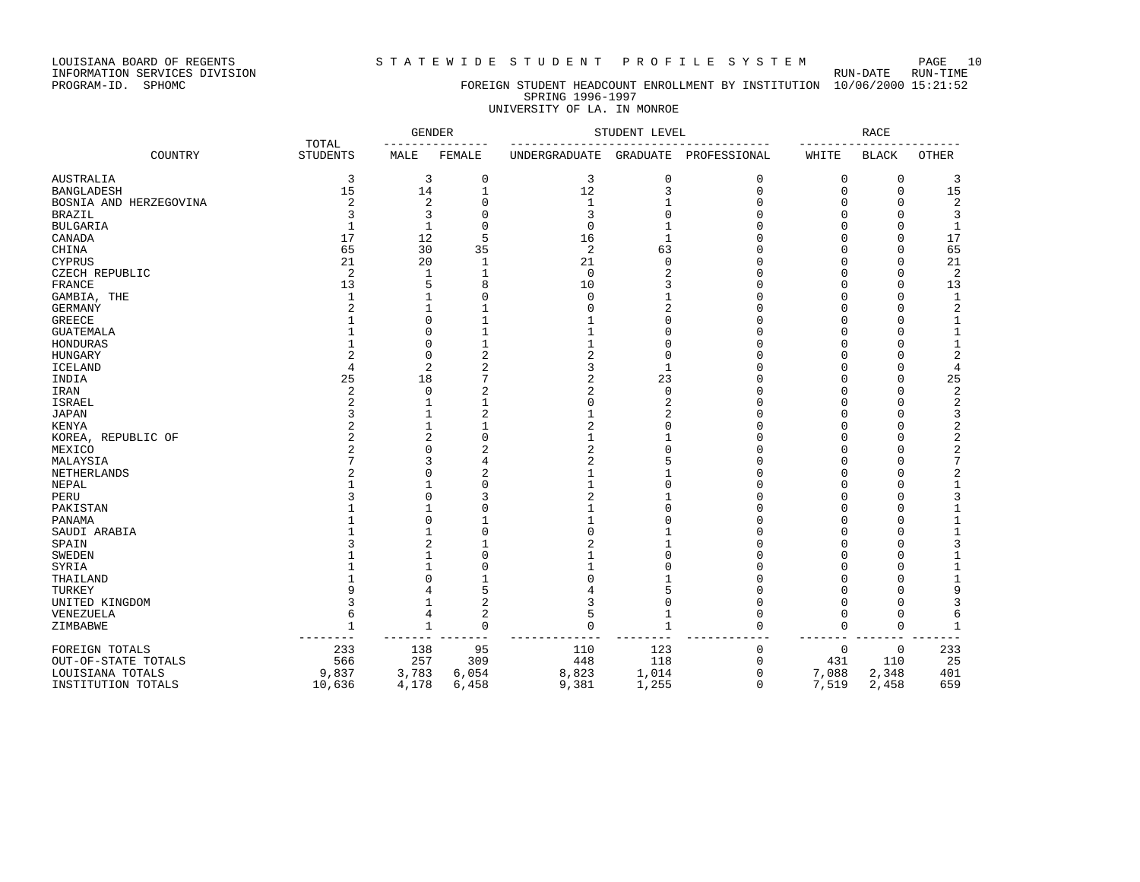LOUISIANA BOARD OF REGENTS S T A T E W I D E S T U D E N T P R O F I L E S Y S T E M PAGE 10

# PROGRAM-ID. SPHOMC FOREIGN STUDENT HEADCOUNT ENROLLMENT BY INSTITUTION 10/06/2000 15:21:52 SPRING 1996-1997

# UNIVERSITY OF LA. IN MONROE

|                        | TOTAL           |                |                | STUDENT LEVEL  |                 | <b>RACE</b>  |          |              |                |
|------------------------|-----------------|----------------|----------------|----------------|-----------------|--------------|----------|--------------|----------------|
| COUNTRY                | <b>STUDENTS</b> | MALE           | FEMALE         | UNDERGRADUATE  | <b>GRADUATE</b> | PROFESSIONAL | WHITE    | <b>BLACK</b> | <b>OTHER</b>   |
| AUSTRALIA              | 3               | 3              | 0              | 3              | 0               | 0            | 0        | 0            | 3              |
| <b>BANGLADESH</b>      | 15              | 14             |                | 12             | 3               | $\mathbf 0$  | 0        | 0            | 15             |
| BOSNIA AND HERZEGOVINA | 2               | 2              | $\Omega$       | 1              |                 | n            | U        | $\Omega$     | 2              |
| <b>BRAZIL</b>          | 3               | 3              | $\Omega$       | 3              | U               | $\cap$       | U        | $\Omega$     | 3              |
| <b>BULGARIA</b>        | $\mathbf{1}$    | $\mathbf{1}$   | $\Omega$       | $\mathbf 0$    |                 | n            | U        | $\Omega$     | $\mathbf{1}$   |
| CANADA                 | 17              | 12             | 5              | 16             | -1              | $\cap$       | U        | $\Omega$     | 17             |
| CHINA                  | 65              | 30             | 35             | 2              | 63              |              | U        | $\Omega$     | 65             |
| <b>CYPRUS</b>          | 21              | 20             | 1              | 21             | $\Omega$        | n            | U        | $\Omega$     | 21             |
| CZECH REPUBLIC         | 2               | 1              |                | 0              | 2               |              | U        | $\Omega$     | 2              |
| FRANCE                 | 13              | 5              | 8              | 10             |                 |              | ∩        | $\Omega$     | 13             |
| GAMBIA, THE            | $\mathbf{1}$    |                | $\Omega$       | $\mathbf 0$    |                 |              |          | $\Omega$     | $\mathbf{1}$   |
| <b>GERMANY</b>         | 2               |                |                | $\Omega$       | 2               |              |          | $\Omega$     | $\overline{c}$ |
| <b>GREECE</b>          |                 | $\Omega$       |                |                | Ω               |              | U        | $\Omega$     | $\mathbf 1$    |
| <b>GUATEMALA</b>       |                 | <sup>n</sup>   |                |                | U               | n            | U        | $\Omega$     | $\mathbf 1$    |
| HONDURAS               |                 | $\Omega$       |                | 1              | Ω               |              | U        | $\Omega$     | $\mathbf{1}$   |
| HUNGARY                |                 | $\Omega$       | $\overline{2}$ | $\overline{2}$ | 0               |              | U        | $\Omega$     | $\overline{2}$ |
| <b>ICELAND</b>         | 4               | $\overline{c}$ | 2              | 3              | $\mathbf{1}$    |              | ∩        | $\Omega$     | $\overline{4}$ |
| INDIA                  | 25              | 18             | $\mathbf{r}$   | 2              | 23              |              | U        | $\Omega$     | 25             |
| IRAN                   | 2               | $\Omega$       | $\overline{2}$ | 2              | $\Omega$        |              | ∩        | $\Omega$     | $\sqrt{2}$     |
| <b>ISRAEL</b>          | 2               |                |                | $\Omega$       | $\overline{2}$  |              |          | $\Omega$     | $\sqrt{2}$     |
| <b>JAPAN</b>           | 3               |                | $\overline{2}$ | 1              | 2               |              |          | $\Omega$     | 3              |
| <b>KENYA</b>           | 2               |                |                | $\overline{2}$ | 0               |              | O        | $\Omega$     | $\sqrt{2}$     |
| KOREA, REPUBLIC OF     |                 | 2              | $\Omega$       |                |                 |              | U        | $\Omega$     | $\overline{c}$ |
| MEXICO                 | 2               | U              | $\overline{2}$ | 2              |                 |              | U        | $\Omega$     | $\overline{c}$ |
| MALAYSIA               |                 | 3              |                | 2              |                 |              | U        | $\Omega$     | 7              |
| NETHERLANDS            | 2               | Ω              | $\overline{c}$ | $\mathbf{1}$   |                 |              | O        | $\Omega$     | $\overline{c}$ |
| NEPAL                  |                 |                |                | $\mathbf{1}$   |                 |              | U        | $\Omega$     | $\mathbf{1}$   |
| PERU                   |                 | $\Omega$       | 3              | $\overline{a}$ |                 |              | U        | $\Omega$     | 3              |
| PAKISTAN               |                 |                |                | $\mathbf{1}$   |                 |              | U        | $\Omega$     | $\mathbf{1}$   |
| PANAMA                 |                 | $\Omega$       |                | $\mathbf{1}$   |                 |              | U        | $\Omega$     | $\mathbf{1}$   |
| SAUDI ARABIA           |                 | 1              | $\Omega$       | $\Omega$       |                 |              | O        | $\Omega$     | $1\,$          |
| SPAIN                  |                 | $\overline{2}$ |                | $\overline{c}$ |                 |              |          | $\Omega$     | 3              |
| SWEDEN                 |                 |                |                |                |                 |              | U        | $\Omega$     | $\mathbf{1}$   |
| SYRIA                  |                 |                | $\Omega$       |                | U               | n            | U        | $\Omega$     | $\mathbf{1}$   |
| THAILAND               |                 |                |                | O              |                 |              | O        | $\Omega$     | $\mathbf{1}$   |
| TURKEY                 | q               |                | 5              |                |                 |              | O        | $\Omega$     | 9              |
| UNITED KINGDOM         |                 | 1              | 2              | ς              | Ω               | $\cap$       | $\Omega$ | $\Omega$     | $\overline{3}$ |
| VENEZUELA              | 6               | 4              | $\overline{a}$ | 5              | $\mathbf{1}$    | $\Omega$     | $\Omega$ | $\Omega$     | 6              |
| ZIMBABWE               | $\mathbf{1}$    | $\mathbf{1}$   | $\Omega$       | $\Omega$       | $\overline{1}$  | $\cap$       | $\Omega$ | $\Omega$     | $\mathbf{1}$   |
| FOREIGN TOTALS         | 233             | 138            | 95             | 110            | 123             | $\Omega$     | 0        | $\mathbf 0$  | 233            |
| OUT-OF-STATE TOTALS    | 566             | 257            | 309            | 448            | 118             | $\mathbf 0$  | 431      | 110          | 25             |
| LOUISIANA TOTALS       | 9,837           | 3,783          | 6,054          | 8,823          | 1,014           | $\Omega$     | 7,088    | 2,348        | 401            |
| INSTITUTION TOTALS     | 10,636          | 4,178          | 6,458          | 9,381          | 1,255           | $\Omega$     | 7,519    | 2,458        | 659            |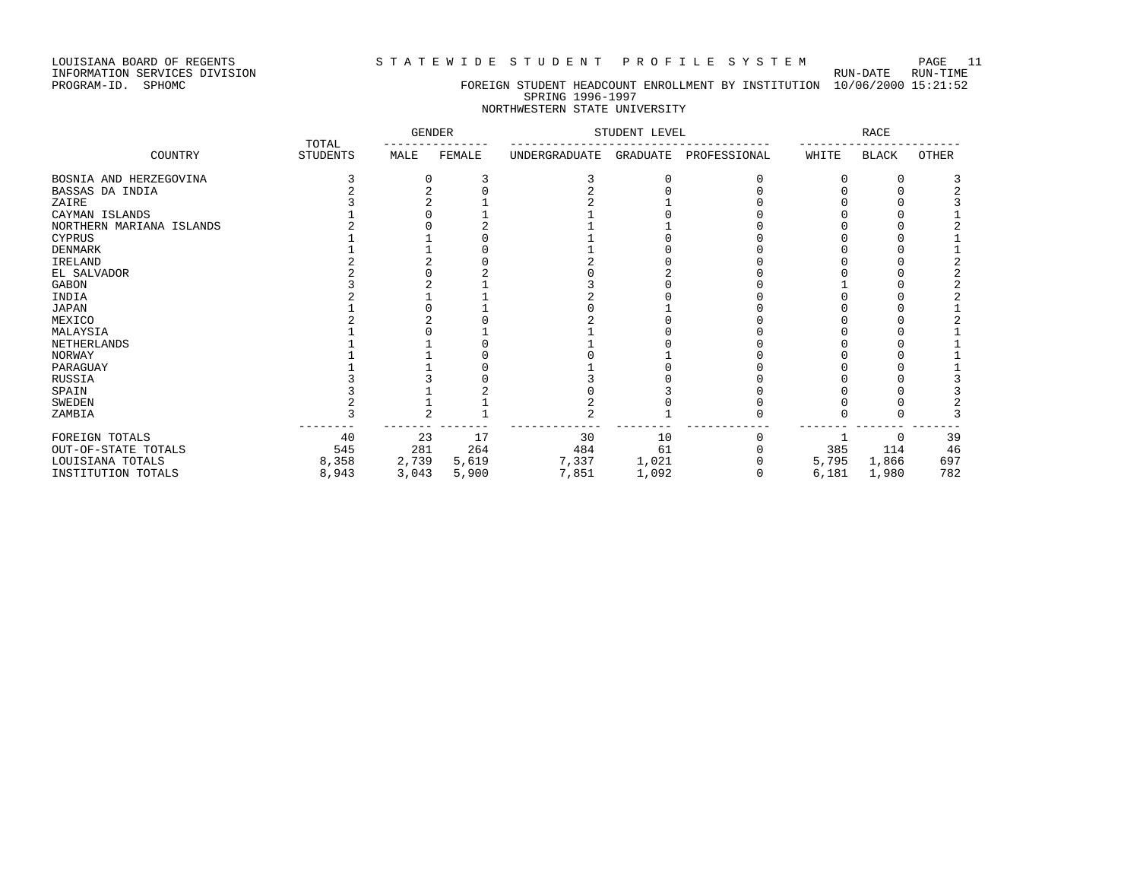INFORMATION SERVICES DIVISION RUN-DATE RUN-TIME

#### PROGRAM-ID. SPHOMC FOREIGN STUDENT HEADCOUNT ENROLLMENT BY INSTITUTION 10/06/2000 15:21:52 SPRING 1996-1997 NORTHWESTERN STATE UNIVERSITY

|                          |                          | <b>GENDER</b> |        | STUDENT LEVEL |          |              | <b>RACE</b> |              |       |
|--------------------------|--------------------------|---------------|--------|---------------|----------|--------------|-------------|--------------|-------|
| COUNTRY                  | TOTAL<br><b>STUDENTS</b> | MALE          | FEMALE | UNDERGRADUATE | GRADUATE | PROFESSIONAL | WHITE       | <b>BLACK</b> | OTHER |
| BOSNIA AND HERZEGOVINA   |                          |               |        |               |          |              |             |              |       |
| BASSAS DA INDIA          |                          |               |        |               |          |              |             |              |       |
| ZAIRE                    |                          |               |        |               |          |              |             |              |       |
| CAYMAN ISLANDS           |                          |               |        |               |          |              |             |              |       |
| NORTHERN MARIANA ISLANDS |                          |               |        |               |          |              |             |              |       |
| CYPRUS                   |                          |               |        |               |          |              |             |              |       |
| DENMARK                  |                          |               |        |               |          |              |             |              |       |
| IRELAND                  |                          |               |        |               |          |              |             |              |       |
| EL SALVADOR              |                          |               |        |               |          |              |             |              |       |
| GABON                    |                          |               |        |               |          |              |             |              |       |
| INDIA                    |                          |               |        |               |          |              |             |              |       |
| JAPAN                    |                          |               |        |               |          |              |             |              |       |
| MEXICO                   |                          |               |        |               |          |              |             |              |       |
| MALAYSIA                 |                          |               |        |               |          |              |             |              |       |
| NETHERLANDS              |                          |               |        |               |          |              |             |              |       |
| NORWAY                   |                          |               |        |               |          |              |             |              |       |
| PARAGUAY                 |                          |               |        |               |          |              |             |              |       |
| RUSSIA                   |                          |               |        |               |          |              |             |              |       |
| SPAIN                    |                          |               |        |               |          |              |             |              |       |
| SWEDEN                   |                          |               |        |               |          |              |             |              |       |
| ZAMBIA                   |                          |               |        |               |          |              |             |              |       |
| FOREIGN TOTALS           | 40                       | 23            | 17     | 30            | 10       |              |             |              | 39    |
| OUT-OF-STATE TOTALS      | 545                      | 281           | 264    | 484           | 61       |              | 385         | 114          | 46    |
| LOUISIANA TOTALS         | 8,358                    | 2,739         | 5,619  | 7,337         | 1,021    |              | 5,795       | 1,866        | 697   |
| INSTITUTION TOTALS       | 8,943                    | 3,043         | 5,900  | 7,851         | 1,092    |              | 6,181       | 1,980        | 782   |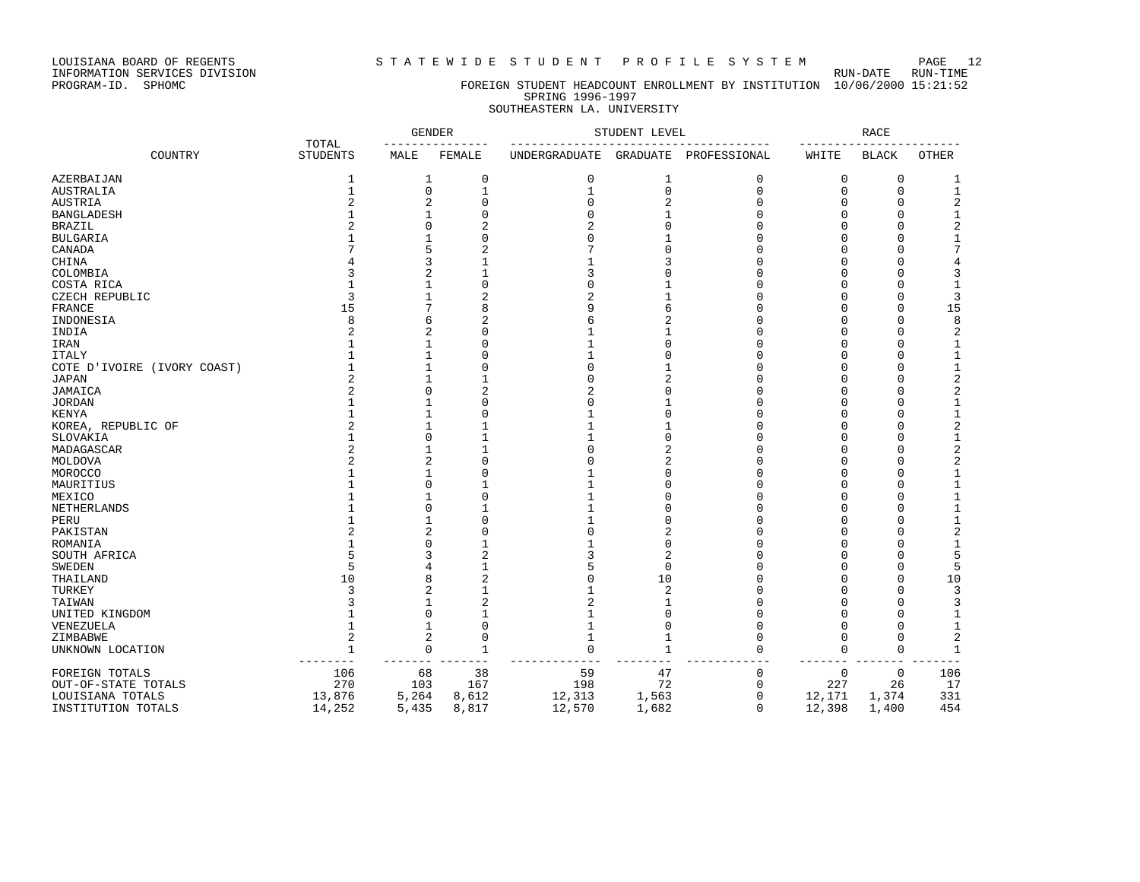INFORMATION SERVICES DIVISION RUN-DATE RUN-TIME

# PROGRAM-ID. SPHOMC FOREIGN STUDENT HEADCOUNT ENROLLMENT BY INSTITUTION 10/06/2000 15:21:52 SPRING 1996-1997

# SOUTHEASTERN LA. UNIVERSITY

| TOTAL                                       |                 |                | <b>GENDER</b>  | STUDENT LEVEL  |                |                    | RACE        |              |                |
|---------------------------------------------|-----------------|----------------|----------------|----------------|----------------|--------------------|-------------|--------------|----------------|
| COUNTRY                                     | <b>STUDENTS</b> | MALE           | FEMALE         | UNDERGRADUATE  | GRADUATE       | PROFESSIONAL       | WHITE       | <b>BLACK</b> | <b>OTHER</b>   |
| AZERBAIJAN                                  | 1               | 1              | $\mathbf 0$    | 0              | 1              | 0                  | 0           | 0            | 1              |
| AUSTRALIA                                   | 1               | $\mathbf 0$    |                | 1              | $\mathbf 0$    | $\mathbf{0}$       | 0           | 0            | $\mathbf{1}$   |
| <b>AUSTRIA</b>                              |                 | $\overline{2}$ | $\Omega$       | $\Omega$       | 2              | $\Omega$           | O           | $\Omega$     | 2              |
| <b>BANGLADESH</b>                           |                 |                | O              | $\Omega$       |                | $\Omega$           | 0           | 0            | 1              |
| <b>BRAZIL</b>                               |                 | $\cap$         | $\overline{c}$ | $\overline{c}$ | $\Omega$       | $\Omega$           | O           | $\Omega$     | $\sqrt{2}$     |
| <b>BULGARIA</b>                             |                 |                | $\Omega$       | $\Omega$       |                | $\Omega$           | 0           | $\Omega$     | $\mathbf{1}$   |
| CANADA                                      |                 |                | $\overline{2}$ |                |                | $\Omega$           | 0           | $\Omega$     | 7              |
| CHINA                                       |                 | κ              |                |                |                | $\Omega$           | O           | $\Omega$     | 4              |
| COLOMBIA                                    |                 | $\overline{2}$ |                | 3              | C              | $\Omega$           | O           | $\Omega$     | 3              |
| COSTA RICA                                  |                 |                | $\Omega$       | O              |                | $\Omega$           | 0           | $\Omega$     | $\mathbf{1}$   |
| CZECH REPUBLIC                              | 3               |                | $\overline{2}$ | $\overline{a}$ |                | $\Omega$           | 0           | $\Omega$     | 3              |
| FRANCE                                      | 15              |                | 8              | q              | б              | $\Omega$           | U           | $\Omega$     | 15             |
| INDONESIA                                   | 8               | 6              | $\overline{c}$ | 6              | 2              | $\cap$             | O           | $\Omega$     | 8              |
| INDIA                                       | $\overline{a}$  | $\overline{2}$ | $\Omega$       |                |                | $\Omega$           | 0           | $\Omega$     | $\sqrt{2}$     |
| IRAN                                        |                 |                | $\Omega$       |                | $\cap$         | $\Omega$           | 0           | $\Omega$     | 1              |
|                                             |                 |                | O              |                | C              | $\Omega$           | O           | $\Omega$     | 1              |
| <b>ITALY</b><br>COTE D'IVOIRE (IVORY COAST) |                 | 1              | $\Omega$       | $\Omega$       |                | $\cap$             | O           | $\Omega$     | 1              |
|                                             | 2               | 1              |                | $\Omega$       | 2              | $\Omega$           | 0           | $\Omega$     |                |
| <b>JAPAN</b>                                |                 | $\Omega$       |                |                | $\Omega$       | $\Omega$           |             |              | $\sqrt{2}$     |
| JAMAICA                                     |                 |                | 2              | 2              |                |                    | 0           | $\Omega$     | $\sqrt{2}$     |
| <b>JORDAN</b>                               |                 |                | ∩              | U              | $\cap$         | $\Omega$<br>$\cap$ | O           | $\Omega$     | $\mathbf{1}$   |
| <b>KENYA</b>                                |                 |                | $\Omega$       |                |                |                    | O           | $\Omega$     | $\mathbf{1}$   |
| KOREA, REPUBLIC OF                          | 2               | 1              |                |                |                | $\Omega$           | 0           | $\Omega$     | $\sqrt{2}$     |
| SLOVAKIA                                    |                 | $\Omega$       |                |                | $\Omega$       | $\Omega$           | O           | $\Omega$     | $\mathbf{1}$   |
| MADAGASCAR                                  |                 |                |                | O              | 2              | $\Omega$           | O           | $\Omega$     | $\overline{c}$ |
| MOLDOVA                                     |                 | 2              | O              | n              | 2              | $\cap$             | U           | $\Omega$     | $\sqrt{2}$     |
| MOROCCO                                     |                 | 1              | $\Omega$       |                | $\Omega$       | $\Omega$           | 0           | $\Omega$     | $\mathbf{1}$   |
| MAURITIUS                                   |                 | $\Omega$       |                |                | C              | $\Omega$           | O           | $\Omega$     | $\mathbf{1}$   |
| MEXICO                                      |                 |                | $\Omega$       |                | C              | $\Omega$           | O           | $\Omega$     | $\mathbf{1}$   |
| NETHERLANDS                                 |                 | n              |                |                | C              | $\cap$             | U           | $\Omega$     | 1              |
| PERU                                        |                 |                | $\Omega$       |                | C              | $\Omega$           | 0           | $\Omega$     | $\mathbf{1}$   |
| PAKISTAN                                    |                 | 2              | $\Omega$       | $\Omega$       |                | $\Omega$           | O           | $\Omega$     | $\overline{c}$ |
| ROMANIA                                     |                 | U              |                |                | $\Omega$       | $\Omega$           | 0           | $\Omega$     | $\mathbf{1}$   |
| SOUTH AFRICA                                |                 | ٦              | 2              | ς              | 2              | $\cap$             | O           | $\Omega$     | 5              |
| <b>SWEDEN</b>                               | 5               |                |                |                | $\Omega$       | $\Omega$           | 0           | $\Omega$     | 5              |
| THAILAND                                    | 10              | 8              | $\overline{2}$ | C              | 10             | $\Omega$           | 0           | $\Omega$     | 10             |
| TURKEY                                      | 3               | $\overline{a}$ |                |                | $\overline{c}$ | $\Omega$           | 0           | $\Omega$     | 3              |
| TAIWAN                                      |                 |                | 2              | $\overline{a}$ |                | $\cap$             | O           | $\Omega$     | 3              |
| UNITED KINGDOM                              |                 | $\Omega$       |                |                | $\cap$         | $\Omega$           | 0           | $\Omega$     | $\mathbf{1}$   |
| VENEZUELA                                   |                 | 1              | $\Omega$       |                | $\bigcap$      | $\Omega$           | 0           | $\Omega$     | $\mathbf{1}$   |
| ZIMBABWE                                    | 2               | $\overline{2}$ | $\Omega$       |                | $\mathbf{1}$   | $\Omega$           | 0           | $\mathbf 0$  | $\overline{2}$ |
| UNKNOWN LOCATION                            | $\mathbf{1}$    | $\mathbf 0$    | 1              | $\cap$         | 1              | $\Omega$           | 0           | $\Omega$     | 1              |
| FOREIGN TOTALS                              | 106             | 68             | 38             | 59             | 47             | $\mathbf 0$        | $\mathsf 0$ | 0            | 106            |
| OUT-OF-STATE TOTALS                         | 270             | 103            | 167            | 198            | 72             | $\mathbf 0$        | 227         | 26           | 17             |
| LOUISIANA TOTALS                            | 13,876          | 5,264          | 8,612          | 12,313         | 1,563          | $\mathbf 0$        | 12,171      | 1,374        | 331            |
| INSTITUTION TOTALS                          | 14,252          | 5,435          | 8,817          | 12,570         | 1,682          | $\Omega$           | 12,398      | 1,400        | 454            |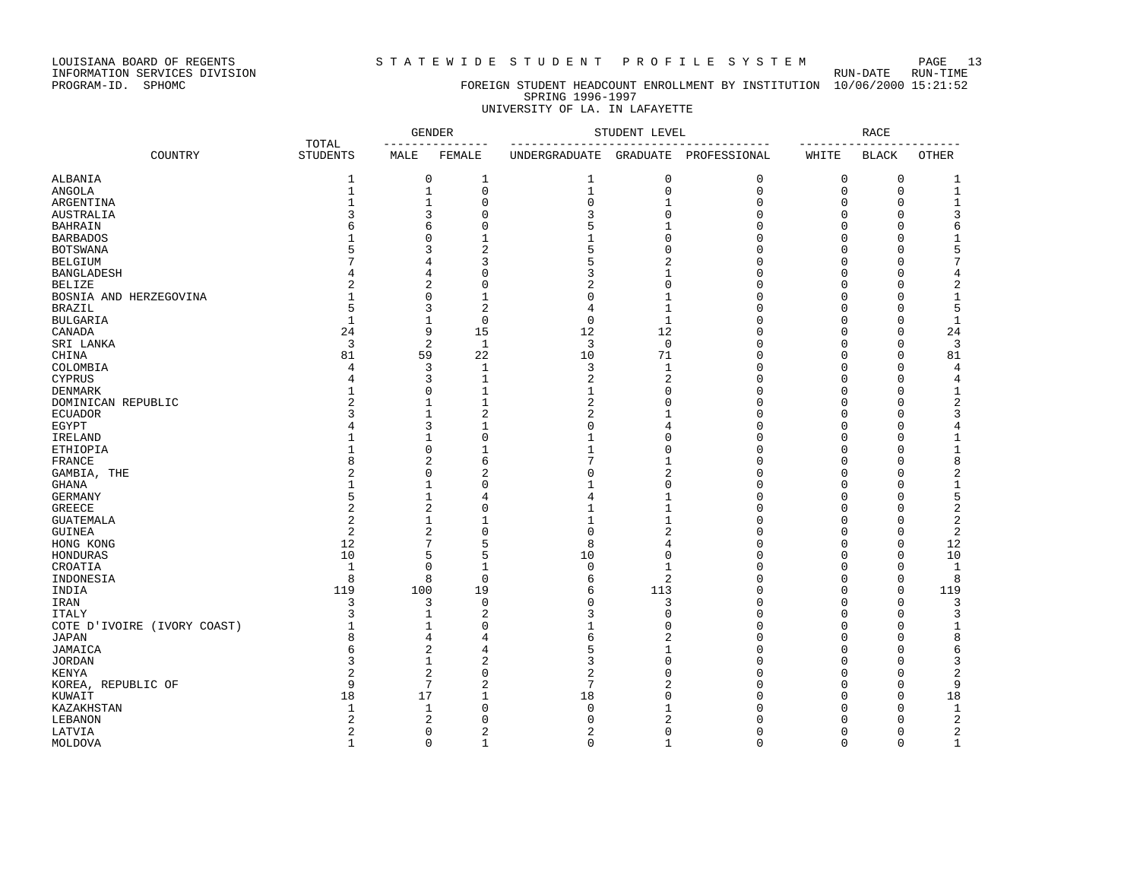LOUISIANA BOARD OF REGENTS STATEWIDE STUDENT PROFILE SYSTEM PAGE 13

# PROGRAM-ID. SPHOMC FOREIGN STUDENT HEADCOUNT ENROLLMENT BY INSTITUTION 10/06/2000 15:21:52 SPRING 1996-1997

## UNIVERSITY OF LA. IN LAFAYETTE

| TOTAL                       |                  |                | <b>GENDER</b>  | STUDENT LEVEL                   |                | <b>RACE</b>  |          |              |                |
|-----------------------------|------------------|----------------|----------------|---------------------------------|----------------|--------------|----------|--------------|----------------|
| COUNTRY                     | <b>STUDENTS</b>  | MALE           | FEMALE         | --------------<br>UNDERGRADUATE | GRADUATE       | PROFESSIONAL | WHITE    | <b>BLACK</b> | <b>OTHER</b>   |
| ALBANIA                     | 1                | 0              | 1              | 1                               | 0              | 0            | 0        | 0            | 1              |
| <b>ANGOLA</b>               | $\mathbf{1}$     | $\mathbf 1$    | $\Omega$       | $1\,$                           | 0              | $\mathbf 0$  | 0        | $\mathbf 0$  | $1\,$          |
| ARGENTINA                   | $\mathbf{1}$     | $\mathbf{1}$   | $\Omega$       | 0                               | $\mathbf{1}$   | $\mathbf 0$  | 0        | $\mathbf 0$  | $\mathbf{1}$   |
| AUSTRALIA                   | 3                | 3              | $\Omega$       | 3                               | $\mathbf 0$    | $\mathbf 0$  | $\Omega$ | $\Omega$     | 3              |
| <b>BAHRAIN</b>              | 6                | 6              | $\Omega$       | 5                               | $\mathbf{1}$   | $\mathbf 0$  | 0        | $\mathbf 0$  | $\epsilon$     |
| <b>BARBADOS</b>             | 1                | $\Omega$       | $\mathbf{1}$   | $\mathbf{1}$                    | $\Omega$       | $\mathbf 0$  | 0        | $\mathbf 0$  | $\mathbf{1}$   |
| <b>BOTSWANA</b>             | 5                | 3              | $\overline{c}$ | 5                               | $\Omega$       | $\mathbf 0$  | 0        | $\Omega$     | 5              |
| <b>BELGIUM</b>              |                  | 4              | 3              | 5                               | $\overline{2}$ | $\mathbf 0$  | $\Omega$ | $\Omega$     | $\overline{7}$ |
| <b>BANGLADESH</b>           |                  | 4              | O              | 3                               | $\mathbf{1}$   | $\mathbf 0$  | O        | $\Omega$     | 4              |
|                             |                  |                | $\Omega$       | $\overline{2}$                  | $\Omega$       |              |          | $\Omega$     |                |
| BELIZE                      | 2                | $\overline{2}$ |                |                                 |                | $\mathbf 0$  | $\Omega$ |              | $\sqrt{2}$     |
| BOSNIA AND HERZEGOVINA      | $\mathbf{1}$     | $\Omega$       | $\mathbf{1}$   | $\Omega$                        | $\mathbf{1}$   | $\Omega$     | $\Omega$ | $\Omega$     | $\mathbf 1$    |
| <b>BRAZIL</b>               | 5                | 3              | $\overline{2}$ | 4                               | $\mathbf{1}$   | $\Omega$     | $\Omega$ | $\Omega$     | 5              |
| <b>BULGARIA</b>             | $\mathbf{1}$     | 1              | $\mathbf 0$    | $\mathbf 0$                     | $\mathbf{1}$   | $\mathbf 0$  | $\Omega$ | $\Omega$     | $\mathbf{1}$   |
| CANADA                      | 24               | 9              | 15             | 12                              | 12             | $\Omega$     | $\Omega$ | $\Omega$     | 24             |
| SRI LANKA                   | 3                | 2              | $\mathbf{1}$   | 3                               | $\mathbf 0$    | $\mathbf 0$  | 0        | $\mathbf 0$  | $\overline{3}$ |
| CHINA                       | 81               | 59             | 22             | 10                              | 71             | $\mathbf 0$  | $\Omega$ | $\Omega$     | 81             |
| COLOMBIA                    | $\overline{4}$   | 3              | $\mathbf{1}$   | 3                               | $\mathbf{1}$   | $\mathbf 0$  | 0        | $\mathbf 0$  | $\overline{4}$ |
| <b>CYPRUS</b>               | 4                | 3              | $\mathbf{1}$   | 2                               | $\overline{a}$ | $\mathbf 0$  | $\Omega$ | $\mathbf 0$  | $\overline{4}$ |
| <b>DENMARK</b>              | 1                | $\mathbf 0$    | $\mathbf{1}$   | $\mathbf 1$                     | $\Omega$       | $\mathbf 0$  | $\Omega$ | $\Omega$     | $1\,$          |
| DOMINICAN REPUBLIC          | $\overline{a}$   | 1              | $\mathbf{1}$   | 2                               | $\Omega$       | $\mathbf 0$  | $\Omega$ | $\Omega$     | $\sqrt{2}$     |
| <b>ECUADOR</b>              | 3                | 1              | $\overline{c}$ | 2                               | -1             | $\mathbf 0$  | O        | $\Omega$     | 3              |
| EGYPT                       | 4                | 3              | $\mathbf{1}$   | $\Omega$                        | 4              | $\Omega$     | $\Omega$ | $\Omega$     | $\overline{4}$ |
| IRELAND                     | $\mathbf{1}$     | $\mathbf{1}$   | $\Omega$       | $\mathbf{1}$                    | $\Omega$       | $\Omega$     | $\Omega$ | $\Omega$     | $\mathbf{1}$   |
| ETHIOPIA                    | $\mathbf{1}$     | $\Omega$       | 1              | $\mathbf{1}$                    | $\Omega$       | $\Omega$     | $\Omega$ | $\Omega$     | $1\,$          |
| FRANCE                      | 8                | $\overline{2}$ | 6              | 7                               | 1              | $\Omega$     | $\Omega$ | $\Omega$     | 8              |
| GAMBIA, THE                 | 2                | $\Omega$       | 2              | $\Omega$                        | $\overline{2}$ | $\mathbf 0$  | $\Omega$ | $\Omega$     | $\sqrt{2}$     |
| <b>GHANA</b>                | $\mathbf{1}$     | $\mathbf{1}$   | 0              | $\mathbf{1}$                    | $\Omega$       | $\mathbf 0$  | 0        | $\mathbf 0$  | $\mathbf 1$    |
| <b>GERMANY</b>              | 5                | $\mathbf{1}$   | 4              | 4                               | 1              | $\mathbf 0$  | $\Omega$ | $\Omega$     | 5              |
| <b>GREECE</b>               | $\overline{a}$   | $\overline{2}$ | $\Omega$       | $\mathbf{1}$                    | $\mathbf{1}$   | $\mathbf 0$  | $\Omega$ | $\Omega$     | $\sqrt{2}$     |
| <b>GUATEMALA</b>            | $\overline{2}$   | 1              | $\mathbf{1}$   | $\mathbf{1}$                    | $\mathbf{1}$   | $\mathbf 0$  | $\Omega$ | 0            | $\overline{2}$ |
|                             | $\boldsymbol{2}$ | $\overline{2}$ | $\Omega$       | 0                               | $\overline{2}$ | $\mathbf 0$  | 0        | $\Omega$     | $\overline{2}$ |
| GUINEA                      | 12               | 7              |                | 8                               |                |              | $\Omega$ |              | 12             |
| HONG KONG                   |                  |                | 5              |                                 | 4              | $\mathbf 0$  |          | $\mathbf 0$  |                |
| HONDURAS                    | 10               | 5              | 5              | 10                              | $\Omega$       | $\mathbf 0$  | O        | $\Omega$     | 10             |
| CROATIA                     | $\mathbf{1}$     | $\Omega$       | $\mathbf{1}$   | $\mathbf 0$                     | $\mathbf{1}$   | $\Omega$     | $\Omega$ | $\Omega$     | 1              |
| INDONESIA                   | 8                | 8              | $\Omega$       | 6                               | $\overline{a}$ | $\Omega$     | $\Omega$ | $\Omega$     | 8              |
| INDIA                       | 119              | 100            | 19             | 6                               | 113            | $\Omega$     | $\Omega$ | $\Omega$     | 119            |
| IRAN                        | 3                | 3              | $\mathbf 0$    | $\mathsf 0$                     | 3              | $\mathbf 0$  | 0        | $\mathbf 0$  | 3              |
| <b>ITALY</b>                | 3                | 1              | $\overline{2}$ | 3                               | $\Omega$       | $\mathbf 0$  | $\Omega$ | $\mathbf 0$  | 3              |
| COTE D'IVOIRE (IVORY COAST) | $\mathbf{1}$     | $\mathbf{1}$   | 0              | $\overline{1}$                  | $\Omega$       | $\mathbf 0$  | 0        | $\mathbf 0$  | $1\,$          |
| <b>JAPAN</b>                | 8                | 4              | 4              | 6                               | $\overline{2}$ | $\mathbf 0$  | $\Omega$ | $\Omega$     | 8              |
| JAMAICA                     | 6                | 2              | 4              | 5                               | $\mathbf{1}$   | $\Omega$     | O        | $\Omega$     | 6              |
| <b>JORDAN</b>               | 3                | 1              | 2              | 3                               | $\Omega$       | $\mathbf 0$  | $\Omega$ | 0            | 3              |
| KENYA                       | $\overline{2}$   | $\overline{2}$ | $\Omega$       | $\overline{2}$                  | $\Omega$       | $\mathbf 0$  | O        | $\Omega$     | $\overline{2}$ |
| KOREA, REPUBLIC OF          | 9                | 7              | $\overline{2}$ | 7                               | $\overline{2}$ | $\mathbf 0$  | $\Omega$ | $\Omega$     | 9              |
| KUWAIT                      | 18               | 17             |                | 18                              | $\cap$         | $\Omega$     | U        | $\Omega$     | 18             |
| KAZAKHSTAN                  | $\mathbf{1}$     | $\mathbf{1}$   | $\Omega$       | $\Omega$                        | $\mathbf{1}$   | $\Omega$     | O        | $\Omega$     | $\mathbf{1}$   |
| LEBANON                     | 2                | $\overline{2}$ | $\Omega$       | $\Omega$                        | 2              | $\cap$       | O        | $\Omega$     | $\sqrt{2}$     |
| LATVIA                      | $\overline{2}$   | $\mathbf 0$    | 2              | 2                               | $\Omega$       | $\mathbf 0$  | 0        | $\mathbf 0$  | $\sqrt{2}$     |
| MOLDOVA                     | $\mathbf{1}$     | $\Omega$       | $\mathbf{1}$   | $\Omega$                        | $\mathbf{1}$   | $\Omega$     | $\Omega$ | $\Omega$     | $\mathbf{1}$   |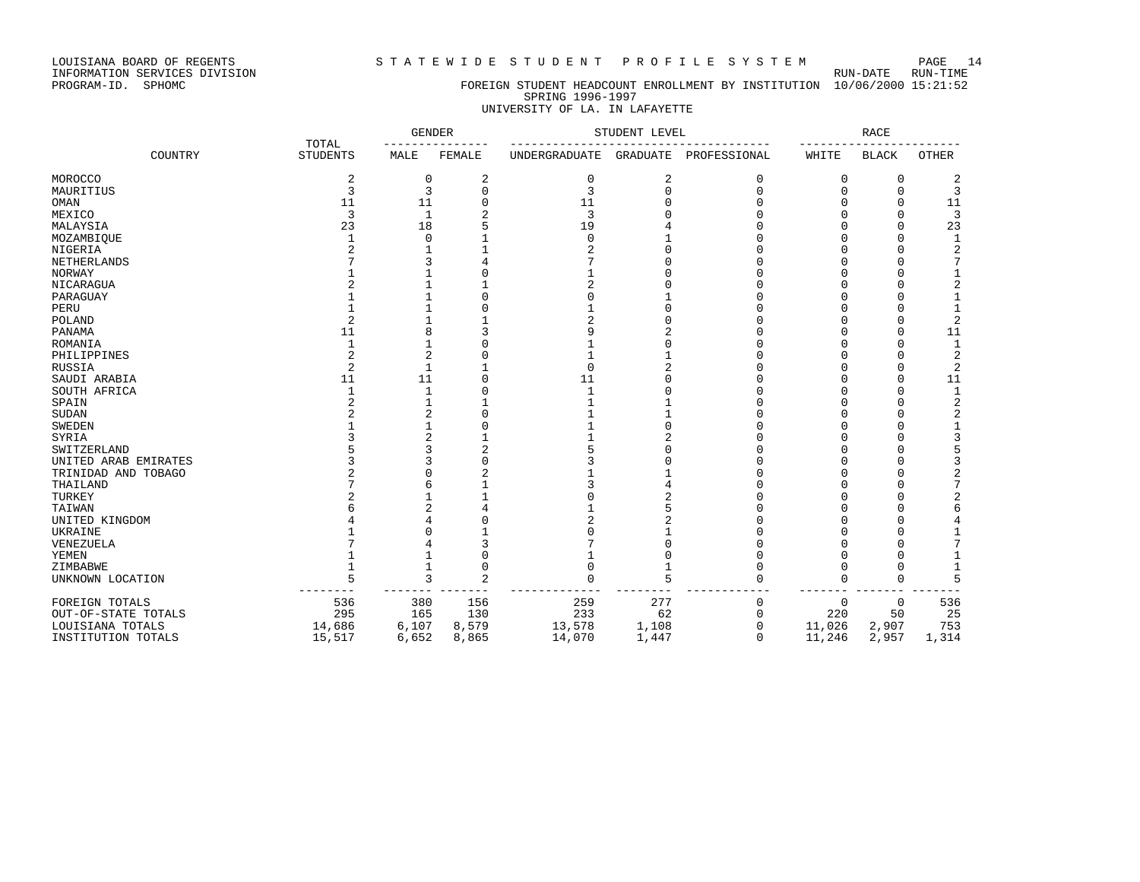LOUISIANA BOARD OF REGENTS S T A T E W I D E S T U D E N T P R O F I L E S Y S T E M PAGE 14

#### PROGRAM-ID. SPHOMC FOREIGN STUDENT HEADCOUNT ENROLLMENT BY INSTITUTION 10/06/2000 15:21:52 SPRING 1996-1997 UNIVERSITY OF LA. IN LAFAYETTE

|                      |                          | <b>GENDER</b> |                |                | STUDENT LEVEL |              |             | <b>RACE</b>  |                |
|----------------------|--------------------------|---------------|----------------|----------------|---------------|--------------|-------------|--------------|----------------|
| COUNTRY              | TOTAL<br><b>STUDENTS</b> | MALE          | FEMALE         | UNDERGRADUATE  | GRADUATE      | PROFESSIONAL | WHITE       | <b>BLACK</b> | <b>OTHER</b>   |
| MOROCCO              | 2                        | $\Omega$      | 2              | 0              | 2             | $\Omega$     | 0           | 0            | 2              |
| MAURITIUS            | 3                        | 3             | $\Omega$       | 3              | $\Omega$      | $\Omega$     |             | $\Omega$     | 3              |
| OMAN                 | 11                       | 11            |                | 11             |               |              |             |              | 11             |
| MEXICO               | 3                        | $\mathbf{1}$  | 2              | 3              |               |              |             |              | 3              |
| MALAYSIA             | 23                       | 18            | 5              | 19             |               |              |             | Λ            | 23             |
| MOZAMBIOUE           |                          | O             |                | 0              |               |              |             | Λ            | $\mathbf 1$    |
| NIGERIA              |                          |               |                | $\overline{a}$ |               |              |             |              | 2              |
| NETHERLANDS          |                          |               |                | 7              |               |              |             |              | 7              |
| NORWAY               |                          |               |                |                |               |              |             |              |                |
| NICARAGUA            |                          |               |                | 2              |               |              |             |              | 2              |
| PARAGUAY             |                          |               |                | $\Omega$       |               |              |             |              | 1              |
| PERU                 |                          |               |                | 1              |               |              |             |              | $\mathbf 1$    |
| POLAND               | 2                        |               |                | $\overline{c}$ |               |              |             |              | $\overline{2}$ |
| PANAMA               | 11                       | 8             |                | 9              |               |              |             |              | 11             |
| ROMANIA              | 1                        |               |                |                |               |              |             |              | $\mathbf{1}$   |
| PHILIPPINES          |                          | 2             |                |                |               |              |             |              | 2              |
| RUSSIA               | 2                        | $\mathbf{1}$  |                | $\mathbf 0$    |               |              |             |              | 2              |
| SAUDI ARABIA         | 11                       | 11            |                | 11             |               |              |             | $\Omega$     | 11             |
| SOUTH AFRICA         |                          | -1            |                | 1              |               |              |             | Λ            | 1              |
| SPAIN                |                          |               |                |                |               |              |             |              | 2              |
| <b>SUDAN</b>         |                          |               |                |                |               |              |             |              | 2              |
| SWEDEN               |                          |               |                |                |               |              |             |              | 1              |
| SYRIA                |                          |               |                |                |               |              |             |              | 3              |
| SWITZERLAND          |                          |               |                | 5              |               |              |             |              | 5              |
| UNITED ARAB EMIRATES |                          |               |                | ζ              |               |              |             |              | 3              |
| TRINIDAD AND TOBAGO  |                          |               | 2              |                |               |              |             |              | 2              |
| THAILAND             |                          |               |                | 3              |               |              |             |              | 7              |
| TURKEY               |                          |               |                | $\Omega$       |               |              |             |              | 2              |
| TAIWAN               |                          |               |                |                |               |              |             |              | 6              |
| UNITED KINGDOM       |                          |               |                | 2              |               |              |             |              | 4              |
| UKRAINE              |                          |               |                | $\Omega$       |               |              |             |              |                |
| VENEZUELA            |                          |               | κ              | 7              |               |              |             |              | 7              |
| YEMEN                |                          |               |                |                |               |              |             | Ω            |                |
| ZIMBABWE             |                          | 1             | $\Omega$       | 0              |               |              | $\Omega$    | $\Omega$     |                |
| UNKNOWN LOCATION     | 5                        | 3             | $\overline{c}$ | O              | 5             |              | $\mathbf 0$ | $\Omega$     | 5              |
| FOREIGN TOTALS       | 536                      | 380           | 156            | 259            | 277           | 0            | 0           | 0            | 536            |
| OUT-OF-STATE TOTALS  | 295                      | 165           | 130            | 233            | 62            | $\Omega$     | 220         | 50           | 25             |
| LOUISIANA TOTALS     | 14,686                   | 6,107         | 8,579          | 13,578         | 1,108         | 0            | 11,026      | 2,907        | 753            |
| INSTITUTION TOTALS   | 15,517                   | 6,652         | 8,865          | 14,070         | 1,447         | $\Omega$     | 11,246      | 2,957        | 1,314          |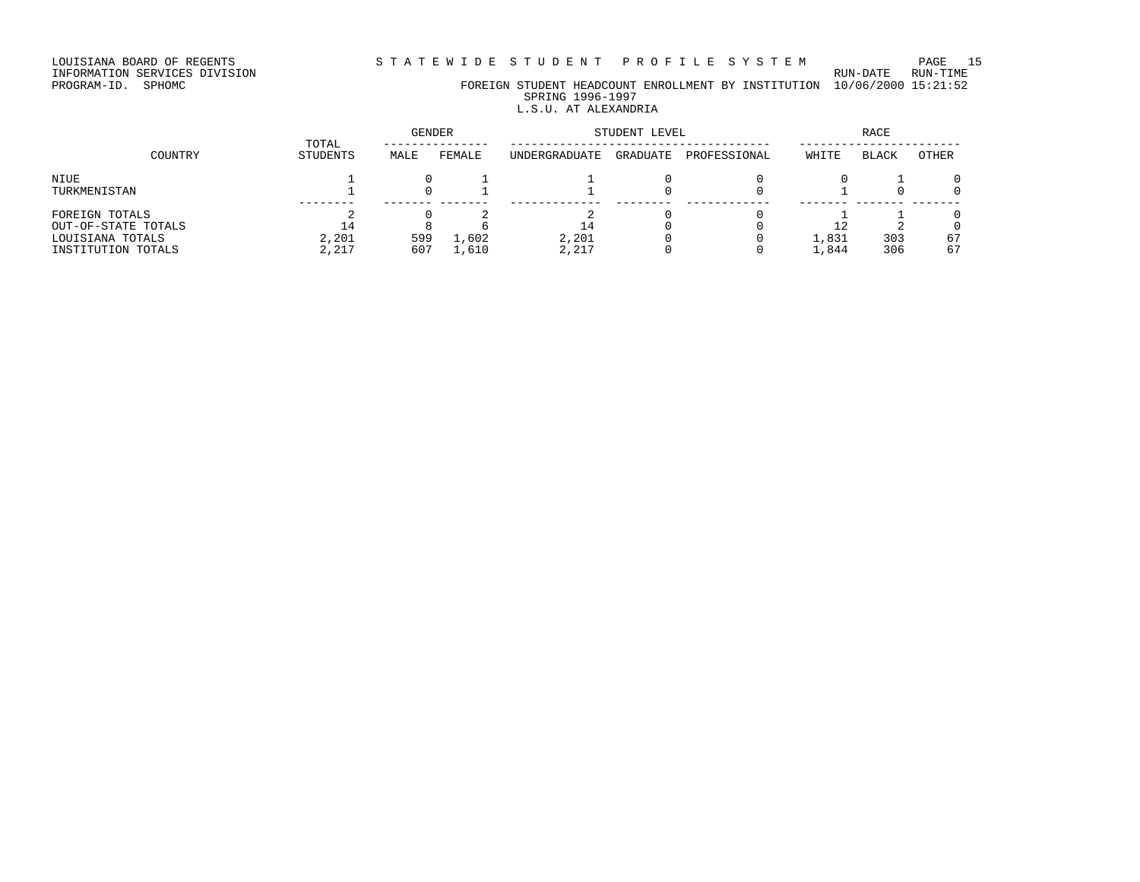# INFORMATION SERVICES DIVISION RUN-DATE RUN-TIME

PROGRAM-ID. SPHOMC FOREIGN STUDENT HEADCOUNT ENROLLMENT BY INSTITUTION 10/06/2000 15:21:52 SPRING 1996-1997

# L.S.U. AT ALEXANDRIA

|                     | TOTAL     | <b>GENDER</b> |        |               | STUDENT LEVEL |              | <b>RACE</b> |              |       |  |
|---------------------|-----------|---------------|--------|---------------|---------------|--------------|-------------|--------------|-------|--|
| COUNTRY             | STUDENTS  | MALE          | FEMALE | UNDERGRADUATE | GRADUATE      | PROFESSIONAL | WHITE       | <b>BLACK</b> | OTHER |  |
| NIUE                |           |               |        |               |               |              |             |              |       |  |
| TURKMENISTAN        |           |               |        |               |               |              |             |              |       |  |
| FOREIGN TOTALS      |           |               |        |               |               |              |             |              |       |  |
| OUT-OF-STATE TOTALS | $\perp$ 4 |               |        | ⊥4            |               |              |             |              |       |  |
| LOUISIANA TOTALS    | 2,201     | 599           | 1,602  | 2.201         |               |              | 1,831       | 303          | 67    |  |
| INSTITUTION TOTALS  | 2,217     | 607           | 1,610  | 2,217         |               |              | 1,844       | 306          | 67    |  |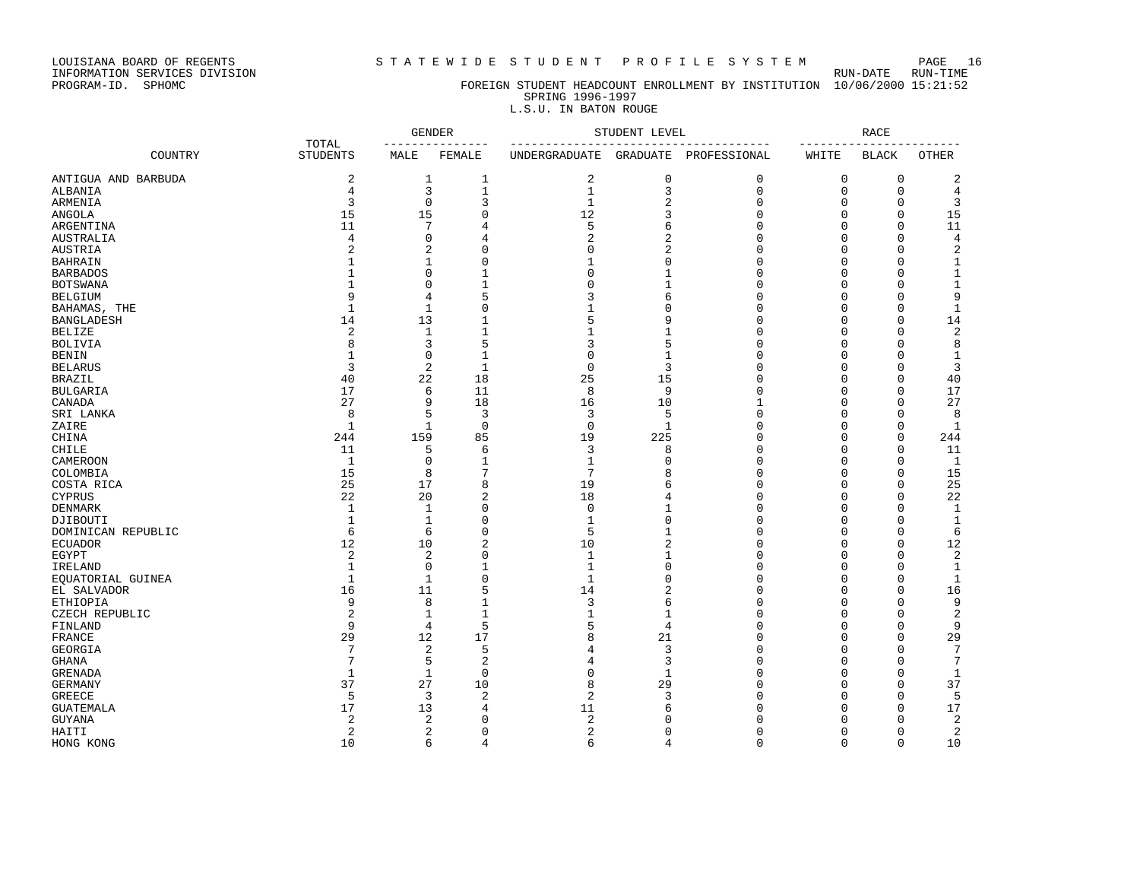### LOUISIANA BOARD OF REGENTS S T A T E W I D E S T U D E N T P R O F I L E S Y S T E M PAGE 16

### PROGRAM-ID. SPHOMC FOREIGN STUDENT HEADCOUNT ENROLLMENT BY INSTITUTION 10/06/2000 15:21:52 SPRING 1996-1997

### L.S.U. IN BATON ROUGE

|                                 |                          | <b>GENDER</b><br>. _ _ _ _ _ _ _ _ _ _ _ _ |                                    | STUDENT LEVEL                               |                | <b>RACE</b><br>-------       |             |              |                    |
|---------------------------------|--------------------------|--------------------------------------------|------------------------------------|---------------------------------------------|----------------|------------------------------|-------------|--------------|--------------------|
| COUNTRY                         | TOTAL<br><b>STUDENTS</b> | MALE                                       | FEMALE                             | -------------------<br><b>UNDERGRADUATE</b> | GRADUATE       | ------------<br>PROFESSIONAL | WHITE       | <b>BLACK</b> | <b>OTHER</b>       |
| ANTIGUA AND BARBUDA             | 2                        | 1                                          | 1                                  | 2                                           | 0              | $\mathbf 0$                  | 0           | $\mathbf 0$  | $\overline{c}$     |
| ALBANIA                         | 4                        |                                            | 3<br>$\mathbf{1}$                  | $\mathbf{1}$                                | 3              | $\mathbf 0$                  | $\mathbf 0$ | $\mathbf 0$  | 4                  |
| ARMENIA                         | 3                        |                                            | 3<br>$\mathbf 0$                   | $\mathbf{1}$                                | 2              | $\mathbf 0$                  | $\mathbf 0$ | $\mathbf 0$  | 3                  |
| <b>ANGOLA</b>                   | 15                       | 15                                         | $\mathbf{0}$                       | 12                                          | 3              | $\Omega$                     | $\Omega$    | $\mathbf 0$  | 15                 |
| ARGENTINA                       | 11                       |                                            | 7<br>$\overline{4}$                | 5                                           | 6              | $\Omega$                     | $\Omega$    | $\mathbf 0$  | 11                 |
| <b>AUSTRALIA</b>                | 4                        |                                            | $\mathbf 0$<br>$\overline{4}$      | 2                                           | $\overline{2}$ | $\Omega$                     | $\mathbf 0$ | $\mathbf 0$  | 4                  |
| <b>AUSTRIA</b>                  | 2                        |                                            | 2<br>$\mathbf{0}$                  | 0                                           | 2              | $\Omega$                     | $\Omega$    | $\mathbf 0$  | $\overline{c}$     |
| <b>BAHRAIN</b>                  | 1                        | $\mathbf{1}$                               | $\mathbf{0}$                       | $\mathbf{1}$                                | $\Omega$       | $\Omega$                     | $\Omega$    | $\mathbf 0$  | $\mathbf{1}$       |
| <b>BARBADOS</b>                 | 1                        |                                            | $\Omega$<br>$\mathbf{1}$           | 0                                           | 1              | $\Omega$                     | $\Omega$    | $\mathbf 0$  | $\mathbf{1}$       |
| <b>BOTSWANA</b>                 | $\mathbf{1}$             |                                            | $\Omega$<br>$\mathbf{1}$           | $\Omega$                                    | $\mathbf{1}$   | $\Omega$                     | $\Omega$    | $\mathbf 0$  | $\mathbf{1}$       |
| <b>BELGIUM</b>                  | 9                        |                                            | 5<br>4                             | ζ                                           | 6              | $\Omega$                     | $\Omega$    | $\Omega$     | 9                  |
| BAHAMAS, THE                    | $\mathbf{1}$             | $\mathbf{1}$                               | $\mathbf{0}$                       | $\mathbf{1}$                                | $\Omega$       | $\Omega$                     | $\mathbf 0$ | $\mathbf 0$  | $\mathbf{1}$       |
| <b>BANGLADESH</b>               | 14                       | 13                                         | $\mathbf 1$                        | 5                                           | 9              | $\Omega$                     | $\mathbf 0$ | $\mathbf 0$  | 14                 |
| <b>BELIZE</b>                   | 2                        | $\mathbf{1}$                               | $\mathbf{1}$                       | $\mathbf{1}$                                | $\mathbf{1}$   | $\Omega$                     | $\mathbf 0$ | $\mathbf 0$  | $\sqrt{2}$         |
| <b>BOLIVIA</b>                  | 8                        |                                            | 5<br>3                             | 3                                           | 5              | $\Omega$                     | $\mathbf 0$ | $\mathbf 0$  | 8                  |
| <b>BENIN</b>                    | $\mathbf{1}$             |                                            | $\Omega$<br>$\mathbf{1}$           | $\Omega$                                    | $\mathbf{1}$   | $\Omega$                     | $\Omega$    | $\Omega$     | 1                  |
| <b>BELARUS</b>                  | 3                        |                                            | 2<br>$\mathbf{1}$                  | $\mathbf 0$                                 | 3              | $\Omega$                     | 0           | $\mathbf 0$  | 3                  |
| <b>BRAZIL</b>                   | 40                       | 22                                         | 18                                 | 25                                          | 15             | $\Omega$                     | $\mathbf 0$ | $\mathbf 0$  | 40                 |
| <b>BULGARIA</b>                 | 17                       |                                            | 6<br>11                            | 8                                           | 9              | $\Omega$                     | $\Omega$    | $\mathbf 0$  | 17                 |
| CANADA                          | 27                       |                                            | 9<br>18                            | 16                                          | 10             | $\mathbf{1}$                 | $\Omega$    | $\mathbf 0$  | 27                 |
| SRI LANKA                       | 8                        |                                            | 5<br>3                             | 3                                           | 5              | $\Omega$                     | $\mathbf 0$ | $\mathbf 0$  | 8                  |
|                                 | $\mathbf{1}$             | $\mathbf{1}$                               | $\mathbf 0$                        | $\mathbf 0$                                 | $\mathbf{1}$   | $\Omega$                     | $\mathbf 0$ | $\mathbf 0$  | $\mathbf{1}$       |
| ZAIRE                           | 244                      | 159                                        | 85                                 | 19                                          | 225            | $\Omega$                     | $\mathbf 0$ | $\mathbf 0$  | 244                |
| CHINA                           |                          |                                            |                                    |                                             | 8              | $\Omega$                     | $\mathbf 0$ | $\mathbf 0$  |                    |
| CHILE<br>CAMEROON               | 11<br>$\mathbf{1}$       |                                            | 5<br>6<br>$\Omega$<br>$\mathbf{1}$ | 3<br>$\mathbf{1}$                           | O              | $\Omega$                     | $\Omega$    | $\mathbf 0$  | 11<br>$\mathbf{1}$ |
| COLOMBIA                        | 15                       |                                            | 8<br>7                             | 7                                           | 8              | $\Omega$                     | $\Omega$    | $\mathbf 0$  | 15                 |
| COSTA RICA                      | 25                       | 17                                         | 8                                  | 19                                          | 6              | $\Omega$                     | 0           | $\mathbf 0$  | 25                 |
|                                 | 22                       | 20                                         | $\overline{2}$                     | 18                                          | 4              | $\Omega$                     | $\Omega$    | $\Omega$     | 22                 |
| <b>CYPRUS</b><br><b>DENMARK</b> | $\mathbf{1}$             | $\mathbf{1}$                               | $\Omega$                           | $\mathbf 0$                                 | 1              | $\Omega$                     | $\Omega$    | $\Omega$     | $\mathbf{1}$       |
|                                 |                          |                                            |                                    |                                             |                | $\Omega$                     |             |              |                    |
| DJIBOUTI                        | $\mathbf{1}$             | $\mathbf{1}$                               | $\mathbf 0$                        | $\mathbf{1}$                                | 0              | $\Omega$                     | $\mathbf 0$ | $\mathbf 0$  | $\mathbf{1}$       |
| DOMINICAN REPUBLIC              | 6                        |                                            | $\mathbf{0}$<br>6                  | 5                                           | $\mathbf{1}$   |                              | 0           | $\mathbf 0$  | $\epsilon$         |
| <b>ECUADOR</b>                  | 12                       | 10                                         | $\overline{c}$                     | 10                                          | 2              | $\Omega$                     | $\mathbf 0$ | $\mathbf 0$  | 12                 |
| <b>EGYPT</b>                    | 2                        |                                            | 2<br>$\mathbf{0}$                  | $\mathbf{1}$                                | $\mathbf{1}$   | $\Omega$                     | $\Omega$    | $\mathbf 0$  | 2                  |
| IRELAND                         | $\mathbf{1}$             |                                            | $\mathbf 0$<br>$\mathbf{1}$        | $\mathbf{1}$                                | $\Omega$       | $\Omega$                     | $\Omega$    | $\mathbf 0$  | $\mathbf{1}$       |
| EOUATORIAL GUINEA               | $\mathbf{1}$             | $\mathbf{1}$                               | $\mathbf{0}$                       | $\mathbf{1}$                                | $\Omega$       | $\Omega$                     | $\Omega$    | $\mathbf 0$  | $\mathbf{1}$       |
| EL SALVADOR                     | 16                       | 11                                         | 5                                  | 14                                          | $\overline{c}$ | $\Omega$                     | $\Omega$    | $\mathbf 0$  | 16                 |
| <b>ETHIOPIA</b>                 | 9                        |                                            | 8<br>$\mathbf{1}$                  | 3                                           | 6              | $\Omega$                     | $\Omega$    | $\Omega$     | 9                  |
| CZECH REPUBLIC                  | 2                        | $\mathbf{1}$                               | $\mathbf{1}$                       | $\mathbf{1}$                                | $\mathbf{1}$   | $\Omega$                     | $\Omega$    | $\Omega$     | 2                  |
| FINLAND                         | 9                        |                                            | 5<br>4                             | 5                                           | 4              | $\Omega$                     | $\mathbf 0$ | $\mathbf 0$  | 9                  |
| FRANCE                          | 29                       | 12                                         | 17                                 | 8                                           | 21             | $\Omega$                     | $\Omega$    | $\mathbf 0$  | 29                 |
| <b>GEORGIA</b>                  | 7                        |                                            | $\overline{2}$<br>5                | $\overline{4}$                              | 3              | $\Omega$                     | $\Omega$    | $\mathbf 0$  | $7\phantom{.0}$    |
| <b>GHANA</b>                    | 7                        |                                            | $\overline{2}$<br>5                | 4                                           | 3              | $\Omega$                     | $\mathbf 0$ | $\mathbf 0$  | $7\phantom{.0}$    |
| <b>GRENADA</b>                  | 1                        | $\mathbf{1}$                               | $\Omega$                           | 0                                           | $\mathbf{1}$   | $\Omega$                     | $\Omega$    | $\mathbf 0$  | $\mathbf{1}$       |
| <b>GERMANY</b>                  | 37                       | 27                                         | 10                                 | 8                                           | 29             | $\Omega$                     | $\mathbf 0$ | $\mathbf 0$  | 37                 |
| <b>GREECE</b>                   | 5                        |                                            | 3<br>$\overline{2}$                | 2                                           | 3              | $\Omega$                     | $\Omega$    | $\mathbf 0$  | 5                  |
| <b>GUATEMALA</b>                | 17                       | 13                                         | 4                                  | 11                                          | 6              | $\Omega$                     | $\Omega$    | $\Omega$     | 17                 |
| <b>GUYANA</b>                   | 2                        |                                            | 2<br>$\Omega$                      | 2                                           | O              | $\Omega$                     | $\Omega$    | $\Omega$     | 2                  |
| HAITI                           | 2                        |                                            | $\overline{2}$<br>$\mathbf 0$      | 2                                           | $\Omega$       | $\Omega$                     | $\Omega$    | $\mathbf 0$  | $\overline{c}$     |
| HONG KONG                       | 10                       |                                            | 6<br>$\overline{4}$                | 6                                           | 4              | $\Omega$                     | $\Omega$    | $\Omega$     | 10                 |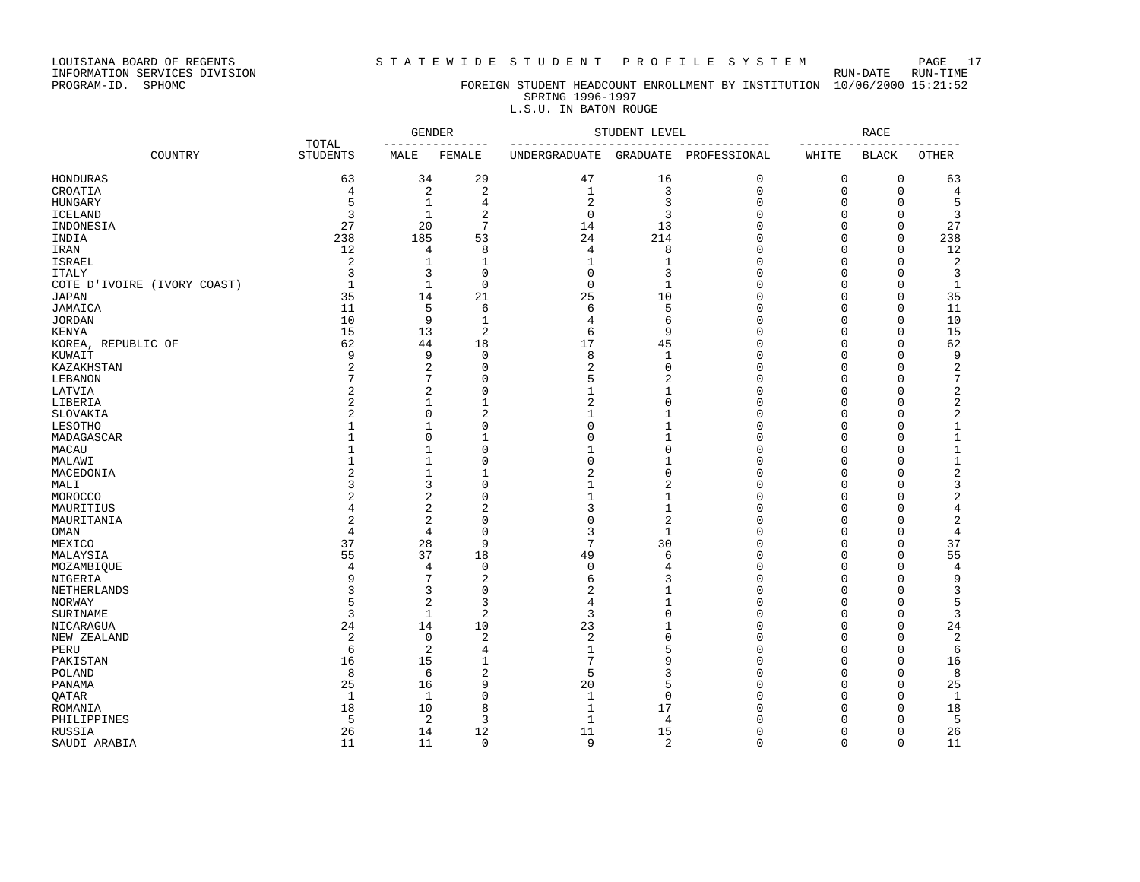INFORMATION SERVICES DIVISION RUN-DATE RUN-TIME

## PROGRAM-ID. SPHOMC FOREIGN STUDENT HEADCOUNT ENROLLMENT BY INSTITUTION 10/06/2000 15:21:52 SPRING 1996-1997

# L.S.U. IN BATON ROUGE

|                             |                          | <b>GENDER</b><br>____________<br>$- - -$ |                | STUDENT LEVEL<br>--------------- |                |              | <b>RACE</b> |              |                |  |
|-----------------------------|--------------------------|------------------------------------------|----------------|----------------------------------|----------------|--------------|-------------|--------------|----------------|--|
| COUNTRY                     | TOTAL<br><b>STUDENTS</b> | MALE                                     | FEMALE         | UNDERGRADUATE                    | GRADUATE       | PROFESSIONAL | WHITE       | <b>BLACK</b> | <b>OTHER</b>   |  |
| HONDURAS                    | 63                       | 34                                       | 29             | 47                               | 16             | 0            | 0           | 0            | 63             |  |
| CROATIA                     | 4                        | $\overline{c}$                           | $\overline{2}$ | $\mathbf{1}$                     | 3              | $\mathbf 0$  | $\mathbf 0$ | $\mathbf 0$  | $\overline{4}$ |  |
| HUNGARY                     | 5                        | $\mathbf{1}$                             | 4              | $\overline{2}$                   | 3              | 0            | 0           | 0            | 5              |  |
| <b>ICELAND</b>              | 3                        | $1\,$                                    | $\overline{a}$ | $\overline{0}$                   | 3              | $\Omega$     | $\Omega$    | $\Omega$     | 3              |  |
| INDONESIA                   | 27                       | 20                                       | $\overline{7}$ | 14                               | 13             | $\Omega$     | $\Omega$    | $\Omega$     | 27             |  |
| INDIA                       | 238                      | 185                                      | 53             | 24                               | 214            | 0            | 0           | $\Omega$     | 238            |  |
| IRAN                        | 12                       | 4                                        | 8              | 4                                | 8              | 0            | 0           | 0            | 12             |  |
| ISRAEL                      | 2                        | 1                                        | 1              | 1                                | $\mathbf{1}$   | 0            | $\Omega$    | $\Omega$     | $\overline{c}$ |  |
| <b>ITALY</b>                | 3                        | 3                                        | $\mathbf 0$    | 0                                | 3              | 0            | $\Omega$    | Ω            | 3              |  |
| COTE D'IVOIRE (IVORY COAST) | $\mathbf{1}$             | $\mathbf{1}$                             | $\mathbf 0$    | $\mathbf 0$                      | $\mathbf{1}$   | $\Omega$     | $\Omega$    | Ω            | $\mathbf{1}$   |  |
| JAPAN                       | 35                       | 14                                       | 21             | 25                               | 10             | $\Omega$     | $\Omega$    | Ω            | 35             |  |
| JAMAICA                     | 11                       | 5                                        | 6              | 6                                | 5              | 0            | 0           | 0            | 11             |  |
| <b>JORDAN</b>               | 10                       | 9                                        | $\mathbf{1}$   | 4                                | 6              | 0            | 0           | 0            | 10             |  |
| KENYA                       | 15                       | 13                                       | $\overline{2}$ | 6                                | 9              | $\Omega$     | 0           | $\Omega$     | 15             |  |
|                             |                          |                                          |                |                                  |                |              |             | 0            |                |  |
| KOREA, REPUBLIC OF          | 62                       | 44                                       | 18             | 17                               | 45             | 0            | 0           |              | 62             |  |
| KUWAIT                      | 9                        | 9                                        | $\Omega$       | 8                                | 1              | $\Omega$     | $\Omega$    | Ω            | 9              |  |
| KAZAKHSTAN                  | 2                        | 2                                        | $\mathbf 0$    | 2                                | $\mathbf 0$    | 0            | $\Omega$    | 0            | 2              |  |
| LEBANON                     | 7                        | 7                                        | $\Omega$       | 5                                | $\overline{2}$ | 0            | $\Omega$    | Ω            | 7              |  |
| LATVIA                      | 2                        | $\overline{c}$                           | $\mathbf 0$    | 1                                | $\mathbf{1}$   | 0            | $\Omega$    | 0            | $\overline{c}$ |  |
| LIBERIA                     | 2                        | 1                                        | $\mathbf{1}$   | $\overline{c}$                   | $\Omega$       | $\Omega$     | $\Omega$    | $\Omega$     | $\overline{c}$ |  |
| SLOVAKIA                    |                          | $\mathbf 0$                              | $\overline{2}$ | 1                                | 1              | 0            | $\Omega$    | 0            | $\overline{2}$ |  |
| LESOTHO                     |                          | $1\,$                                    | $\mathbf 0$    | $\Omega$                         | $\mathbf{1}$   | 0            | $\Omega$    | 0            | $\mathbf 1$    |  |
| MADAGASCAR                  |                          | $\mathbf 0$                              | $\mathbf{1}$   | $\mathbf 0$                      | $\mathbf{1}$   | $\Omega$     | $\Omega$    | 0            | $\mathbf 1$    |  |
| MACAU                       |                          | 1                                        | $\mathbf 0$    | $\mathbf{1}$                     | $\mathbf 0$    | 0            | 0           | 0            | $\mathbf 1$    |  |
| MALAWI                      |                          | 1                                        | $\mathbf 0$    | $\Omega$                         | 1              | 0            | 0           | 0            | $\mathbf 1$    |  |
| MACEDONIA                   |                          | 1                                        | $\mathbf{1}$   | 2                                | $\mathbf 0$    | 0            | 0           | Ω            | $\sqrt{2}$     |  |
| MALI                        |                          | 3                                        | $\Omega$       | 1                                | 2              | 0            | 0           | Ω            | 3              |  |
| MOROCCO                     |                          | $\overline{2}$                           | $\Omega$       | $\mathbf{1}$                     | $\mathbf{1}$   | $\Omega$     | $\Omega$    | U            | $\sqrt{2}$     |  |
| MAURITIUS                   | 4                        | $\overline{2}$                           | $\overline{c}$ | 3                                | $\mathbf{1}$   | 0            | $\Omega$    | 0            | 4              |  |
| MAURITANIA                  | $\overline{2}$           | $\overline{2}$                           | $\mathbf 0$    | 0                                | $\overline{2}$ | 0            | 0           | 0            | $\overline{2}$ |  |
| OMAN                        | 4                        | $\overline{4}$                           | $\mathbf 0$    | 3                                | $\mathbf{1}$   | 0            | 0           | 0            | 4              |  |
| MEXICO                      | 37                       | 28                                       | 9              | 7                                | 30             | 0            | 0           | $\Omega$     | 37             |  |
| MALAYSIA                    | 55                       | 37                                       | 18             | 49                               | 6              | 0            | 0           | 0            | 55             |  |
| MOZAMBIQUE                  | 4                        | 4                                        | $\mathbf 0$    | 0                                | 4              | 0            | $\Omega$    | $\Omega$     | 4              |  |
| NIGERIA                     | 9                        | 7                                        | $\overline{2}$ | 6                                | 3              | 0            | $\Omega$    | Ω            | 9              |  |
| NETHERLANDS                 | 3                        | 3                                        | $\mathbf 0$    | 2                                | 1              | 0            | $\Omega$    | 0            | 3              |  |
| NORWAY                      | 5                        | $\overline{c}$                           | 3              | 4                                | $\mathbf{1}$   | 0            | $\Omega$    | Ω            | 5              |  |
| SURINAME                    | 3                        | $\mathbf{1}$                             | $\overline{2}$ | 3                                | $\Omega$       | 0            | $\Omega$    | 0            | 3              |  |
| NICARAGUA                   | 24                       | 14                                       | 10             | 23                               | $\mathbf{1}$   | 0            | 0           | 0            | 24             |  |
|                             | $\sqrt{2}$               | $\mathbf 0$                              | $\overline{a}$ | $\sqrt{2}$                       | $\mathbf 0$    | $\Omega$     | $\Omega$    | $\Omega$     | $\sqrt{2}$     |  |
| NEW ZEALAND                 |                          |                                          |                |                                  | 5              | $\Omega$     | $\Omega$    | 0            |                |  |
| PERU                        | 6                        | $\overline{2}$                           | $\overline{4}$ | $\mathbf{1}$                     |                |              |             |              | 6              |  |
| PAKISTAN                    | 16                       | 15                                       | 1              | 7                                | 9              | 0            | 0           | 0            | 16             |  |
| POLAND                      | 8                        | 6                                        | $\overline{2}$ | 5                                | 3              | 0            | $\Omega$    | $\Omega$     | 8              |  |
| PANAMA                      | 25                       | 16                                       | 9              | 20                               | 5              | 0            | 0           | 0            | 25             |  |
| OATAR                       | 1                        | 1                                        | $\mathbf 0$    | 1                                | $\mathbf 0$    | 0            | $\Omega$    | Ω            | 1              |  |
| ROMANIA                     | 18                       | 10                                       | 8              | $\mathbf{1}$                     | 17             | 0            | $\cap$      | Ω            | 18             |  |
| PHILIPPINES                 | 5                        | 2                                        | 3              | $\mathbf{1}$                     | 4              | 0            | $\Omega$    | 0            | 5              |  |
| RUSSIA                      | 26                       | 14                                       | 12             | 11                               | 15             | 0            | $\Omega$    | 0            | 26             |  |
| SAUDI ARABIA                | 11                       | 11                                       | $\Omega$       | 9                                | $\overline{2}$ | $\Omega$     | $\Omega$    | $\Omega$     | 11             |  |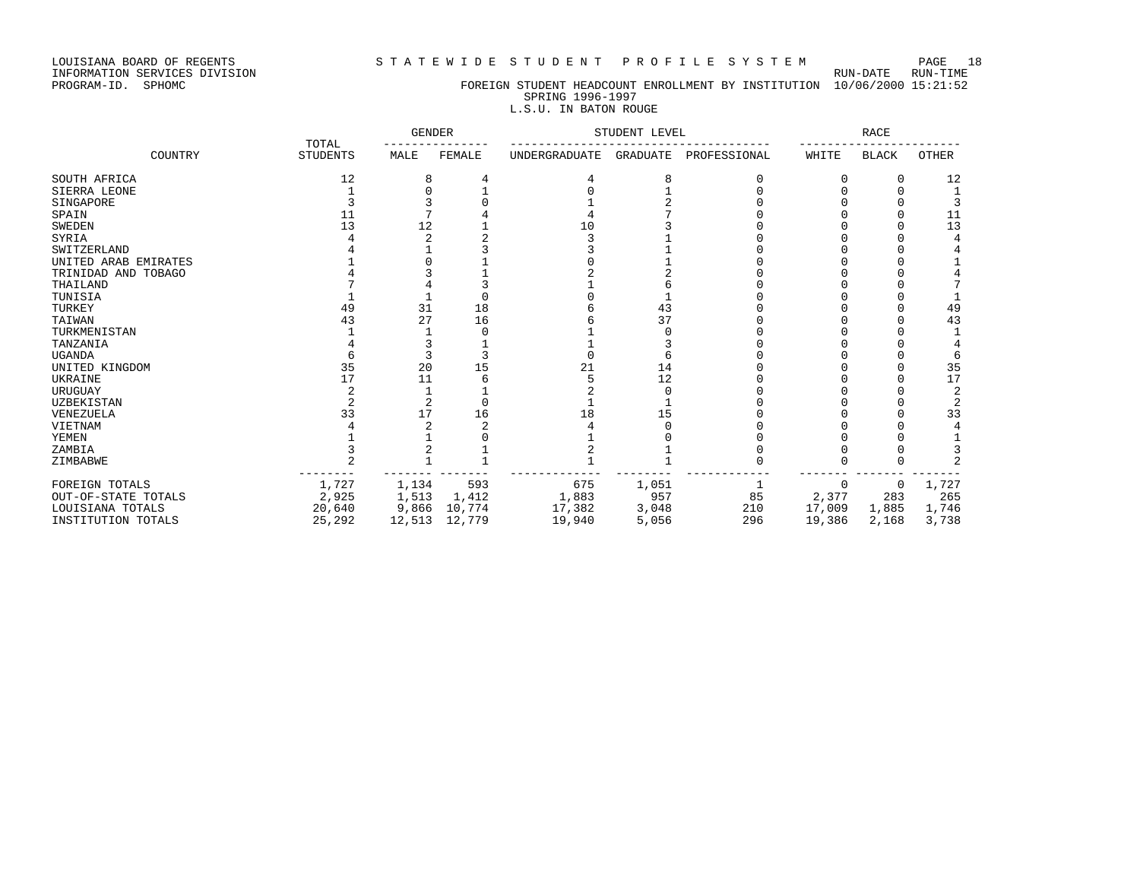### LOUISIANA BOARD OF REGENTS S T A T E W I D E S T U D E N T P R O F I L E S Y S T E M PAGE 18

## PROGRAM-ID. SPHOMC FOREIGN STUDENT HEADCOUNT ENROLLMENT BY INSTITUTION 10/06/2000 15:21:52 SPRING 1996-1997

## L.S.U. IN BATON ROUGE

|                      |                          | <b>GENDER</b> |        | STUDENT LEVEL        |                 | <b>RACE</b>  |        |              |                |
|----------------------|--------------------------|---------------|--------|----------------------|-----------------|--------------|--------|--------------|----------------|
| COUNTRY              | TOTAL<br><b>STUDENTS</b> | MALE          | FEMALE | <b>UNDERGRADUATE</b> | <b>GRADUATE</b> | PROFESSIONAL | WHITE  | <b>BLACK</b> | <b>OTHER</b>   |
| SOUTH AFRICA         | 12                       |               |        |                      |                 |              |        |              | 12             |
| SIERRA LEONE         |                          |               |        |                      |                 |              |        |              |                |
| SINGAPORE            |                          |               |        |                      |                 |              |        |              |                |
| SPAIN                | 11                       |               |        |                      |                 |              |        |              | 11             |
| <b>SWEDEN</b>        | 13                       | 2             |        | 10                   |                 |              |        |              | 13             |
| SYRIA                |                          |               |        |                      |                 |              |        |              |                |
| SWITZERLAND          |                          |               |        |                      |                 |              |        |              |                |
| UNITED ARAB EMIRATES |                          |               |        |                      |                 |              |        |              |                |
| TRINIDAD AND TOBAGO  |                          |               |        |                      |                 |              |        |              |                |
| THAILAND             |                          |               |        |                      |                 |              |        |              |                |
| TUNISIA              |                          |               |        |                      |                 |              |        |              |                |
| TURKEY               | 49                       | 31            | 18     |                      | 43              |              |        |              | 49             |
| TAIWAN               | 43                       | 27            | 16     |                      | 37              |              |        |              | 43             |
| TURKMENISTAN         |                          |               |        |                      |                 |              |        |              |                |
| TANZANIA             |                          |               |        |                      |                 |              |        |              |                |
| <b>UGANDA</b>        |                          |               |        |                      |                 |              |        |              | 6              |
| UNITED KINGDOM       | 35                       | 20            | 15     | 21                   | 14              |              |        |              | 35             |
| UKRAINE              | 17                       | 11            |        |                      | 12              |              |        |              | 17             |
| URUGUAY              |                          |               |        |                      |                 |              |        |              | $\overline{2}$ |
| UZBEKISTAN           |                          |               |        |                      |                 |              |        |              | $\overline{2}$ |
| VENEZUELA            | 33                       | 17            | 16     | 18                   | 15              |              |        |              | 33             |
| VIETNAM              |                          |               |        |                      |                 |              |        |              |                |
| YEMEN                |                          |               |        |                      |                 |              |        |              |                |
| ZAMBIA               |                          |               |        |                      |                 |              |        |              |                |
| ZIMBABWE             |                          |               |        |                      |                 |              |        |              | $\mathfrak{D}$ |
| FOREIGN TOTALS       | 1,727                    | 1,134         | 593    | 675                  | 1,051           |              | 0      | 0            | 1,727          |
| OUT-OF-STATE TOTALS  | 2,925                    | 1,513         | 1,412  | 1,883                | 957             | 85           | 2,377  | 283          | 265            |
| LOUISIANA TOTALS     | 20,640                   | 9,866         | 10,774 | 17,382               | 3,048           | 210          | 17,009 | 1,885        | 1,746          |
| INSTITUTION TOTALS   | 25,292                   | 12,513        | 12,779 | 19,940               | 5,056           | 296          | 19,386 | 2,168        | 3,738          |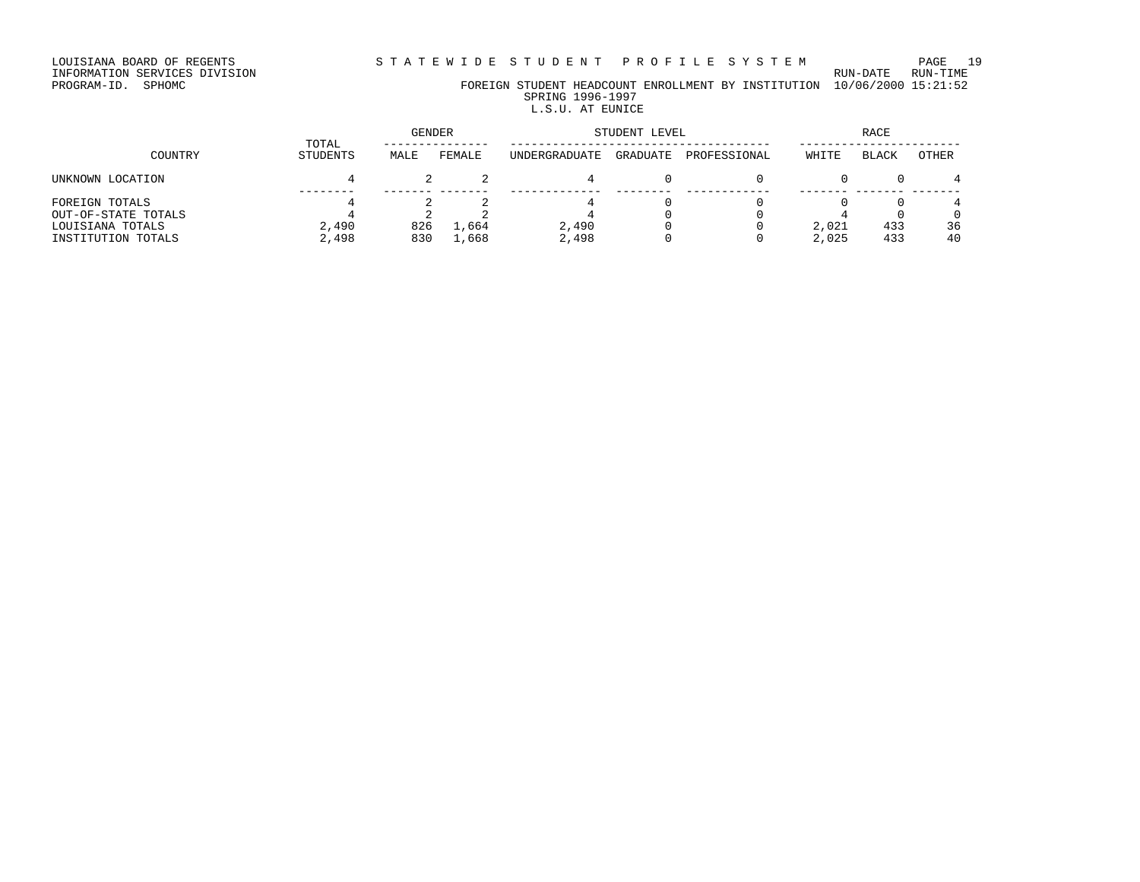# INFORMATION SERVICES DIVISION RUN-DATE RUN-TIME

PROGRAM-ID. SPHOMC FOREIGN STUDENT HEADCOUNT ENROLLMENT BY INSTITUTION 10/06/2000 15:21:52 SPRING 1996-1997

# L.S.U. AT EUNICE

|                                         |                   | <b>GENDER</b> |        | STUDENT LEVEL | <b>RACE</b> |              |       |       |       |
|-----------------------------------------|-------------------|---------------|--------|---------------|-------------|--------------|-------|-------|-------|
| COUNTRY                                 | TOTAL<br>STUDENTS | MALE          | FEMALE | UNDERGRADUATE | GRADUATE    | PROFESSIONAL | WHITE | BLACK | OTHER |
| UNKNOWN LOCATION                        |                   |               |        |               |             |              |       |       |       |
| FOREIGN TOTALS                          |                   |               |        |               |             |              |       |       |       |
| OUT-OF-STATE TOTALS<br>LOUISIANA TOTALS | 2,490             | 826           | 1,664  | 2,490         |             |              | 2,021 | 433   | 36    |
| INSTITUTION TOTALS                      | 2,498             | 830           | 1,668  | 2,498         |             |              | 2,025 | 433   | 40    |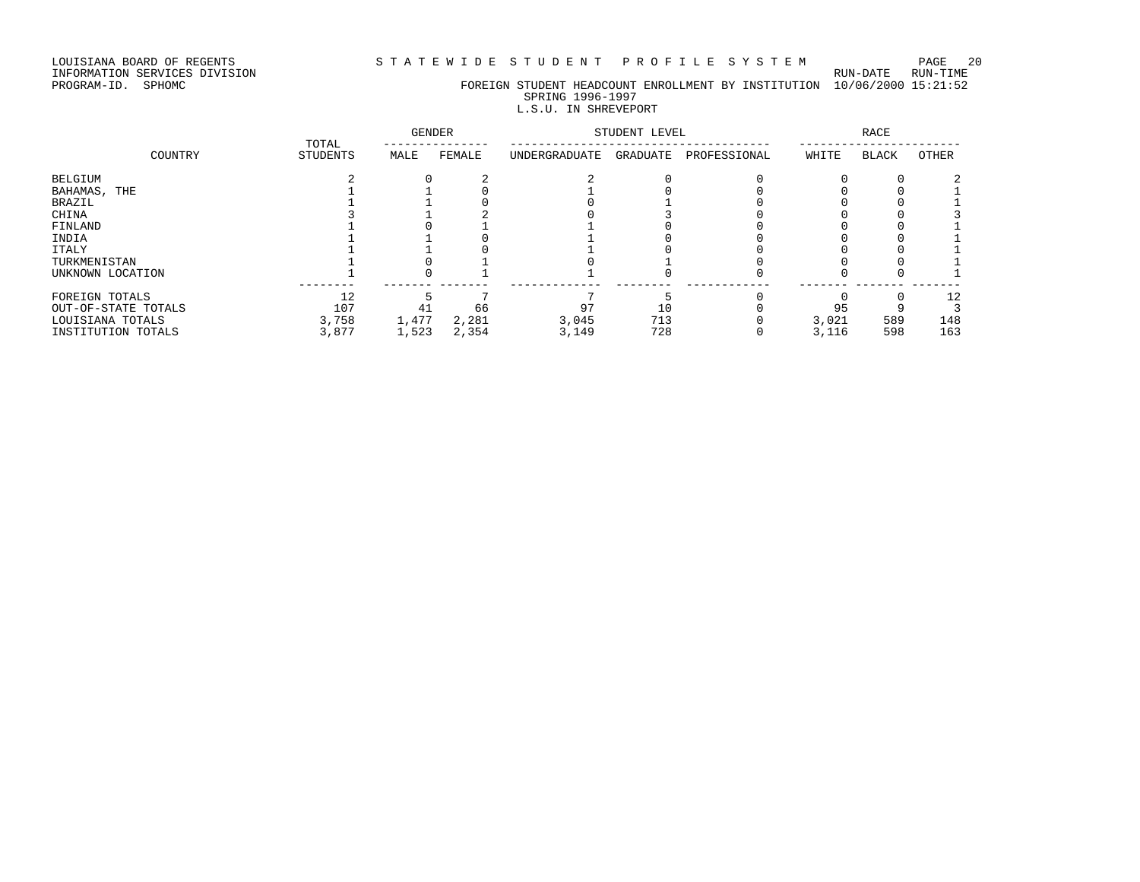INFORMATION SERVICES DIVISION RUN-DATE RUN-TIME

# PROGRAM-ID. SPHOMC FOREIGN STUDENT HEADCOUNT ENROLLMENT BY INSTITUTION 10/06/2000 15:21:52 SPRING 1996-1997

# L.S.U. IN SHREVEPORT

| TOTAL               |                 | <b>GENDER</b> |        | STUDENT LEVEL |          | <b>RACE</b>  |       |              |       |
|---------------------|-----------------|---------------|--------|---------------|----------|--------------|-------|--------------|-------|
| COUNTRY             | <b>STUDENTS</b> | MALE          | FEMALE | UNDERGRADUATE | GRADUATE | PROFESSIONAL | WHITE | <b>BLACK</b> | OTHER |
| BELGIUM             |                 |               |        |               |          |              |       |              |       |
| BAHAMAS, THE        |                 |               |        |               |          |              |       |              |       |
| BRAZIL              |                 |               |        |               |          |              |       |              |       |
| CHINA               |                 |               |        |               |          |              |       |              |       |
| FINLAND             |                 |               |        |               |          |              |       |              |       |
| INDIA               |                 |               |        |               |          |              |       |              |       |
| ITALY               |                 |               |        |               |          |              |       |              |       |
| TURKMENISTAN        |                 |               |        |               |          |              |       |              |       |
| UNKNOWN LOCATION    |                 |               |        |               |          |              |       |              |       |
| FOREIGN TOTALS      | 12              |               |        |               |          |              |       |              | 12    |
| OUT-OF-STATE TOTALS | 107             | 41            | 66     | 97            | 10       |              | 95    |              |       |
| LOUISIANA TOTALS    | 3,758           | 1,477         | 2,281  | 3,045         | 713      |              | 3,021 | 589          | 148   |
| INSTITUTION TOTALS  | 3,877           | 1,523         | 2,354  | 3,149         | 728      |              | 3,116 | 598          | 163   |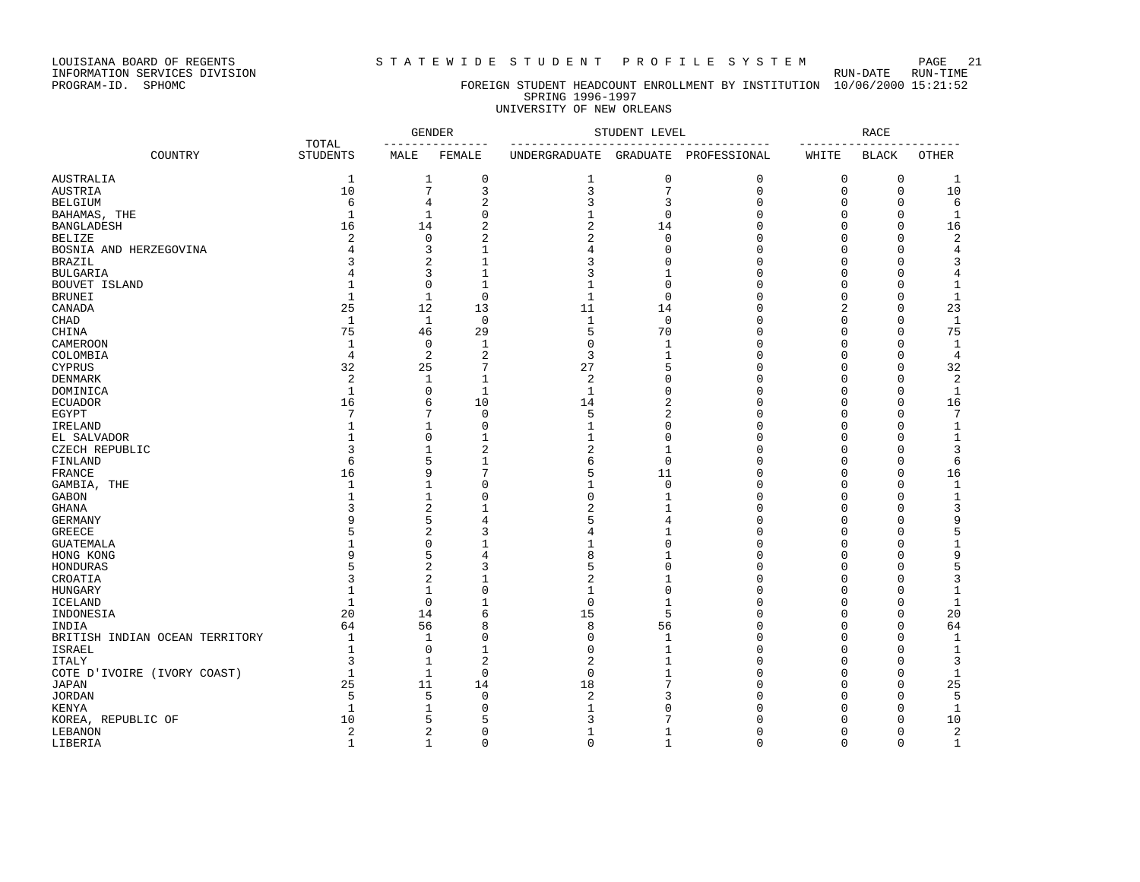### LOUISIANA BOARD OF REGENTS S T A T E W I D E S T U D E N T P R O F I L E S Y S T E M PAGE 21

# PROGRAM-ID. SPHOMC FOREIGN STUDENT HEADCOUNT ENROLLMENT BY INSTITUTION 10/06/2000 15:21:52 SPRING 1996-1997

# UNIVERSITY OF NEW ORLEANS

|                                |                          | <b>GENDER</b><br>____________ |                | STUDENT LEVEL                             |                | <b>RACE</b><br>-----        |             |              |                |
|--------------------------------|--------------------------|-------------------------------|----------------|-------------------------------------------|----------------|-----------------------------|-------------|--------------|----------------|
| COUNTRY                        | TOTAL<br><b>STUDENTS</b> | MALE                          | FEMALE         | ---------------<br>UNDERGRADUATE GRADUATE |                | -----------<br>PROFESSIONAL | WHITE       | <b>BLACK</b> | <b>OTHER</b>   |
| AUSTRALIA                      | 1                        | 1                             | $\mathbf 0$    | 1                                         | $\mathbf 0$    | $\mathbf 0$                 | 0           | 0            | -1             |
| <b>AUSTRIA</b>                 | 10                       | 7                             | 3              | 3                                         | 7              | $\mathbf{0}$                | $\mathbf 0$ | $\mathbf 0$  | 10             |
| <b>BELGIUM</b>                 | 6                        | 4                             | $\overline{c}$ | 3                                         | 3              | $\Omega$                    | 0           | $\mathbf 0$  | 6              |
| BAHAMAS, THE                   | $\mathbf{1}$             | $\mathbf{1}$                  | $\mathbf{0}$   | $\mathbf{1}$                              | $\mathbf 0$    | $\Omega$                    | 0           | $\mathbf 0$  | $\mathbf{1}$   |
| <b>BANGLADESH</b>              | 16                       | 14                            | $\overline{2}$ | $\overline{c}$                            | 14             | $\Omega$                    | $\Omega$    | $\mathbf 0$  | 16             |
| <b>BELIZE</b>                  | 2                        | $\mathbf 0$                   | $\overline{2}$ | 2                                         | $\Omega$       | $\Omega$                    | 0           | $\mathbf 0$  | $\overline{a}$ |
| BOSNIA AND HERZEGOVINA         | 4                        | 3                             | $\mathbf{1}$   | $\overline{4}$                            | $\Omega$       | $\Omega$                    | 0           | $\mathbf 0$  | $\overline{4}$ |
| <b>BRAZIL</b>                  | 3                        | $\overline{2}$                | $\mathbf{1}$   | 3                                         | $\Omega$       | $\Omega$                    | $\mathbf 0$ | $\Omega$     | 3              |
| <b>BULGARIA</b>                | 4                        | 3                             | $\mathbf{1}$   | 3                                         | -1             | ∩                           | 0           | $\Omega$     | 4              |
|                                |                          | $\mathbf 0$                   | $\mathbf{1}$   | $\mathbf{1}$                              | $\Omega$       | $\cap$                      |             | $\Omega$     |                |
| BOUVET ISLAND                  | 1<br>$\mathbf{1}$        |                               | $\Omega$       |                                           |                | $\Omega$                    | 0           |              | $\mathbf{1}$   |
| <b>BRUNEI</b>                  |                          | $\mathbf{1}$                  |                | $\mathbf{1}$                              | $\Omega$       |                             | $\Omega$    | $\Omega$     | $\mathbf{1}$   |
| CANADA                         | 25                       | 12                            | 13             | 11                                        | 14             | $\Omega$                    | 2           | $\mathbf{0}$ | 23             |
| CHAD                           | $\mathbf{1}$             | $\mathbf{1}$                  | $\mathbf 0$    | $\mathbf{1}$                              | $\mathbf 0$    | $\Omega$                    | $\mathbf 0$ | $\Omega$     | $\mathbf{1}$   |
| CHINA                          | 75                       | 46                            | 29             | 5                                         | 70             | $\Omega$                    | $\Omega$    | $\Omega$     | 75             |
| <b>CAMEROON</b>                | $\mathbf{1}$             | $\mathbf 0$                   | $\mathbf 1$    | $\mathbf 0$                               | $\mathbf{1}$   | $\Omega$                    | 0           | $\mathbf{0}$ | $\mathbf{1}$   |
| COLOMBIA                       | $\overline{4}$           | $\overline{2}$                | $\overline{2}$ | 3                                         | $\mathbf{1}$   | $\Omega$                    | 0           | $\mathbf{0}$ | $\overline{4}$ |
| <b>CYPRUS</b>                  | 32                       | 25                            | 7              | 27                                        | 5              | $\Omega$                    | 0           | $\mathbf{0}$ | 32             |
| <b>DENMARK</b>                 | $\overline{c}$           | $\mathbf{1}$                  | $\mathbf{1}$   | 2                                         | 0              | $\Omega$                    | 0           | $\mathbf{0}$ | $\overline{2}$ |
| DOMINICA                       | $\mathbf{1}$             | 0                             | $\mathbf{1}$   | $\mathbf{1}$                              | $\Omega$       | $\Omega$                    | 0           | $\mathbf{0}$ | $\mathbf{1}$   |
| <b>ECUADOR</b>                 | 16                       | 6                             | 10             | 14                                        | $\overline{2}$ | $\Omega$                    | 0           | $\mathbf{0}$ | 16             |
| EGYPT                          | 7                        | 7                             | $\Omega$       | 5                                         | 2              | $\cap$                      | 0           | 0            | 7              |
| IRELAND                        | $\mathbf{1}$             | $\mathbf{1}$                  | $\Omega$       | $\mathbf{1}$                              | $\Omega$       | $\cap$                      | 0           | $\Omega$     | $\mathbf{1}$   |
| EL SALVADOR                    | 1                        | $\Omega$                      | $\mathbf{1}$   | $\mathbf{1}$                              | $\Omega$       | $\Omega$                    | $\Omega$    | $\Omega$     | $\mathbf{1}$   |
| CZECH REPUBLIC                 | 3                        | $\mathbf{1}$                  | $\overline{a}$ | $\overline{2}$                            | $\mathbf{1}$   | $\Omega$                    | 0           | $\Omega$     | 3              |
| FINLAND                        | 6                        | 5                             | $\mathbf{1}$   | 6                                         | $\Omega$       | $\Omega$                    | 0           | $\Omega$     | 6              |
| FRANCE                         | 16                       | 9                             | 7              | 5                                         | 11             | $\Omega$                    | 0           | $\mathbf{0}$ | 16             |
| GAMBIA, THE                    | $\mathbf{1}$             | $\mathbf{1}$                  | $\Omega$       | 1                                         | $\mathbf{0}$   | $\Omega$                    | 0           | $\mathbf{0}$ | $\mathbf 1$    |
| <b>GABON</b>                   | 1                        | $\mathbf{1}$                  | $\Omega$       | $\mathbf 0$                               | -1             | $\cap$                      | $\Omega$    | $\Omega$     | $\mathbf{1}$   |
| <b>GHANA</b>                   | 3                        | $\overline{2}$                |                | 2                                         | $\mathbf{1}$   | $\Omega$                    | $\Omega$    | $\mathbf{0}$ | 3              |
| <b>GERMANY</b>                 | 9                        | 5                             | 4              | 5                                         | 4              | $\Omega$                    | 0           | 0            | 9              |
| <b>GREECE</b>                  | 5                        | $\overline{2}$                | 3              | 4                                         | 1              | $\Omega$                    | 0           | $\mathbf{0}$ | 5              |
| <b>GUATEMALA</b>               |                          | $\Omega$                      |                | 1                                         | $\Omega$       | $\cap$                      | 0           | $\Omega$     | $\mathbf{1}$   |
| HONG KONG                      | 9                        | 5                             | 4              | 8                                         | -1             | $\cap$                      | 0           | $\Omega$     | 9              |
| HONDURAS                       | 5                        | $\overline{2}$                | 3              | 5                                         | $\Omega$       | $\Omega$                    | 0           | $\Omega$     | 5              |
| CROATIA                        | 3                        | 2                             | $\mathbf{1}$   | $\overline{2}$                            | $\mathbf{1}$   | $\Omega$                    | $\Omega$    | $\Omega$     | 3              |
|                                | $\mathbf{1}$             | $\mathbf{1}$                  | $\Omega$       |                                           | $\Omega$       | $\Omega$                    |             | $\Omega$     |                |
| <b>HUNGARY</b>                 |                          |                               |                | $\mathbf{1}$                              |                | $\Omega$                    | 0           |              | $\mathbf{1}$   |
| <b>ICELAND</b>                 | $\mathbf{1}$             | $\mathbf 0$                   | $\mathbf{1}$   | $\mathsf 0$                               | $\mathbf{1}$   | $\Omega$                    | 0           | $\mathbf 0$  | $\mathbf{1}$   |
| INDONESIA                      | 20                       | 14                            | 6              | 15                                        | 5              |                             | 0           | $\mathbf 0$  | 20             |
| INDIA                          | 64                       | 56                            | 8              | 8                                         | 56             | $\Omega$                    | 0           | $\mathbf 0$  | 64             |
| BRITISH INDIAN OCEAN TERRITORY | $\mathbf{1}$             | $\mathbf{1}$                  | $\Omega$       | $\mathbf 0$                               | -1             | $\Omega$                    | $\Omega$    | $\Omega$     | $\mathbf{1}$   |
| ISRAEL                         | $\mathbf{1}$             | $\mathbf 0$                   | $\mathbf{1}$   | $\mathbf 0$                               | $\mathbf{1}$   | $\Omega$                    | 0           | $\Omega$     | $\mathbf 1$    |
| <b>ITALY</b>                   | 3                        | 1                             | $\overline{2}$ | 2                                         |                | ∩                           | 0           | 0            | 3              |
| COTE D'IVOIRE (IVORY COAST)    | $\mathbf{1}$             | $\mathbf{1}$                  | $\Omega$       | $\mathbf 0$                               |                | $\Omega$                    | 0           | $\mathbf 0$  | 1              |
| <b>JAPAN</b>                   | 25                       | 11                            | 14             | 18                                        |                | $\Omega$                    | 0           | $\Omega$     | 25             |
| <b>JORDAN</b>                  | 5                        | 5                             | $\Omega$       | $\overline{c}$                            |                | $\cap$                      | 0           | $\Omega$     | 5              |
| KENYA                          | $\mathbf{1}$             | $\mathbf{1}$                  | $\Omega$       | $\mathbf{1}$                              | Λ              | $\cap$                      | O           | $\Omega$     | $\mathbf{1}$   |
| KOREA, REPUBLIC OF             | 10                       | 5                             | 5              | 3                                         |                |                             | O           | $\mathbf{0}$ | 10             |
| LEBANON                        | 2                        | 2                             | $\Omega$       | $\mathbf{1}$                              |                | $\Omega$                    | 0           | $\mathbf{0}$ | 2              |
| LIBERIA                        | $\mathbf{1}$             | $\mathbf{1}$                  | $\Omega$       | $\Omega$                                  | $\overline{1}$ | $\Omega$                    | $\Omega$    | $\Omega$     | $\mathbf{1}$   |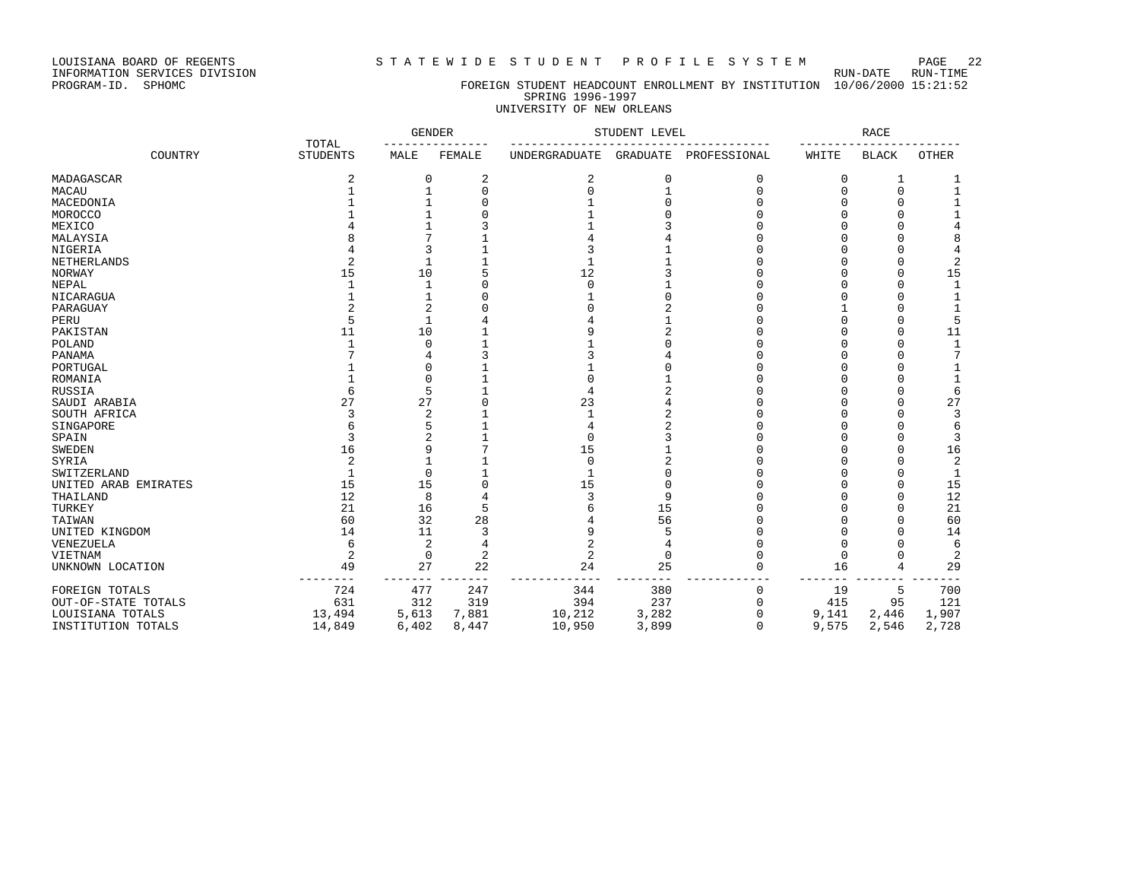LOUISIANA BOARD OF REGENTS STATEWIDE STUDENT PROFILE SYSTEM PAGE 22

### PROGRAM-ID. SPHOMC FOREIGN STUDENT HEADCOUNT ENROLLMENT BY INSTITUTION 10/06/2000 15:21:52 SPRING 1996-1997 UNIVERSITY OF NEW ORLEANS

|                      |                 | <b>GENDER</b><br>TOTAL |                | STUDENT LEVEL        | <b>RACE</b>     |              |        |              |                |
|----------------------|-----------------|------------------------|----------------|----------------------|-----------------|--------------|--------|--------------|----------------|
| COUNTRY              | <b>STUDENTS</b> | MALE                   | FEMALE         | <b>UNDERGRADUATE</b> | <b>GRADUATE</b> | PROFESSIONAL | WHITE  | <b>BLACK</b> | <b>OTHER</b>   |
| MADAGASCAR           |                 | $\Omega$               | 2              | 2                    | $\Omega$        | 0            | O      |              |                |
| MACAU                |                 |                        | $\Omega$       | O                    |                 | $\cap$       |        | C            |                |
| MACEDONIA            |                 |                        |                |                      |                 |              |        |              |                |
| MOROCCO              |                 |                        |                |                      |                 |              |        |              |                |
| MEXICO               |                 |                        |                |                      |                 |              |        |              |                |
| MALAYSIA             |                 |                        |                |                      |                 |              |        |              | 8              |
| NIGERIA              |                 |                        |                |                      |                 |              |        |              | 4              |
| NETHERLANDS          |                 |                        |                |                      |                 |              |        |              | $\mathbf 2$    |
| <b>NORWAY</b>        | 15              | 10                     |                | 12                   |                 |              |        |              | 15             |
| <b>NEPAL</b>         |                 |                        |                | $\Omega$             |                 |              |        |              | 1              |
| NICARAGUA            |                 |                        |                |                      |                 |              |        |              |                |
| PARAGUAY             |                 |                        |                |                      |                 |              |        |              |                |
| PERU                 |                 |                        |                |                      |                 |              |        |              | 5              |
| PAKISTAN             | 11              | 10                     |                | q                    |                 |              |        |              | 11             |
| POLAND               |                 | ∩                      |                |                      |                 |              |        |              |                |
| PANAMA               |                 |                        |                |                      |                 |              |        |              | 7              |
| PORTUGAL             |                 | ſ                      |                |                      |                 |              |        |              |                |
| ROMANIA              |                 | ſ                      |                | U                    |                 |              |        |              |                |
| RUSSIA               |                 | 5                      |                | 4                    |                 |              |        |              | 6              |
| SAUDI ARABIA         | 27              | 27                     |                | 23                   |                 |              |        |              | 27             |
| SOUTH AFRICA         |                 | 2                      |                |                      |                 |              |        |              | 3              |
| SINGAPORE            |                 | 5                      |                | 4                    |                 |              |        |              | 6              |
| SPAIN                | 3               |                        |                | $\mathbf 0$          |                 |              |        |              | 3              |
| <b>SWEDEN</b>        | 16              |                        |                | 15                   |                 |              |        |              | 16             |
| SYRIA                | $\overline{2}$  |                        |                | $\Omega$             |                 |              |        |              | $\overline{c}$ |
| SWITZERLAND          |                 | $\Omega$               |                | $\mathbf{1}$         |                 |              |        |              | 1              |
| UNITED ARAB EMIRATES | 15              | 15                     |                | 15                   |                 |              |        |              | 15             |
| THAILAND             | 12              | 8                      |                | 3                    | q               |              |        |              | 12             |
| TURKEY               | 21              | 16                     | 5              | б                    | 15              |              |        |              | 21             |
| TAIWAN               | 60              | 32                     | 28             | 4                    | 56              |              |        |              | 60             |
| UNITED KINGDOM       | 14              | 11                     |                | 9                    |                 |              |        |              | 14             |
| VENEZUELA            | 6               | $\overline{2}$         |                | 2                    |                 |              |        |              | 6              |
| VIETNAM              | $\overline{2}$  | $\mathbf 0$            | $\overline{2}$ | $\overline{c}$       | $\Omega$        |              | $\cap$ |              | 2              |
| UNKNOWN LOCATION     | 49              | 27                     | 22             | 24                   | 25              |              | 16     | 4            | 29             |
| FOREIGN TOTALS       | 724             | 477                    | 247            | 344                  | 380             |              | 19     | 5            | 700            |
| OUT-OF-STATE TOTALS  | 631             | 312                    | 319            | 394                  | 237             | O            | 415    | 95           | 121            |
| LOUISIANA TOTALS     | 13,494          | 5,613                  | 7,881          | 10,212               | 3,282           | O            | 9,141  | 2,446        | 1,907          |
| INSTITUTION TOTALS   | 14,849          | 6,402                  | 8,447          | 10,950               | 3,899           | O            | 9,575  | 2,546        | 2,728          |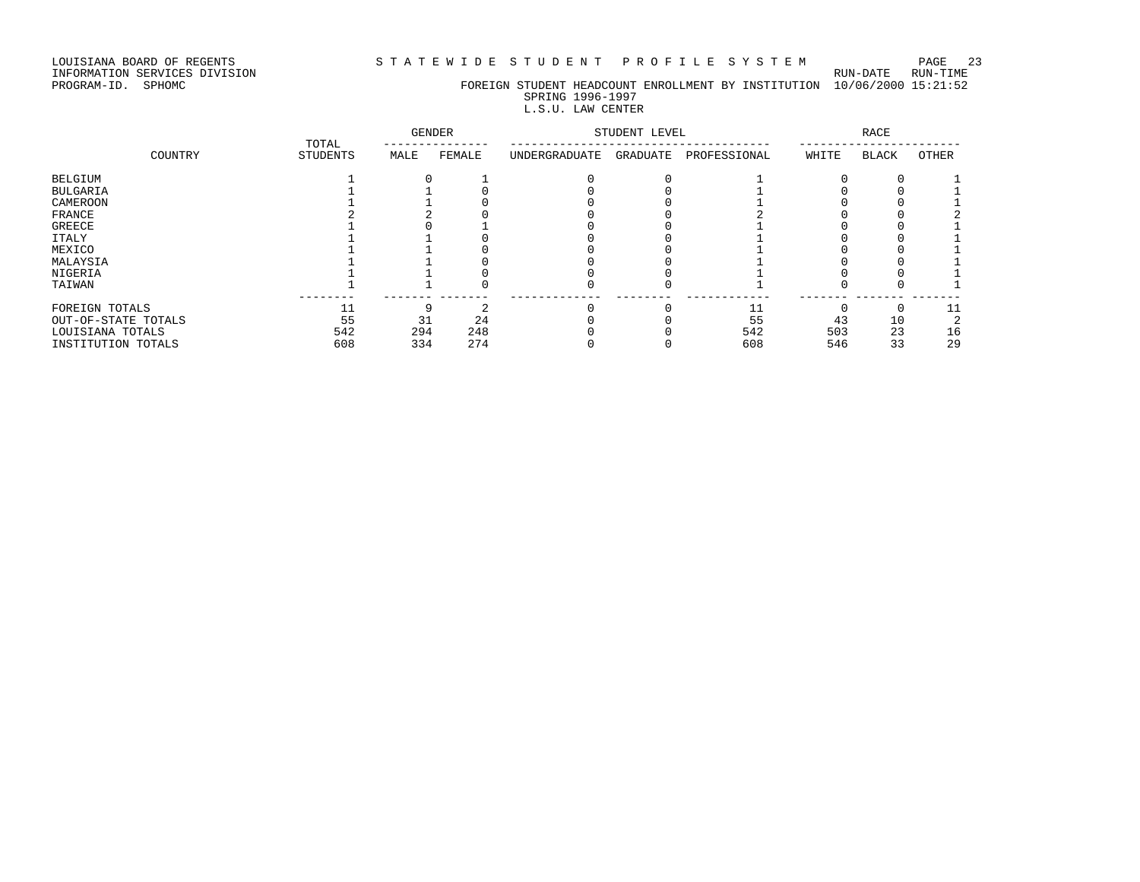LOUISIANA BOARD OF REGENTS STATEWIDE STUDENT PROFILE SYSTEM PAGE 23

INFORMATION SERVICES DIVISION RUN-DATE RUN-TIME

PROGRAM-ID. SPHOMC FOREIGN STUDENT HEADCOUNT ENROLLMENT BY INSTITUTION 10/06/2000 15:21:52 SPRING 1996-1997

## L.S.U. LAW CENTER

|                     | TOTAL           | <b>GENDER</b> |        | STUDENT LEVEL |          | RACE         |       |              |       |
|---------------------|-----------------|---------------|--------|---------------|----------|--------------|-------|--------------|-------|
| COUNTRY             | <b>STUDENTS</b> | MALE          | FEMALE | UNDERGRADUATE | GRADUATE | PROFESSIONAL | WHITE | <b>BLACK</b> | OTHER |
| BELGIUM             |                 |               |        |               |          |              |       |              |       |
| <b>BULGARIA</b>     |                 |               |        |               |          |              |       |              |       |
| CAMEROON            |                 |               |        |               |          |              |       |              |       |
| FRANCE              |                 |               |        |               |          |              |       |              |       |
| <b>GREECE</b>       |                 |               |        |               |          |              |       |              |       |
| <b>ITALY</b>        |                 |               |        |               |          |              |       |              |       |
| MEXICO              |                 |               |        |               |          |              |       |              |       |
| MALAYSIA            |                 |               |        |               |          |              |       |              |       |
| NIGERIA             |                 |               |        |               |          |              |       |              |       |
| TAIWAN              |                 |               |        |               |          |              |       |              |       |
| FOREIGN TOTALS      |                 |               |        |               |          |              |       |              |       |
| OUT-OF-STATE TOTALS | 55              | 31            | 24     |               |          | 55           | 43    | 10           |       |
| LOUISIANA TOTALS    | 542             | 294           | 248    |               |          | 542          | 503   | 23           | 16    |
| INSTITUTION TOTALS  | 608             | 334           | 274    |               |          | 608          | 546   | 33           | 29    |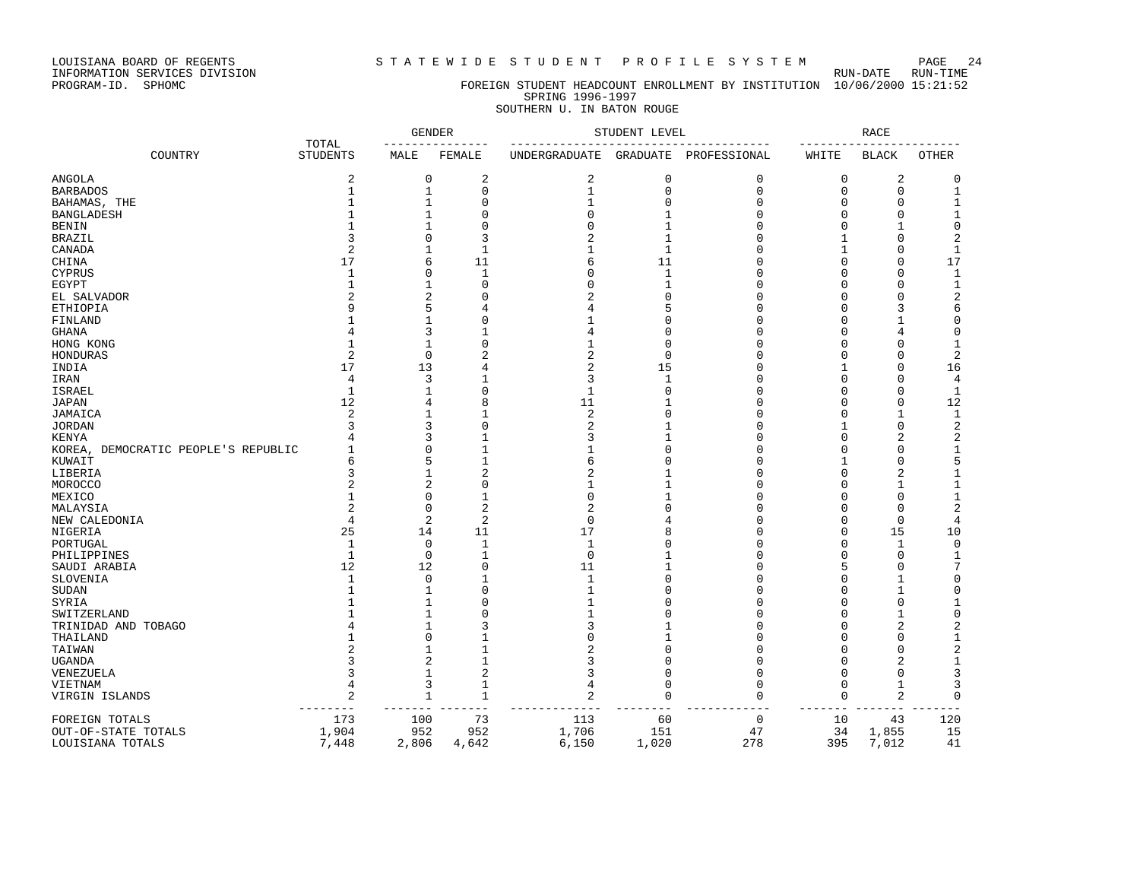LOUISIANA BOARD OF REGENTS STATEWIDE STUDENT PROFILE SYSTEM PAGE 24 PAGE 24

INFORMATION SERVICES DIVISION<br>PROGRAM-ID. SPHOMC

#### FOREIGN STUDENT HEADCOUNT ENROLLMENT BY INSTITUTION 10/06/2000 15:21:52 SPRING 1996-1997 SOUTHERN U. IN BATON ROUGE

|                                     |                          | <b>GENDER</b><br><u>_______________</u> |                | STUDENT LEVEL                       |             | RACE<br>-------- |            |                |                         |
|-------------------------------------|--------------------------|-----------------------------------------|----------------|-------------------------------------|-------------|------------------|------------|----------------|-------------------------|
| COUNTRY                             | TOTAL<br><b>STUDENTS</b> | MALE                                    | FEMALE         | UNDERGRADUATE GRADUATE PROFESSIONAL |             |                  | WHITE      | <b>BLACK</b>   | <b>OTHER</b>            |
| ANGOLA                              | $\overline{2}$           | 0                                       | 2              | $\overline{c}$                      | $\mathbf 0$ | 0                | 0          | 2              | 0                       |
| <b>BARBADOS</b>                     | $\mathbf{1}$             | $\mathbf{1}$                            | $\Omega$       | $\mathbf{1}$                        | $\mathbf 0$ | $\Omega$         | $\Omega$   | $\Omega$       | $\mathbf{1}$            |
| BAHAMAS, THE                        | $\mathbf{1}$             | 1                                       | $\mathbf{0}$   | 1                                   | $\Omega$    | $\Omega$         | 0          | 0              | 1                       |
| BANGLADESH                          |                          | 1                                       | $\Omega$       | $\Omega$                            |             | $\Omega$         | U          | n              | 1                       |
| BENIN                               | $\mathbf{1}$             |                                         | $\mathbf{0}$   | $\Omega$                            |             |                  | O          |                | 0                       |
| BRAZIL                              | 3                        | U                                       | 3              | $\overline{2}$                      | 1           | U                | 1          | ∩              | $\overline{2}$          |
| CANADA                              | 2                        |                                         | 1              | 1                                   | 1           | n                |            |                | 1                       |
| CHINA                               | 17                       | 6                                       | 11             | 6                                   | 11          | O                | U          | n              | 17                      |
| CYPRUS                              | 1                        | U                                       | 1              | $\Omega$                            | 1           | n                | U          | ∩              | 1                       |
| EGYPT                               | $\mathbf{1}$             | 1                                       | $\Omega$       | $\cap$                              | -1          | ∩                | U          |                | 1                       |
| EL SALVADOR                         |                          | $\overline{\mathcal{L}}$                | $\Omega$       | $\overline{c}$                      | U           | $\cap$           | U          |                | $\overline{\mathbf{c}}$ |
| ETHIOPIA                            | q                        | 5                                       | 4              | 4                                   | 5           | C                | U          |                | 6                       |
|                                     |                          |                                         | $\Omega$       |                                     | O           | O                | U          |                | 0                       |
| FINLAND                             |                          | 3                                       | 1              | 4                                   | $\Omega$    | $\Omega$         | U          |                | $\Omega$                |
| GHANA                               |                          |                                         |                |                                     | $\Omega$    | C                |            |                |                         |
| HONG KONG                           | $\mathbf{1}$             | $\mathbf{1}$                            | $\mathbf{0}$   |                                     |             |                  | U          | ∩              | 1                       |
| HONDURAS                            | $\overline{2}$           | $\Omega$                                | $\overline{2}$ | $\overline{2}$                      | $\Omega$    | n                | U          |                | 2                       |
| INDIA                               | 17                       | 13                                      | 4              | $\overline{c}$                      | 15          | O                | 1          | n              | 16                      |
| IRAN                                | 4                        | 3                                       | 1              | 3                                   | 1           | O                | 0          | n              | 4                       |
| ISRAEL                              | 1                        |                                         | $\mathbf{0}$   | 1                                   | $\Omega$    | ∩                | U          | ∩              | $\mathbf{1}$            |
| JAPAN                               | 12                       | 4                                       | 8              | 11                                  |             | $\Omega$         | O          | n              | 12                      |
| JAMAICA                             | $\overline{c}$           | 1                                       | 1              | $\overline{2}$                      | O           | U                | U          |                | 1                       |
| JORDAN                              |                          | 3                                       | $\Omega$       | 2                                   |             | $\cap$           |            | $\Omega$       | 2                       |
| KENYA                               |                          | 3                                       | $\mathbf{1}$   | 3                                   |             | $\Omega$         | O          | 2              | 2                       |
| KOREA, DEMOCRATIC PEOPLE'S REPUBLIC |                          | $\Omega$                                | $\mathbf{1}$   |                                     | $\Omega$    | $\Omega$         | U          | $\cap$         | $1\,$                   |
| KUWAIT                              | 6                        | 5                                       | 1              | 6                                   | U           | O                |            | n              | 5                       |
| LIBERIA                             |                          |                                         | $\overline{2}$ | 2                                   |             | U                | U          | 2              | 1                       |
| MOROCCO                             | $\overline{2}$           | 2                                       | $\mathbf 0$    | 1                                   |             | n                | U          |                | 1                       |
| MEXICO                              |                          | U                                       | $\mathbf{1}$   | $\Omega$                            |             | n                | ∩          | ∩              | $\mathbf 1$             |
| MALAYSIA                            | $\overline{2}$           | 0                                       | $\overline{2}$ | $\overline{c}$                      | O           | U                | U          | n              | 2                       |
| NEW CALEDONIA                       | $\overline{4}$           | 2                                       | $\overline{2}$ | $\mathbf 0$                         |             | O                | U          | n              | 4                       |
| NIGERIA                             | 25                       | 14                                      | 11             | 17                                  | 8           | $\cap$           | O          | 15             | 10                      |
| PORTUGAL                            | $\mathbf{1}$             | $\mathbf 0$                             | $\mathbf 1$    | $\mathbf{1}$                        | Ω           | $\Omega$         | O          | 1              | $\mathbf 0$             |
| PHILIPPINES                         | $\mathbf{1}$             | $\mathbf 0$                             | $\mathbf{1}$   | $\Omega$                            |             | $\cap$           | U          | $\Omega$       | 1                       |
| SAUDI ARABIA                        | 12                       | 12                                      | $\Omega$       | 11                                  | 1           | O                | 5          | n              | 7                       |
| SLOVENIA                            | 1                        | $\Omega$                                | 1              | 1                                   | $\Omega$    | O                | U          |                | $\Omega$                |
|                                     | $\mathbf{1}$             |                                         | $\mathbf 0$    | 1                                   | Ω           | U                | U          |                | $\Omega$                |
| SUDAN                               |                          |                                         | $\Omega$       | -1                                  | U           | ∩                | U          | ∩              |                         |
| SYRIA                               |                          |                                         | $\Omega$       |                                     | Ω           | $\Omega$         |            |                | 1                       |
| SWITZERLAND                         |                          |                                         |                | 1                                   |             |                  | U          |                | 0                       |
| TRINIDAD AND TOBAGO                 |                          |                                         | 3              | 3                                   |             |                  | U          |                | 2                       |
| THAILAND                            |                          | U                                       | $\mathbf{1}$   | $\Omega$                            |             | $\cap$           | U          |                | 1                       |
| TAIWAN                              |                          |                                         | $\mathbf{1}$   | 2                                   | $\Omega$    |                  | O          | n              | 2                       |
| UGANDA                              |                          | 2                                       | 1              | 3                                   | $\Omega$    | $\Omega$         | O          | 2              | $\mathbf 1$             |
| VENEZUELA                           |                          | 1                                       | $\overline{2}$ | 3                                   | $\Omega$    | U                | U          | ∩              | 3                       |
| VIETNAM                             | $\overline{4}$           | 3                                       | 1              | 4                                   | $\Omega$    | $\Omega$         | $\Omega$   | 1              | 3                       |
| VIRGIN ISLANDS                      | 2<br>------              | 1                                       | 1<br>$- -$     | $\overline{2}$                      | $\Omega$    | $\Omega$         | 0<br>$- -$ | $\overline{2}$ | $\mathbf 0$             |
| FOREIGN TOTALS                      | 173                      | 100                                     | 73             | 113                                 | 60          | $\mathbf 0$      | 10         | 43             | 120                     |
| OUT-OF-STATE TOTALS                 | 1,904                    | 952                                     | 952            | 1,706                               | 151         | 47               | 34         | 1,855          | 15                      |
| LOUISIANA TOTALS                    | 7,448                    | 2,806                                   | 4,642          | 6,150                               | 1,020       | 278              | 395        | 7,012          | 41                      |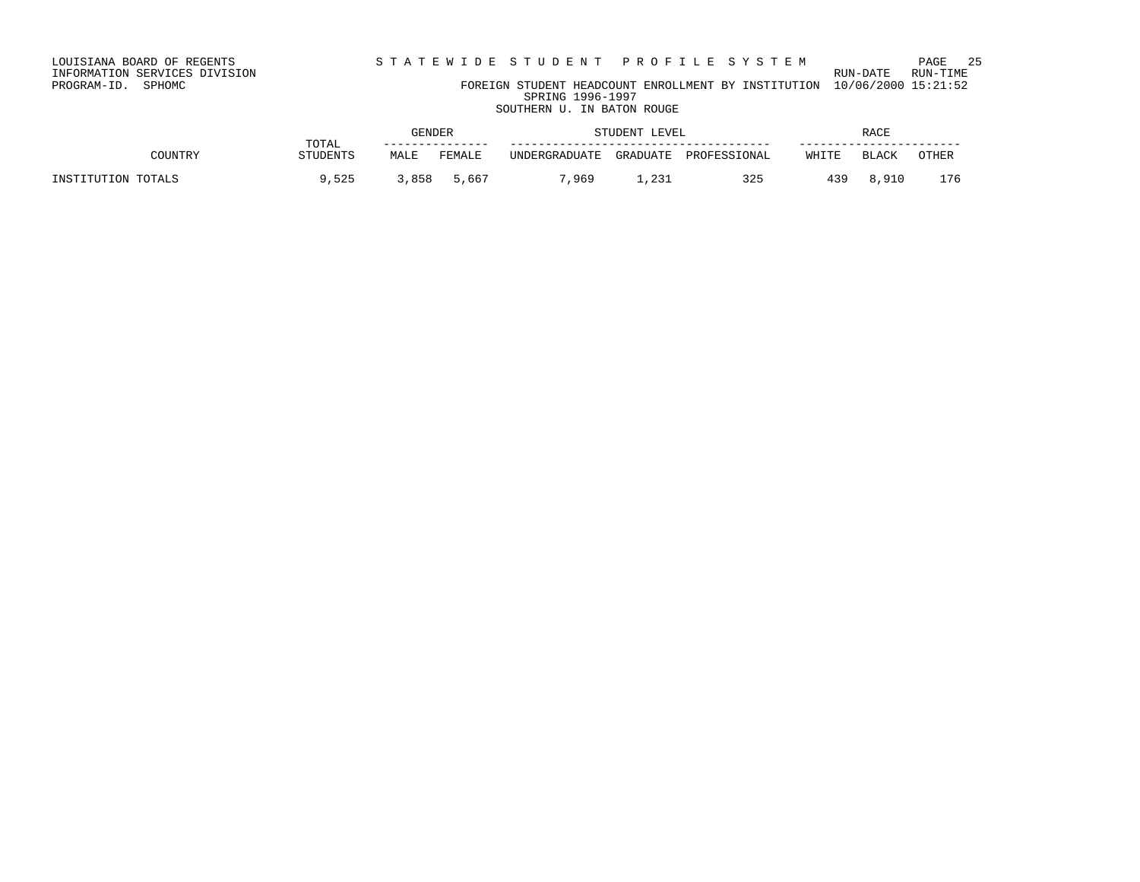#### INFORMATION SERVICES DIVISION RUN-DATE RUN-TIME PROGRAM-ID. SPHOMC FOREIGN STUDENT HEADCOUNT ENROLLMENT BY INSTITUTION 10/06/2000 15:21:52 SPRING 1996-1997 SOUTHERN U. IN BATON ROUGE

GENDER STUDENT LEVEL RACE TOTAL --------------- ------------------------------------- ----------------------- COUNTRY STUDENTS MALE FEMALE UNDERGRADUATE GRADUATE PROFESSIONAL WHITE BLACK OTHER INSTITUTION TOTALS 9,525 3,858 5,667 7,969 1,231 325 439 8,910 176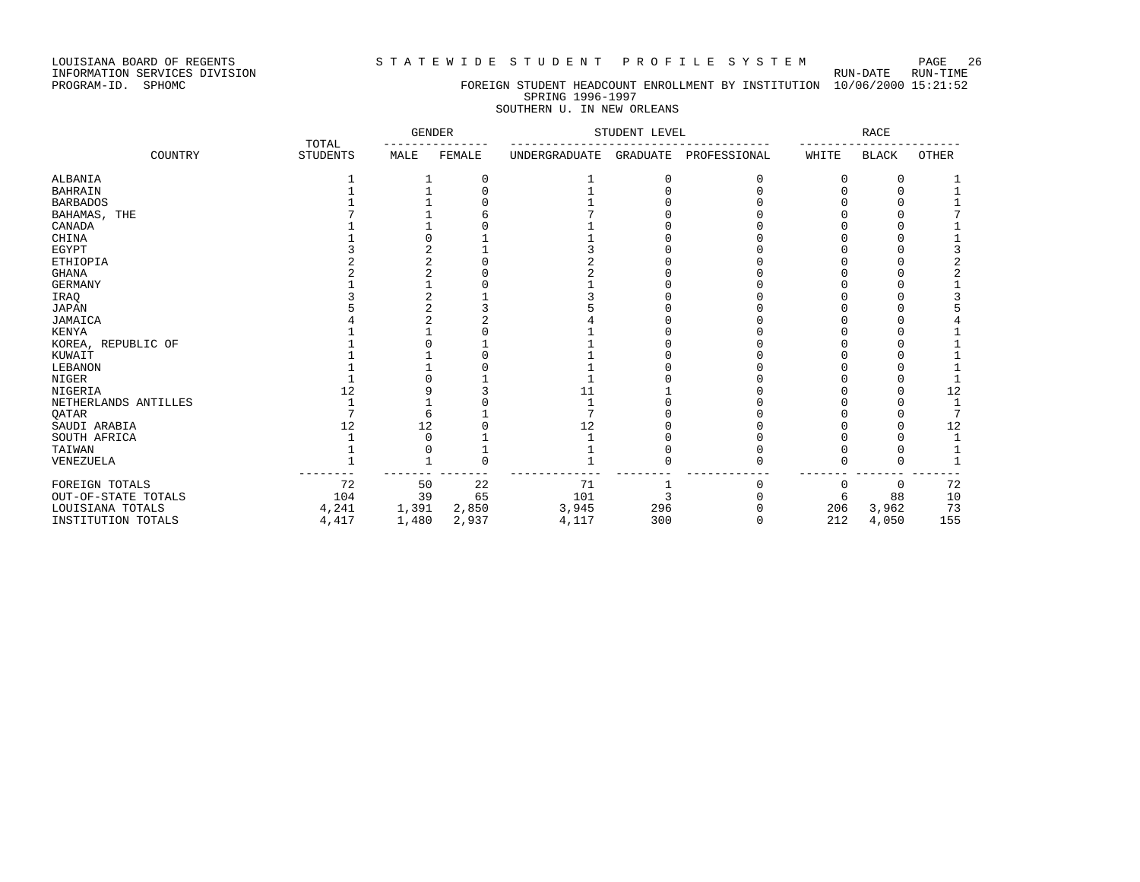### LOUISIANA BOARD OF REGENTS STATEWIDE STUDENT PROFILE SYSTEM PAGE 26

# PROGRAM-ID. SPHOMC FOREIGN STUDENT HEADCOUNT ENROLLMENT BY INSTITUTION 10/06/2000 15:21:52 SPRING 1996-1997

### SOUTHERN U. IN NEW ORLEANS

|                      |                          | <b>GENDER</b> |        | STUDENT LEVEL        |                 | <b>RACE</b>  |       |              |              |
|----------------------|--------------------------|---------------|--------|----------------------|-----------------|--------------|-------|--------------|--------------|
| COUNTRY              | TOTAL<br><b>STUDENTS</b> | MALE          | FEMALE | <b>UNDERGRADUATE</b> | <b>GRADUATE</b> | PROFESSIONAL | WHITE | <b>BLACK</b> | <b>OTHER</b> |
| ALBANIA              |                          |               |        |                      |                 |              |       |              |              |
| <b>BAHRAIN</b>       |                          |               |        |                      |                 |              |       |              |              |
| <b>BARBADOS</b>      |                          |               |        |                      |                 |              |       |              |              |
| BAHAMAS,<br>THE      |                          |               |        |                      |                 |              |       |              |              |
| CANADA               |                          |               |        |                      |                 |              |       |              |              |
| CHINA                |                          |               |        |                      |                 |              |       |              |              |
| EGYPT                |                          |               |        |                      |                 |              |       |              |              |
| ETHIOPIA             |                          |               |        |                      |                 |              |       |              |              |
| <b>GHANA</b>         |                          |               |        |                      |                 |              |       |              |              |
| <b>GERMANY</b>       |                          |               |        |                      |                 |              |       |              |              |
| IRAQ                 |                          |               |        |                      |                 |              |       |              |              |
| <b>JAPAN</b>         |                          |               |        |                      |                 |              |       |              |              |
| JAMAICA              |                          |               |        |                      |                 |              |       |              |              |
| <b>KENYA</b>         |                          |               |        |                      |                 |              |       |              |              |
| KOREA, REPUBLIC OF   |                          |               |        |                      |                 |              |       |              |              |
| KUWAIT               |                          |               |        |                      |                 |              |       |              |              |
| LEBANON              |                          |               |        |                      |                 |              |       |              |              |
| NIGER                |                          |               |        |                      |                 |              |       |              |              |
| NIGERIA              | 12                       |               |        | 11                   |                 |              |       |              | 12           |
| NETHERLANDS ANTILLES |                          |               |        |                      |                 |              |       |              |              |
| QATAR                |                          |               |        |                      |                 |              |       |              | 7            |
| SAUDI ARABIA         | 12                       | 12            |        | 12                   |                 |              |       |              | 12           |
| SOUTH AFRICA         |                          |               |        |                      |                 |              |       |              |              |
| TAIWAN               |                          |               |        |                      |                 |              |       |              |              |
| VENEZUELA            |                          |               |        |                      |                 |              |       |              |              |
| FOREIGN TOTALS       | 72                       | 50            | 22     | 71                   |                 |              |       | $\Omega$     | 72           |
| OUT-OF-STATE TOTALS  | 104                      | 39            | 65     | 101                  |                 |              | 6     | 88           | $10$         |
| LOUISIANA TOTALS     | 4,241                    | 1,391         | 2,850  | 3,945                | 296             |              | 206   | 3,962        | 73           |
| INSTITUTION TOTALS   | 4,417                    | 1,480         | 2,937  | 4,117                | 300             |              | 212   | 4,050        | 155          |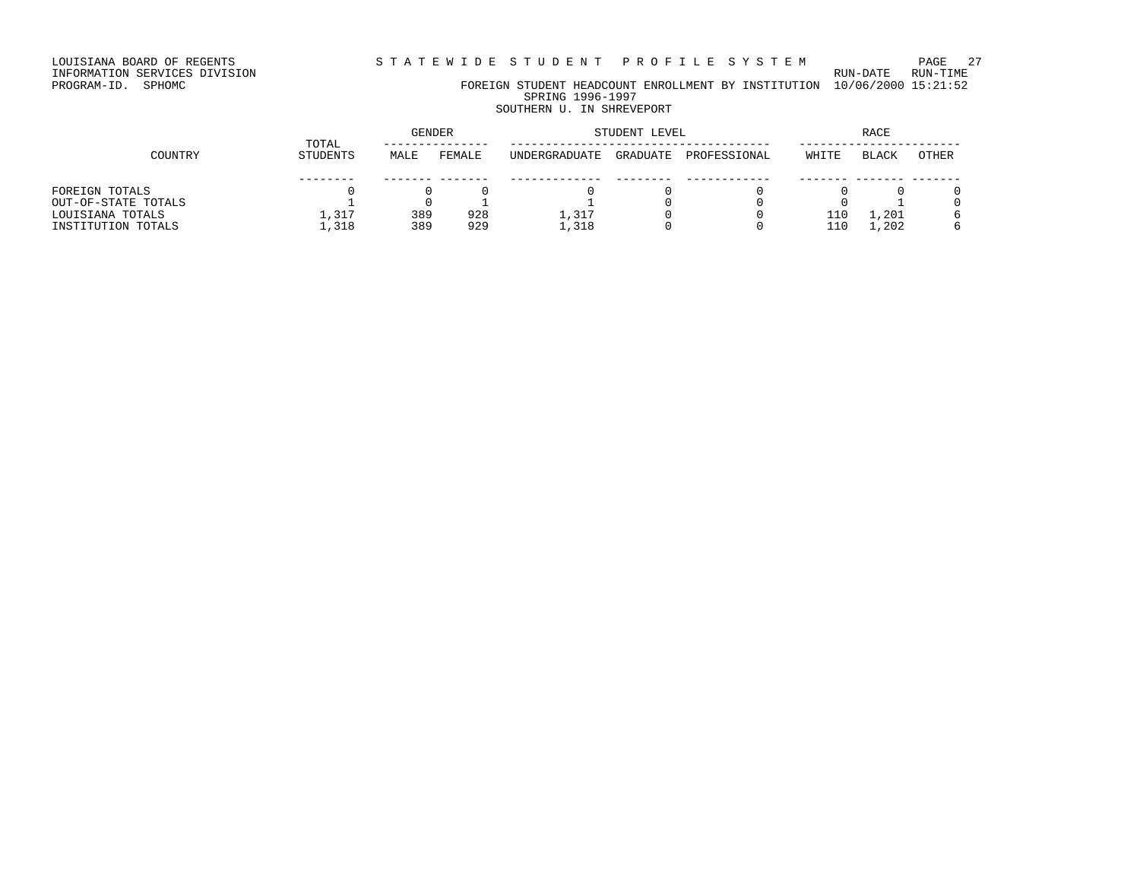LOUISIANA BOARD OF REGENTS STATEWIDE STUDENT PROFILE SYSTEM PAGE 27

# INFORMATION SERVICES DIVISION RUN-DATE RUN-TIME

PROGRAM-ID. SPHOMC FOREIGN STUDENT HEADCOUNT ENROLLMENT BY INSTITUTION 10/06/2000 15:21:52 SPRING 1996-1997

# SOUTHERN U. IN SHREVEPORT

|                     |                   | <b>GENDER</b> |        | STUDENT LEVEL | <b>RACE</b> |              |       |              |       |
|---------------------|-------------------|---------------|--------|---------------|-------------|--------------|-------|--------------|-------|
| COUNTRY             | TOTAL<br>STUDENTS | MALE          | FEMALE | UNDERGRADUATE | GRADUATE    | PROFESSIONAL | WHITE | <b>BLACK</b> | OTHER |
|                     |                   |               |        |               |             |              |       |              |       |
| FOREIGN TOTALS      |                   |               |        |               |             |              |       |              |       |
| OUT-OF-STATE TOTALS |                   |               |        |               |             |              |       |              |       |
| LOUISIANA TOTALS    | 1,317             | 389           | 928    | 1.317         |             |              | 110   | . . 201      |       |
| INSTITUTION TOTALS  | 1,318             | 389           | 929    | 1,318         |             |              | 110   | 1,202        |       |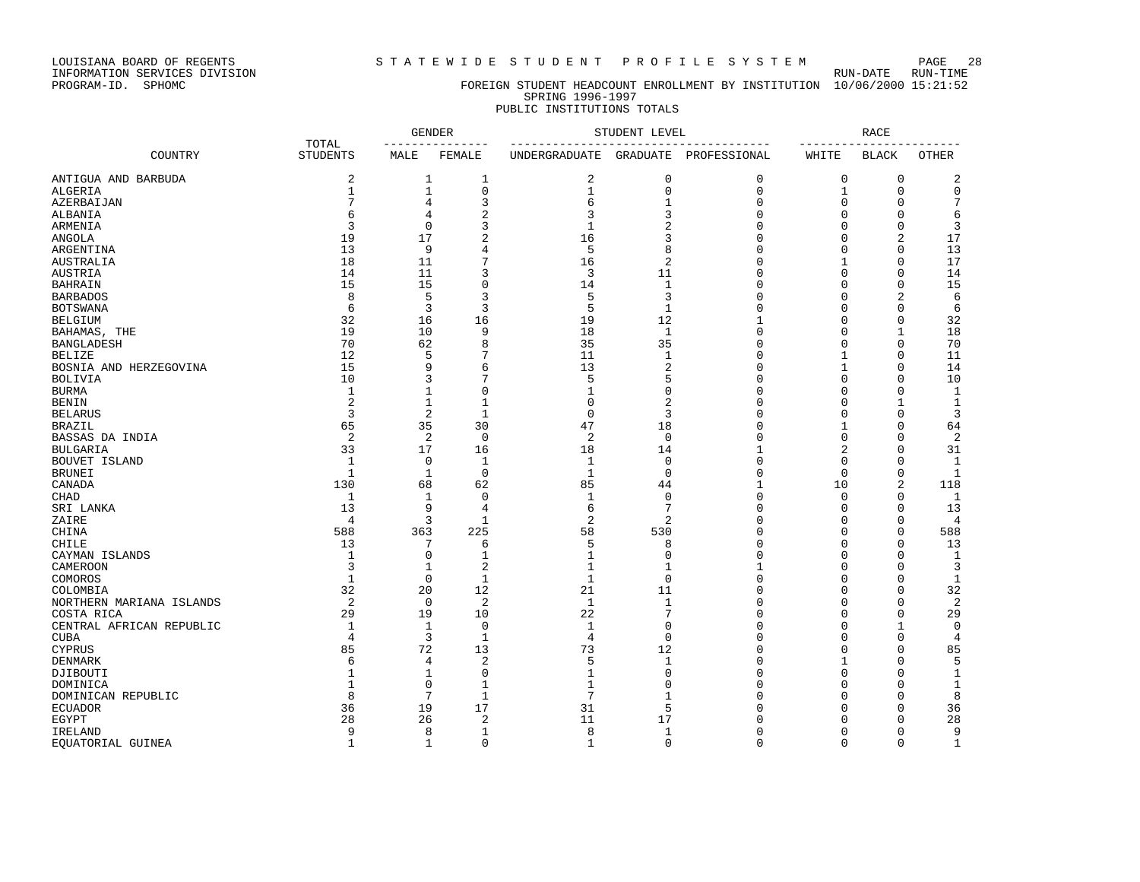LOUISIANA BOARD OF REGENTS S T A T E W I D E S T U D E N T P R O F I L E S Y S T E M PAGE 28

#### PROGRAM-ID. SPHOMC FOREIGN STUDENT HEADCOUNT ENROLLMENT BY INSTITUTION 10/06/2000 15:21:52 SPRING 1996-1997 PUBLIC INSTITUTIONS TOTALS

|                          |                          | <b>GENDER</b><br>------------ |                | STUDENT LEVEL                           | <b>RACE</b>    |              |                   |                        |              |
|--------------------------|--------------------------|-------------------------------|----------------|-----------------------------------------|----------------|--------------|-------------------|------------------------|--------------|
| COUNTRY                  | TOTAL<br><b>STUDENTS</b> | MALE                          | FEMALE         | ______________________<br>UNDERGRADUATE | GRADUATE       | PROFESSIONAL | --------<br>WHITE | ------<br><b>BLACK</b> | OTHER        |
| ANTIGUA AND BARBUDA      | 2                        | 1                             | 1              | 2                                       | 0              | 0            | 0                 | 0                      | 2            |
| ALGERIA                  | $\mathbf 1$              | $\mathbf{1}$                  | 0              | $\mathbf{1}$                            | $\mathsf 0$    | $\mathbf 0$  | $\mathbf{1}$      | $\Omega$               | $\mathbf 0$  |
| AZERBAIJAN               | 7                        | $\overline{4}$                | 3              | 6                                       | $\mathbf{1}$   | $\Omega$     | $\Omega$          | $\Omega$               | 7            |
| ALBANIA                  | 6                        | $\overline{4}$                | $\overline{2}$ | 3                                       | 3              | $\Omega$     | $\Omega$          | 0                      | 6            |
| ARMENIA                  | 3                        | $\mathbf 0$                   | 3              | $\mathbf{1}$                            | $\overline{2}$ | $\Omega$     | $\Omega$          | $\mathbf{0}$           | 3            |
| <b>ANGOLA</b>            | 19                       | 17                            | $\overline{2}$ | 16                                      | 3              | $\Omega$     | $\Omega$          | 2                      | 17           |
| ARGENTINA                | 13                       | 9                             | 4              | 5                                       | 8              | $\Omega$     | $\Omega$          | $\mathbf{0}$           | 13           |
| AUSTRALIA                | 18                       | 11                            | 7              | 16                                      | $\overline{2}$ | $\Omega$     | 1                 | $\Omega$               | 17           |
| AUSTRIA                  | 14                       | 11                            | 3              | 3                                       | 11             | O            | $\Omega$          | $\Omega$               | 14           |
| <b>BAHRAIN</b>           | 15                       | 15                            | $\Omega$       | 14                                      | $\mathbf{1}$   | $\Omega$     | $\Omega$          | $\Omega$               | 15           |
| <b>BARBADOS</b>          | 8                        | 5                             | 3              | 5                                       | 3              | $\Omega$     | $\Omega$          | $\overline{2}$         | 6            |
| <b>BOTSWANA</b>          | 6                        | 3                             | 3              | 5                                       | $\mathbf{1}$   | $\Omega$     | $\Omega$          | $\Omega$               | 6            |
| <b>BELGIUM</b>           | 32                       | 16                            | 16             | 19                                      | 12             | 1            | 0                 | 0                      | 32           |
| BAHAMAS, THE             | 19                       | 10                            | 9              | 18                                      | $\mathbf{1}$   | 0            | $\Omega$          | 1                      | 18           |
| <b>BANGLADESH</b>        | 70                       | 62                            | 8              | 35                                      | 35             | $\Omega$     | $\Omega$          | $\mathbf 0$            | 70           |
| <b>BELIZE</b>            | 12                       | 5                             | 7              | 11                                      | $\mathbf{1}$   | 0            | 1                 | 0                      | 11           |
| BOSNIA AND HERZEGOVINA   | 15                       | 9                             | 6              | 13                                      | 2              | $\Omega$     | $\mathbf{1}$      | $\Omega$               | 14           |
| <b>BOLIVIA</b>           | 10                       | 3                             | 7              | 5                                       | 5              | $\Omega$     | $\Omega$          | $\Omega$               | 10           |
| <b>BURMA</b>             | 1                        | 1                             | $\Omega$       | 1                                       | $\mathbf 0$    | $\Omega$     | $\Omega$          | $\Omega$               | 1            |
| <b>BENIN</b>             | $\overline{2}$           | $\mathbf{1}$                  | $\mathbf{1}$   | $\Omega$                                | $\overline{2}$ | $\Omega$     | $\Omega$          | 1                      | 1            |
| <b>BELARUS</b>           | 3                        | 2                             | $\mathbf{1}$   | $\mathbf 0$                             | 3              | $\Omega$     | $\Omega$          | $\Omega$               | 3            |
| <b>BRAZIL</b>            | 65                       | 35                            | 30             | 47                                      | 18             | $\Omega$     | 1                 | 0                      | 64           |
| BASSAS DA INDIA          | $\sqrt{2}$               | $\overline{2}$                | $\mathbf 0$    | $\overline{c}$                          | $\mathbf 0$    | $\mathbf{0}$ | 0                 | $\Omega$               | $\sqrt{2}$   |
| <b>BULGARIA</b>          | 33                       | 17                            | 16             | 18                                      | 14             | $\mathbf{1}$ | 2                 | $\mathbf{0}$           | 31           |
| BOUVET ISLAND            | 1                        | 0                             | 1              | 1                                       | 0              | 0            | 0                 | 0                      | 1            |
| <b>BRUNEI</b>            | $\mathbf{1}$             | 1                             | $\Omega$       | $\mathbf{1}$                            | $\Omega$       | $\mathbf{0}$ | $\Omega$          | $\mathbf{0}$           | 1            |
| CANADA                   | 130                      | 68                            | 62             | 85                                      | 44             | 1            | 10                | 2                      | 118          |
| <b>CHAD</b>              | 1                        | 1                             | $\mathbf 0$    | $\mathbf{1}$                            | $\mathbf 0$    | $\Omega$     | $\Omega$          | 0                      | 1            |
| SRI LANKA                | 13                       | 9                             | 4              | 6                                       | 7              | $\Omega$     | $\Omega$          | $\Omega$               | 13           |
| ZAIRE                    | $\overline{4}$           | 3                             | $\mathbf{1}$   | 2                                       | 2              | 0            | $\Omega$          | 0                      | 4            |
| CHINA                    | 588                      | 363                           | 225            | 58                                      | 530            | 0            | $\Omega$          | $\mathbf 0$            | 588          |
| CHILE                    | 13                       | $\overline{7}$                | 6              | 5                                       | 8              | $\Omega$     | $\Omega$          | $\Omega$               | 13           |
| CAYMAN ISLANDS           | $\mathbf{1}$             | $\mathbf 0$                   | $\mathbf{1}$   | $\mathbf{1}$                            | $\mathbf 0$    | $\Omega$     | $\Omega$          | $\Omega$               | $\mathbf{1}$ |
| CAMEROON                 | 3                        | 1                             | $\overline{2}$ | $\mathbf{1}$                            | 1              | 1            | $\Omega$          | $\Omega$               | 3            |
| COMOROS                  | $\mathbf{1}$             | $\mathbf 0$                   | $\mathbf{1}$   | $\mathbf{1}$                            | $\Omega$       | $\mathbf{0}$ | $\Omega$          | $\Omega$               | $\mathbf{1}$ |
| COLOMBIA                 | 32                       | 20                            | 12             | 21                                      | 11             | $\Omega$     | $\Omega$          | $\Omega$               | 32           |
| NORTHERN MARIANA ISLANDS | $\overline{c}$           | 0                             | 2              | $\mathbf{1}$                            | 1              | $\mathbf 0$  | $\Omega$          | $\Omega$               | 2            |
| COSTA RICA               | 29                       | 19                            | 10             | 22                                      | 7              | $\Omega$     | $\Omega$          | $\Omega$               | 29           |
| CENTRAL AFRICAN REPUBLIC | $\mathbf{1}$             | $\mathbf{1}$                  | 0              | $\mathbf{1}$                            | $\mathbf 0$    | $\Omega$     | $\Omega$          | 1                      | 0            |
| <b>CUBA</b>              | 4                        | 3                             | $\mathbf{1}$   | 4                                       | $\mathbf 0$    | $\Omega$     | $\Omega$          | 0                      | 4            |
| <b>CYPRUS</b>            | 85                       | 72                            | 13             | 73                                      | 12             | $\Omega$     | $\Omega$          | $\Omega$               | 85           |
| DENMARK                  | 6                        | $\overline{4}$                | $\overline{2}$ | 5                                       | $\mathbf{1}$   | $\Omega$     | 1                 | $\Omega$               | 5            |
| DJIBOUTI                 | -1                       | 1                             | $\mathbf{0}$   | 1                                       | $\mathbf 0$    | $\Omega$     | $\Omega$          | U                      | 1            |
| DOMINICA                 | $\mathbf{1}$             | $\mathbf 0$                   | $\mathbf{1}$   | $\mathbf{1}$                            | $\Omega$       | $\Omega$     | $\Omega$          | $\Omega$               | 1            |
| DOMINICAN REPUBLIC       | 8                        | 7                             | $\mathbf{1}$   | 7                                       | 1              | $\Omega$     | U                 | $\Omega$               | 8            |
| <b>ECUADOR</b>           | 36                       | 19                            | 17             | 31                                      | 5              | O            | $\Omega$          | $\cap$                 | 36           |
| EGYPT                    | 28                       | 26                            | $\overline{2}$ | 11                                      | 17             | $\Omega$     | O                 | $\Omega$               | 28           |
| IRELAND                  | 9                        | 8                             | $\mathbf{1}$   | 8                                       | $\mathbf{1}$   | $\Omega$     | $\Omega$          | 0                      | 9            |
| EQUATORIAL GUINEA        | $\mathbf{1}$             | $\mathbf{1}$                  | $\Omega$       | $\mathbf{1}$                            | $\Omega$       | $\Omega$     | $\Omega$          | $\Omega$               | $\mathbf{1}$ |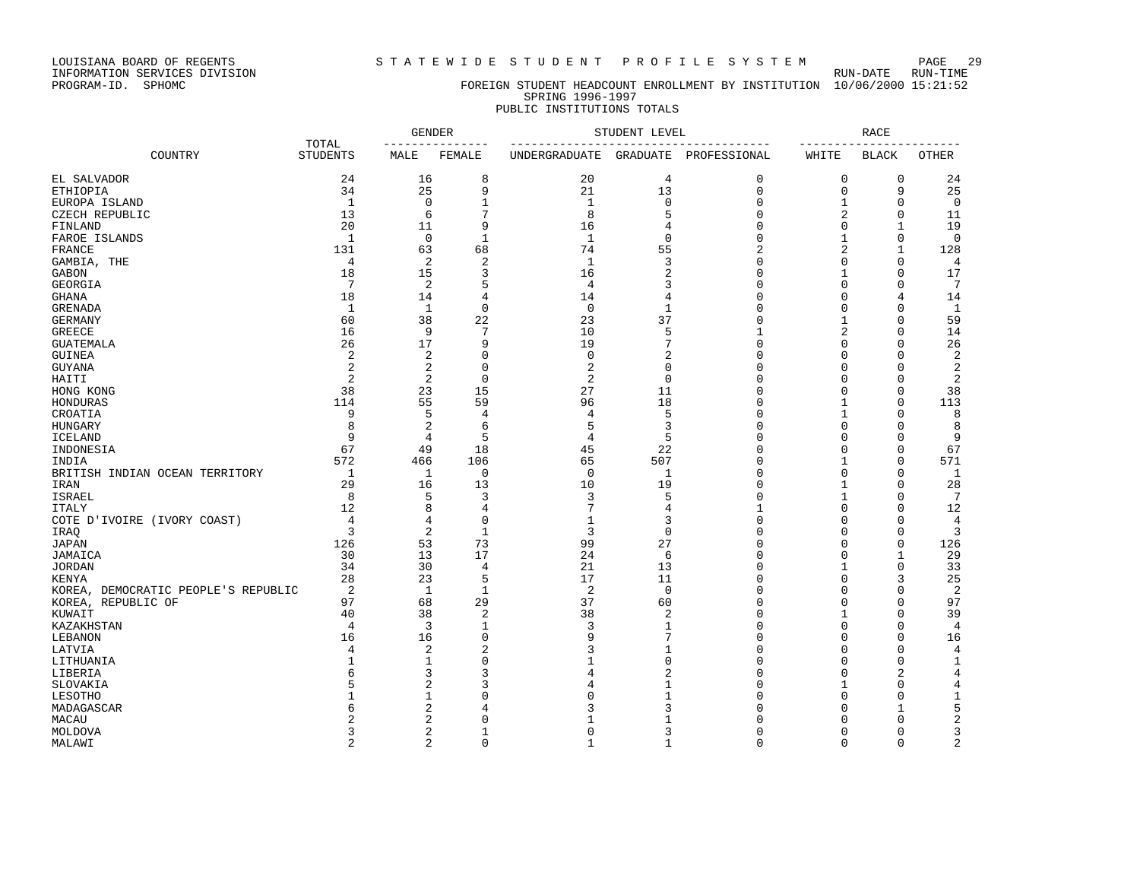LOUISIANA BOARD OF REGENTS S T A T E W I D E S T U D E N T P R O F I L E S Y S T E M PAGE 29

# PROGRAM-ID. SPHOMC FOREIGN STUDENT HEADCOUNT ENROLLMENT BY INSTITUTION 10/06/2000 15:21:52 SPRING 1996-1997

# PUBLIC INSTITUTIONS TOTALS GENDER STUDENT LEVEL SEERS AND RACE TOTAL --------------- ------------------------------------- ----------------------- COUNTRY STUDENTS MALE FEMALE UNDERGRADUATE GRADUATE PROFESSIONAL WHITE BLACK OTHER

| EL SALVADOR                         | 24             | 16             | 8              | 20             | $\overline{4}$ | $\mathbf{0}$       | $\mathbf 0$        | 0              | 24                      |
|-------------------------------------|----------------|----------------|----------------|----------------|----------------|--------------------|--------------------|----------------|-------------------------|
| <b>ETHIOPIA</b>                     | 34             | 25             | 9              | 21             | 13             | $\Omega$           | $\mathbf 0$        | 9              | 25                      |
| EUROPA ISLAND                       | $\mathbf{1}$   | $\mathbf 0$    | 1              | $\mathbf{1}$   | $\mathbf 0$    | $\Omega$           | $\mathbf{1}$       | $\mathbf 0$    | $\overline{0}$          |
| CZECH REPUBLIC                      | 13             | 6              | 7              | 8              | 5              | $\Omega$           | $\overline{2}$     | 0              | 11                      |
| FINLAND                             | 20             | 11             | 9              | 16             | 4              | $\Omega$           | $\Omega$           | $\mathbf{1}$   | 19                      |
| FAROE ISLANDS                       | $\mathbf{1}$   | $\mathbf 0$    | $\mathbf{1}$   | $\mathbf{1}$   | $\mathbf 0$    | $\Omega$           | $\mathbf{1}$       | 0              | $\mathbf 0$             |
| FRANCE                              | 131            | 63             | 68             | 74             | 55             | $\overline{c}$     | $\overline{c}$     | $\mathbf{1}$   | 128                     |
| GAMBIA, THE                         | 4              | 2              | $\overline{2}$ | $\mathbf{1}$   | 3              | $\Omega$           | $\Omega$           | $\Omega$       | 4                       |
| GABON                               | 18             | 15             | 3              | 16             | 2              | $\Omega$           |                    | 0              | 17                      |
| <b>GEORGIA</b>                      | 7              | 2              | 5              | 4              | ζ              | $\Omega$           | $\Omega$           | $\Omega$       | $7\phantom{.0}$         |
| <b>GHANA</b>                        | 18             | 14             | 4              | 14             | 4              | $\Omega$           | $\Omega$           | 4              | 14                      |
| <b>GRENADA</b>                      | $\mathbf{1}$   | $\mathbf{1}$   | $\mathbf 0$    | $\mathbf 0$    | $\mathbf{1}$   | $\cap$             | $\Omega$           | $\Omega$       | $\mathbf{1}$            |
| <b>GERMANY</b>                      | 60             | 38             | 22             | 23             | 37             | $\Omega$           | $\mathbf{1}$       | 0              | 59                      |
| <b>GREECE</b>                       | 16             | 9              | 7              | 10             | 5              | 1                  | 2                  | 0              | 14                      |
| <b>GUATEMALA</b>                    | 26             | 17             | 9              | 19             |                | $\Omega$           | $\Omega$           | $\Omega$       | 26                      |
| <b>GUINEA</b>                       | $\overline{2}$ | 2              | 0              | $\mathsf 0$    | 2              | $\Omega$           | $\Omega$           | $\mathbf 0$    | $\overline{2}$          |
| <b>GUYANA</b>                       | $\overline{2}$ | 2              | $\Omega$       | $\overline{2}$ | $\Omega$       | $\cap$             | $\cap$             | $\Omega$       | $\sqrt{2}$              |
| $\mathtt{HAIT}$                     | $\overline{2}$ | $\overline{2}$ | $\mathbf 0$    | $\overline{2}$ | $\mathbf 0$    | $\Omega$           | $\Omega$           | $\mathbf 0$    | $\overline{2}$          |
| HONG KONG                           | 38             | 23             | 15             | 27             | 11             | $\cap$             | $\Omega$           | 0              | 38                      |
| HONDURAS                            | 114            | 55             | 59             | 96             | 18             | $\Omega$           |                    | $\Omega$       | 113                     |
| CROATIA                             | 9              | 5              | 4              | 4              | 5              | $\Omega$           |                    | $\Omega$       | 8                       |
| HUNGARY                             | 8              | 2              | 6              | 5              | 3              | $\Omega$           | $\Omega$           | 0              | 8                       |
| <b>ICELAND</b>                      | 9              | 4              | 5              | $\overline{4}$ | 5              | $\Omega$           | $\Omega$           | $\mathbf 0$    | 9                       |
| INDONESIA                           | 67             | 49             | 18             | 45             | 22             | $\Omega$           | $\Omega$           | 0              | 67                      |
| INDIA                               | 572            | 466            | 106            | 65             | 507            | $\Omega$           |                    | $\Omega$       | 571                     |
| BRITISH INDIAN OCEAN TERRITORY      | $\mathbf{1}$   | 1              | $\mathbf 0$    | $\mathbf 0$    | $\mathbf{1}$   | $\Omega$           | $\Omega$           | $\mathbf 0$    | $\mathbf{1}$            |
| IRAN                                | 29             | 16             | 13             | 10             | 19             | $\Omega$           |                    | $\Omega$       | 28                      |
| <b>ISRAEL</b>                       | 8              | 5              | 3              | 3              | 5              | $\Omega$           |                    | $\mathbf 0$    | $7\phantom{.0}$         |
| <b>ITALY</b>                        | 12             | 8              | 4              | 7              | 4              |                    | $\Omega$           | $\Omega$       | 12                      |
| COTE D'IVOIRE (IVORY COAST)         | $\overline{4}$ | 4              | $\Omega$       | $\mathbf{1}$   | 3              | $\Omega$           | $\Omega$           | $\Omega$       | 4                       |
| IRAQ                                | 3              | 2              | $\mathbf{1}$   | 3              | $\mathbf 0$    | $\Omega$           | $\Omega$           | $\mathbf 0$    | 3                       |
| <b>JAPAN</b>                        | 126            | 53             | 73             | 99             | 27             | $\Omega$           | $\cap$             | $\Omega$       | 126                     |
| JAMAICA                             | 30             | 13             | 17             | 24             | 6              | $\Omega$           | $\Omega$           | $\mathbf{1}$   | 29                      |
| <b>JORDAN</b>                       | 34             | 30             | 4              | 21             | 13             | $\Omega$           |                    | $\Omega$       | 33                      |
| <b>KENYA</b>                        | 28             | 23             | 5              | 17             | 11             | $\Omega$           | $\Omega$           | 3              | 25                      |
| KOREA, DEMOCRATIC PEOPLE'S REPUBLIC | $\overline{2}$ | $\mathbf{1}$   | $\mathbf{1}$   | 2              | $\mathbf 0$    | $\Omega$           | $\Omega$           | $\Omega$       | $\overline{c}$          |
| KOREA, REPUBLIC OF                  | 97             | 68             | 29             | 37             | 60             | $\cap$             | $\Omega$           | 0              | 97                      |
| KUWAIT                              | 40             | 38             | $\overline{2}$ | 38             | 2              | $\Omega$           |                    | $\Omega$       | 39                      |
| KAZAKHSTAN                          | $\overline{4}$ | 3              | $\mathbf{1}$   | 3              |                | $\cap$             | $\Omega$           | 0              | 4                       |
| LEBANON                             | 16             | 16             | 0              | 9              |                | $\Omega$           | $\Omega$           | $\Omega$       | 16                      |
|                                     | 4              | 2              | 2              | 3              |                | $\Omega$           | $\Omega$           | $\mathbf 0$    | $\overline{4}$          |
| LATVIA<br>LITHUANIA                 |                |                | 0              | $\mathbf{1}$   | <sup>n</sup>   | $\cap$             | $\cap$             | 0              |                         |
| LIBERIA                             | 6              | 3              | 3              | 4              | 2              | $\Omega$           | $\Omega$           | $\overline{2}$ | 1<br>4                  |
|                                     |                |                | 3              | 4              |                | ∩                  |                    | $\Omega$       |                         |
| SLOVAKIA                            |                | 2              | O              | $\Omega$       |                |                    |                    |                | 4                       |
| LESOTHO                             | 6              |                |                | 3              |                | $\Omega$<br>$\cap$ | $\Omega$<br>$\cap$ | $\Omega$<br>1  | $\mathbf 1$             |
| MADAGASCAR                          |                | 2              | 4              | $\mathbf{1}$   |                |                    | n                  |                | 5                       |
| MACAU                               |                | 2              | 0              |                |                | $\cap$             |                    | $\Omega$       | $\overline{\mathbf{c}}$ |
| MOLDOVA                             | 3              | 2              |                | $\mathbf 0$    | 3              |                    | $\Omega$           | $\Omega$       | 3                       |
| MALAWI                              | $\overline{a}$ | 2              | $\Omega$       | $\mathbf{1}$   | 1              | $\cap$             | $\Omega$           | $\Omega$       | $\overline{c}$          |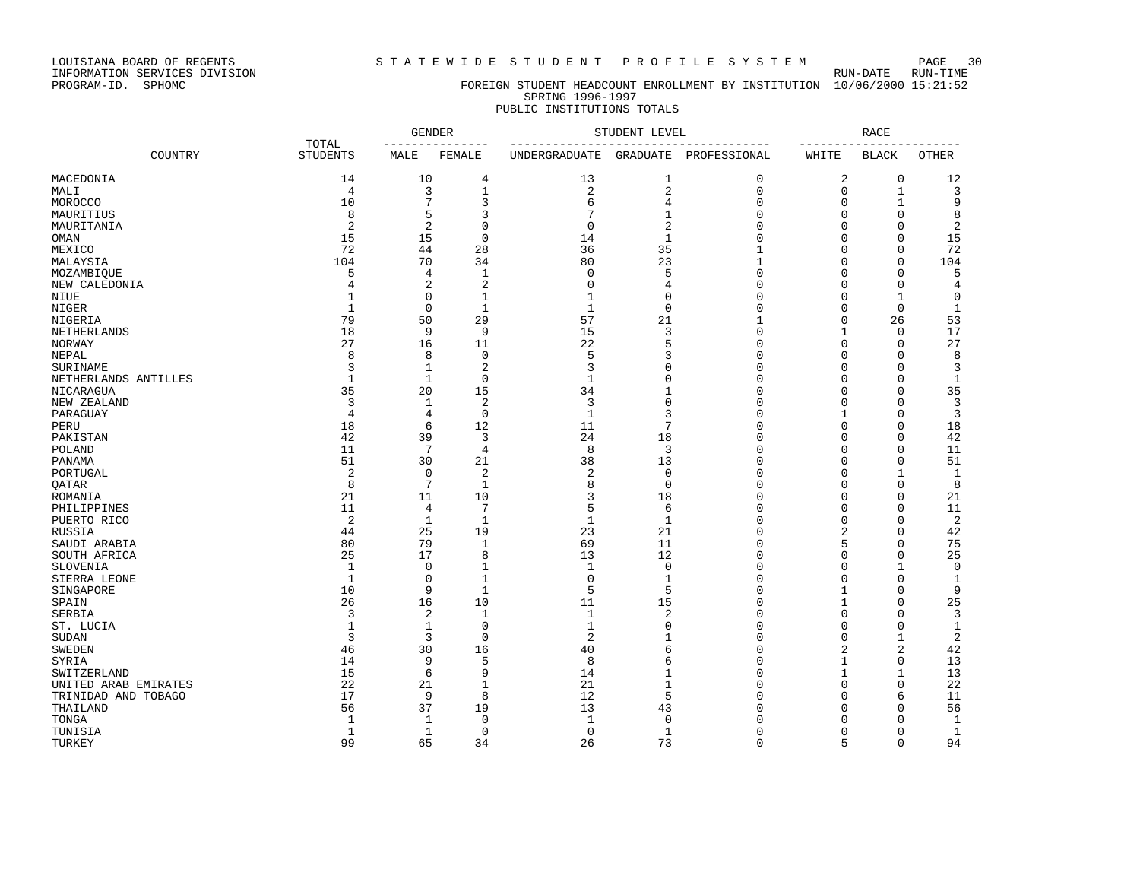LOUISIANA BOARD OF REGENTS SOURCLES IN STATEWIDE STUDENT PROFILE SYSTEM RUN-DATE RUN-TIME<br>INFORMATION SERVICES DIVISION INFORMATION SERVICES DIVISION<br>PROGRAM-ID. SPHOMC

#### FOREIGN STUDENT HEADCOUNT ENROLLMENT BY INSTITUTION 10/06/2000 15:21:52 SPRING 1996-1997 PUBLIC INSTITUTIONS TOTALS

### GENDER STUDENT LEVEL RACE TOTAL --------------- ------------------------------------- ----------------------- COUNTRY STUDENTS MALE FEMALE UNDERGRADUATE GRADUATE PROFESSIONAL WHITE BLACK OTHER MACEDONIA 14 10 4 13 1 0 2 0 12 MALI 4 3 1 2 2 0 0 1 3 MOROCCO 10 7 3 6 4 0 0 1 9 MAURITIUS 8 5 3 7 1 0 0 0 8 MAURITANIA 2 2 0 0 2 0 0 0 2 OMAN 15 15 0 14 1 0 0 0 15 MEXICO 72 44 28 36 35 1 0 0 72 MALAYSIA 104 70 34 80 23 1 0 0 104  $MOZAMBIOUE$  5 4 1 0 5 0 0 0 5 NEW CALEDONIA 4 2 2 0 4 0 0 4 NIUE 1 0 1 1 0 0 0 1 0 NIGER 1 0 1 1 0 0 0 0 1 NIGERIA 79 50 29 57 21 1 0 26 53 NETHERLANDS 18 9 9 15 3 0 1 0 17 NORWAY 27 16 11 22 5 0 0 0 27 NEPAL 8 8 0 5 3 0 0 0 8 SURINAME 3 1 2 3 0 0 0 0 3 NETHERLANDS ANTILLES 1 1 0 1 0 0 0 0 1 NICARAGUA 35 20 15 34 1 0 0 0 35 NEW ZEALAND 3 1 2 3 0 0 0 0 3  $\begin{array}{ccccccccccccccccccccc}\texttt{PARGUAY} & & & & & 4 & & 4 & & 0 & & 1 & & 3 & & 0 & & 1 & & 0 & & 3\end{array}$ PERU 18 6 12 11 7 0 0 0 18 PAKISTAN 42 39 3 24 18 0 0 0 42 POLAND 11 7 4 8 3 0 0 0 11 PANAMA 51 30 21 38 13 0 0 0 51 PORTUGAL 2 0 2 2 0 0 0 1 1 QATAR 8 7 1 8 0 0 0 0 8 ROMANIA 21 11 10 3 18 0 0 0 21 PHILIPPINES 11 4 7 5 6 0 0 0 11 PUERTO RICO 2 1 1 1 1 0 0 0 2 RUSSIA 44 25 19 23 21 0 2 0 42 SAUDI ARABIA 80 79 1 69 11 0 5 0 75 SOUTH AFRICA 25 17 8 13 12 0 0 0 25  $\text{SLOVENIA}$  1 0 1 1 0 0 0 1 0 SIERRA LEONE 1 0 1 0 1 0 0 0 1 SINGAPORE 10 9 1 5 5 0 1 0 9 SPAIN 26 16 10 11 15 0 1 0 25<br>SERBIA 3 2 1 1 2 0 0 3 SERBIA 3 2 1 1 2 0 0 0 3 ST. LUCIA 1 1 0 1 0 0 0 0 1  $\texttt{SUBAN}$  3 3 0 2 1 0 0 1 2 SWEDEN 6 0 2 42 42 SYRIA 14 9 5 8 6 0 1 0 13 SWITZERLAND 15 6 9 14 1 0 1 1 13 UNITED ARAB EMIRATES  $\begin{array}{cccccccc} 22 & 21 & 1 & 21 & 1 & 0 & 0 & 0 & 22 \\ \text{TFINIDAD AND TOBAGO} & 17 & 9 & 8 & 12 & 5 & 0 & 0 & 6 & 11 \end{array}$ TRINIDAD AND TOBAGO 17 9 8 12 5 0 0 6 11 THAILAND 56 37 19 13 43 0 0 0 56 TONGA 1 1 0 1 0 0 0 0 1 TUNISIA 1 1 0 0 1 0 0 0 1 TURKEY 99 65 34 26 73 0 5 0 94